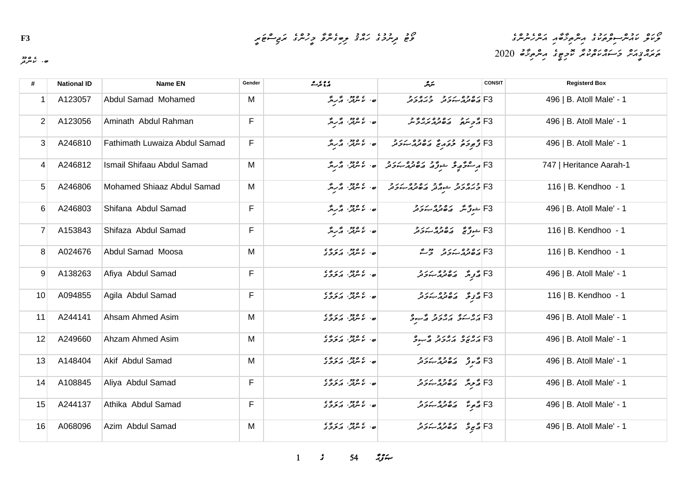*sCw7q7s5w7m< o<n9nOoAw7o< sCq;mAwBoEw7q<m; wBm;vB* م من المرة المرة المرة المرجع المرجع في المركبة 2020<br>مجم*د المريض المربوط المربع المرجع في المراجع المركبة* 

| #              | <b>National ID</b> | Name EN                       | Gender       | بروبره                                                                                                                                 | ىترىگر                                                                        | <b>CONSIT</b> | <b>Registerd Box</b>     |
|----------------|--------------------|-------------------------------|--------------|----------------------------------------------------------------------------------------------------------------------------------------|-------------------------------------------------------------------------------|---------------|--------------------------|
| 1              | A123057            | <b>Abdul Samad Mohamed</b>    | M            | ے مستقر اگر مر                                                                                                                         | F3 رە دە بەر دىرەر د                                                          |               | 496   B. Atoll Male' - 1 |
| $\overline{2}$ | A123056            | Aminath Abdul Rahman          | $\mathsf F$  | $\stackrel{2}{\mathcal{M}}\stackrel{2}{\mathcal{M}}\stackrel{220}{\mathcal{M}}\stackrel{C}{\mathcal{M}}\cdot\stackrel{D}{\mathcal{O}}$ | F3 گەچ سرە بەرە بەرە بەرە بەر                                                 |               | 496   B. Atoll Male' - 1 |
| 3              | A246810            | Fathimath Luwaiza Abdul Samad | $\mathsf{F}$ | ۰۰ موثر مرکز                                                                                                                           | F3 ژُج ژ و د د په ره ده ر ر د                                                 |               | 496   B. Atoll Male' - 1 |
| 4              | A246812            | Ismail Shifaau Abdul Samad    | M            |                                                                                                                                        | F3 رِ شَوَّرٍ وَ شِوَرَهُ مِنْ صَدِرَ مِنْ صَدَرَ مِنْ سَمْرَتْهُ، مُرْ سَرَّ |               | 747   Heritance Aarah-1  |
| 5              | A246806            | Mohamed Shiaaz Abdul Samad    | M            |                                                                                                                                        |                                                                               |               | 116   B. Kendhoo - 1     |
| 6              | A246803            | Shifana Abdul Samad           | F            | ۰۰ ما مريز مريز                                                                                                                        | F3 خوتر شرق مرد در در در در د                                                 |               | 496   B. Atoll Male' - 1 |
| $\overline{7}$ | A153843            | Shifaza Abdul Samad           | $\mathsf F$  | ه . ما مردم . ما . ما                                                                                                                  | F3 خوترنج كەھەرمەدە بەرد                                                      |               | 116   B. Kendhoo - 1     |
| 8              | A024676            | Abdul Samad Moosa             | M            | ه . ع رود .<br>ه . ع سربس . هر ترو د                                                                                                   | F3 ړه ده بررو دره م                                                           |               | 116   B. Kendhoo - 1     |
| $9$            | A138263            | Afiya Abdul Samad             | $\mathsf F$  | ه . ما مادر در در د                                                                                                                    | F3 گروگر كەھەرگە بەر د                                                        |               | 496   B. Atoll Male' - 1 |
| 10             | A094855            | Agila Abdul Samad             | $\mathsf{F}$ | ه ۱۵۶۷ کرده و                                                                                                                          | F3 مُتِرِعٌ مَصْرُمْہُ ہوں کا مُن                                             |               | 116   B. Kendhoo - 1     |
| 11             | A244141            | Ahsam Ahmed Asim              | M            | ه ۱۵۶۷ کرده و                                                                                                                          | F3 كەن سەر مەردىس كەسىرى                                                      |               | 496   B. Atoll Male' - 1 |
| 12             | A249660            | Ahzam Ahmed Asim              | M            | ه . ع ۵۶۵ کرده و د                                                                                                                     | F3 גְפְנֵים גַפְנֶים גָ'הוּכ                                                  |               | 496   B. Atoll Male' - 1 |
| 13             | A148404            | Akif Abdul Samad              | M            | ه . ع موجود .<br>ح . ما سربش . هر څرخه ی                                                                                               | F3 مەر مەھەر بەر د                                                            |               | 496   B. Atoll Male' - 1 |
| 14             | A108845            | Aliya Abdul Samad             | $\mathsf F$  |                                                                                                                                        | F3 مجموع من مص <i>مر محمد محمد ح</i> م                                        |               | 496   B. Atoll Male' - 1 |
| 15             | A244137            | Athika Abdul Samad            | F            | ه ۱۵۶۷ کردی<br>۰۰ تاس کروی                                                                                                             | F3 مۇمۇسى مەدەبرە<br>13 مۇمۇسى مەھەرمەدىر                                     |               | 496   B. Atoll Male' - 1 |
| 16             | A068096            | Azim Abdul Samad              | M            | ه . ما مرود .<br>ه . ما مرود . مرور د                                                                                                  | F3 گەنج <i>5 كەھەركە دە</i> ر                                                 |               | 496   B. Atoll Male' - 1 |

*r o c;*<br>@. עית *בן* 

*1 s* 54  $23$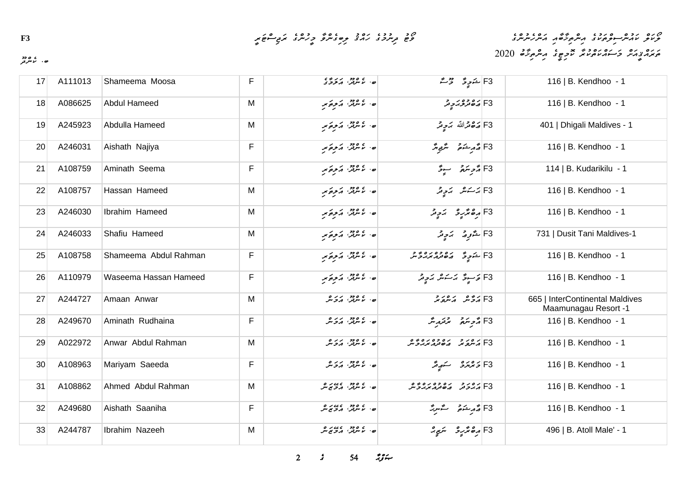*sCw7q7s5w7m< o<n9nOoAw7o< sCq;mAwBoEw7q<m; wBm;vB* م من المرة المرة المرة المرجع المرجع في المركبة 2020<br>مجم*د المريض المربوط المربع المرجع في المراجع المركبة* 

| 17 | A111013 | Shameema Moosa        | F            | ه . ما مرود . بر بر د ه<br>ه . ما مرفر . بر بر تر تر د | F3 ڪوتر قريم                       | 116   B. Kendhoo - 1                                    |
|----|---------|-----------------------|--------------|--------------------------------------------------------|------------------------------------|---------------------------------------------------------|
| 18 | A086625 | <b>Abdul Hameed</b>   | M            | ه . ما مرد . مردم بر                                   | F3 كەھەترى <i>3-ي</i> وتر          | 116   B. Kendhoo - 1                                    |
| 19 | A245923 | Abdulla Hameed        | M            | ه . ما مرد . مرد .                                     | F3 كَەھەراللە ئەمرىقر              | 401   Dhigali Maldives - 1                              |
| 20 | A246031 | Aishath Najiya        | $\mathsf{F}$ | ه . ما مرد . د برونو بر                                | F3 مُدمِسْمَ مُّهْدِمٌ             | 116   B. Kendhoo - 1                                    |
| 21 | A108759 | Aminath Seema         | $\mathsf F$  | ه ، مأمورش مأموره مر                                   | F3 أَمُّ <i>جِ مَنْهُ</i> سِيحٌ    | 114   B. Kudarikilu - 1                                 |
| 22 | A108757 | Hassan Hameed         | M            | ه . ما مرد . مردم بر                                   | F3  يز سند من المرحد المراجعة الس  | 116   B. Kendhoo - 1                                    |
| 23 | A246030 | Ibrahim Hameed        | M            | ه ، لا ملور ، مرد و مر                                 | F3 م <i>ِرەڭرى</i> بەر بەر         | 116   B. Kendhoo - 1                                    |
| 24 | A246033 | Shafiu Hameed         | M            | ه . ما مارد.<br>۱۵ ما مارد. اگر و کار                  | F3 ڪ <i>ُورِ ڏويرُ</i>             | 731   Dusit Tani Maldives-1                             |
| 25 | A108758 | Shameema Abdul Rahman | F            | ه ، با مرد ، مرد کرد                                   | F3 خو <i>ړ ده ده ده د</i>          | 116   B. Kendhoo - 1                                    |
| 26 | A110979 | Waseema Hassan Hameed | F            | ه . ما مريز ، مرمومبر                                  | F3   قاسودٌ - بَرْسَانل - يَاوِيلُ | 116   B. Kendhoo - 1                                    |
| 27 | A244727 | Amaan Anwar           | M            | ه ۱۵ ورو بر را مرکز می                                 | F3 كەۋىر كەنب <i>وت</i> ر          | 665   InterContinental Maldives<br>Maamunagau Resort -1 |
| 28 | A249670 | Aminath Rudhaina      | F            |                                                        | F3 مُجَمَّدِيمُ مُحَمَّدِيمُ       | 116   B. Kendhoo - 1                                    |
| 29 | A022972 | Anwar Abdul Rahman    | M            | ھ ، ئامريز، مرکزمگر                                    | F3 كەمرو كەمدەم بەرەپ              | 116   B. Kendhoo - 1                                    |
| 30 | A108963 | Mariyam Saeeda        | F            | ە . ئامەدد . ئەكەش                                     | F3 كەبىر بىر سىمبەتر               | 116   B. Kendhoo - 1                                    |
| 31 | A108862 | Ahmed Abdul Rahman    | M            | ه ۲۵۰ تا ۲۵۰ میلاده<br>۲۰ تا سرفر از مرکز می           | F3 גפני גפיפונקצית                 | 116   B. Kendhoo - 1                                    |
| 32 | A249680 | Aishath Saaniha       | F            | ם מספר המגם.<br>כם מיטקט הכהמיט                        | F3 مۇم شەھ بەسىرىگە                | 116   B. Kendhoo - 1                                    |
| 33 | A244787 | Ibrahim Nazeeh        | M            | ם מספר המינים<br>כם מינקלי הכהמיל                      | F3 م <i>ەھترى</i> ئىسى ئىس         | 496   B. Atoll Male' - 1                                |

*2 sC 54 nNw?mS*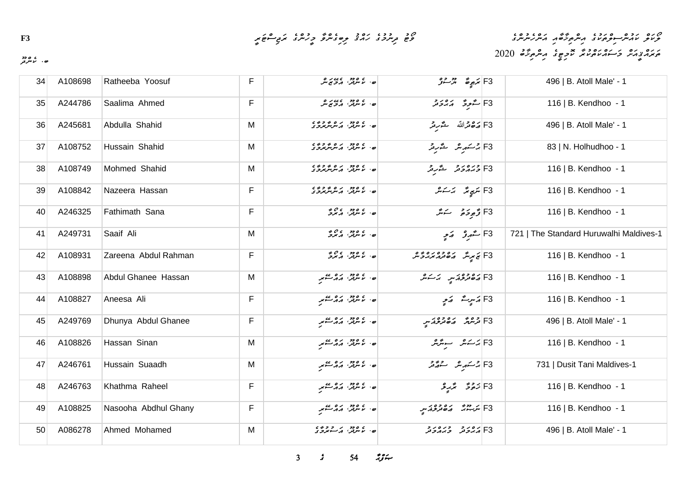*sCw7q7s5w7m< o<n9nOoAw7o< sCq;mAwBoEw7q<m; wBm;vB* م من المرة المرة المرة المرجع المرجع في المركبة 2020<br>مجم*د المريض المربوط المربع المرجع في المراجع المركبة* 

| 34 | A108698 | Ratheeba Yoosuf      | F            | ے وجود عدد علم میں استعمال کر استعمال کر دیا تھا۔<br>مصر استعمال کرنے کے سکس | F3 <i>بَرْ<sub>م</sub>ُوهُ "دُ</i> سْرُوُ | 496   B. Atoll Male' - 1                |
|----|---------|----------------------|--------------|------------------------------------------------------------------------------|-------------------------------------------|-----------------------------------------|
| 35 | A244786 | Saalima Ahmed        | F            | ם י מחבר המונים<br>כי מחברי הכבים                                            | F3 سُمْعِرَةُ مَ <sup>رُو</sup> دَتَر     | 116   B. Kendhoo - 1                    |
| 36 | A245681 | Abdulla Shahid       | M            | ه ۲۰۰۵ د ورو ده.<br>مسرچين مرسر <i>پرو</i> ي                                 | F3 مَەھْرَاللە مەمَّدىر                   | 496   B. Atoll Male' - 1                |
| 37 | A108752 | Hussain Shahid       | M            |                                                                              | F3 يُرْسَمْ بِلَا مُسْتَمَرِيْرُ          | 83   N. Holhudhoo - 1                   |
| 38 | A108749 | Mohmed Shahid        | M            | ه ورود ده ده دره<br>مسرد مسرد از مسر مرد د                                   | F3 <i>وَبَهُ وَبَوْ</i> مُقَرِيْرِ        | 116   B. Kendhoo - 1                    |
| 39 | A108842 | Nazeera Hassan       | $\mathsf F$  | ه . ع مرور مره به ده و<br>مسر مرکز . کم مرکز کرد ک                           | F3 س <i>َمِع مَّہ بَرَسَ</i> سُّر         | 116   B. Kendhoo - 1                    |
| 40 | A246325 | Fathimath Sana       | F            | ه . ع موجود . ع م موجود<br>ج . ما موجود . او موجود                           | F3 أَوَّج <i>وحَةْ</i> سَمَّتْر           | 116   B. Kendhoo - 1                    |
| 41 | A249731 | Saaif Ali            | M            |                                                                              | F3 گەرۇ كەمچە                             | 721   The Standard Huruwalhi Maldives-1 |
| 42 | A108931 | Zareena Abdul Rahman | $\mathsf F$  | ے مشرقی کے مالا<br>نصف مشرقی کا مالاری                                       | F3 ئ <i>ے برنگ مُنھوم بربرڈ</i> گر        | 116   B. Kendhoo - 1                    |
| 43 | A108898 | Abdul Ghanee Hassan  | M            | ه . ما مرکز ، دره ۵۰۰<br>۱۵ . ما مرکز ، درو ۶۰۰                              | F3 <i>ړې ووټر پر ټرخپن</i>                | 116   B. Kendhoo - 1                    |
| 44 | A108827 | Aneesa Ali           | $\mathsf{F}$ | ه . ما مرود . ده من عمر                                                      | F3  كەسرىستە كەمچ                         | 116   B. Kendhoo - 1                    |
| 45 | A249769 | Dhunya Abdul Ghanee  | F            | ه ۱۵ مرکز در ۵ به<br>۱۵ تامبرلز در سومر                                      | F3 قرشر <i>گر م&amp;فرقرن</i> مبر         | 496   B. Atoll Male' - 1                |
| 46 | A108826 | Hassan Sinan         | M            | ه . ما مرکز ، در استاند                                                      | F3   پرسترنٹر سے منگ <i>رنٹر</i>          | 116   B. Kendhoo - 1                    |
| 47 | A246761 | Hussain Suaadh       | M            | ه . ما موجود الرواعة مر                                                      | F3 پر <i>شہر شہر مش</i> ہر                | 731   Dusit Tani Maldives-1             |
| 48 | A246763 | Khathma Raheel       | F            | ه . ما مرکز ، د د مشمر<br>ه . ما مرکز ، د د مشمر                             | F3 دَيْرَةَ - مَدْرِقَ                    | 116   B. Kendhoo - 1                    |
| 49 | A108825 | Nasooha Abdhul Ghany | F            | ے 2000 کرو گئے۔<br>جوہ سربی ایکر شوہر                                        | F3 مَرْجَعَةً مُصْرَفَرَةَ مِرِ           | 116   B. Kendhoo - 1                    |
| 50 | A086278 | Ahmed Mohamed        | M            |                                                                              | F3 ג'פיק 22010 בי                         | 496   B. Atoll Male' - 1                |

**3** *3* **<b>54** *z <i>z*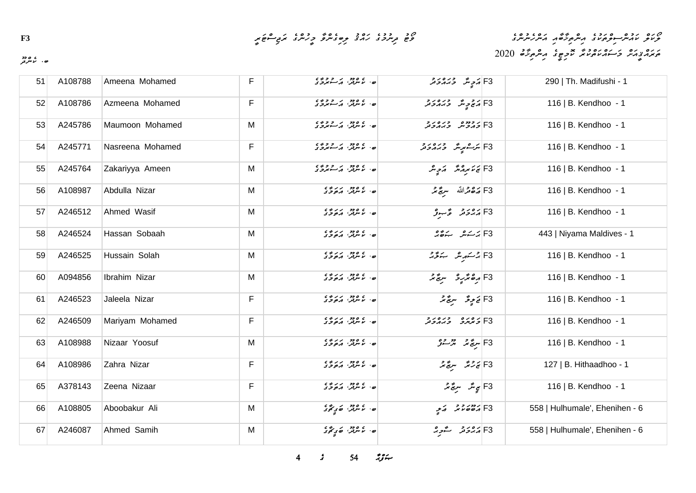*sCw7q7s5w7m< o<n9nOoAw7o< sCq;mAwBoEw7q<m; wBm;vB* م من المرة المرة المرة المرجع المرجع في المركبة 2020<br>مجم*د المريض المربوط المربع المرجع في المراجع المركبة* 

| 51 | A108788 | Ameena Mohamed   | F | ے میں میں مساجد دی۔<br>حصا ماسرانس کے ساجد میں                                                                                                                                                                                                                                                                                  | F3  تەھ <sub>ي</sub> ىگە ئ <i>ەتمەدى</i> گە | 290   Th. Madifushi - 1        |
|----|---------|------------------|---|---------------------------------------------------------------------------------------------------------------------------------------------------------------------------------------------------------------------------------------------------------------------------------------------------------------------------------|---------------------------------------------|--------------------------------|
| 52 | A108786 | Azmeena Mohamed  | F | ه . ع مرکز . کار د و د و د<br>ه . کم مگرفتن . کم کاملو و ی                                                                                                                                                                                                                                                                      | F3 كەيم <i>جەش جەنگەدى</i> ر                | 116   B. Kendhoo - 1           |
| 53 | A245786 | Maumoon Mohamed  | M |                                                                                                                                                                                                                                                                                                                                 | F3 <i>בהרבית כמהכת</i>                      | 116   B. Kendhoo - 1           |
| 54 | A245771 | Nasreena Mohamed | F | ه . ع مرور . د د و و د و<br>ح . ع مرور . كه سومبرو ي                                                                                                                                                                                                                                                                            | F3 ىرگىرىگى <i>دېمگە</i> دىر                | 116   B. Kendhoo - 1           |
| 55 | A245764 | Zakariyya Ameen  | M | ه . ع مرور . د د و و د و<br>ح . ع مرور . كه سومبرو ي                                                                                                                                                                                                                                                                            | F3 ي <i>تم بوه م</i> گر مرکب مرکب برگر      | 116   B. Kendhoo - 1           |
| 56 | A108987 | Abdulla Nizar    | M | 5396.                                                                                                                                                                                                                                                                                                                           | F3 مَصْعَرْاللَّهُ سِيِّعْ                  | 116   B. Kendhoo - 1           |
| 57 | A246512 | Ahmed Wasif      | M | ه . کارود . کار دی<br>ه . کاس                                                                                                                                                                                                                                                                                                   | F3 <i>ډېر دي.</i> وگ                        | 116   B. Kendhoo - 1           |
| 58 | A246524 | Hassan Sobaah    | M | 5996.                                                                                                                                                                                                                                                                                                                           | F3 يُرْسَمْرُ بِكَوْفَرْ                    | 443   Niyama Maldives - 1      |
| 59 | A246525 | Hussain Solah    | M | $5591^{000}$                                                                                                                                                                                                                                                                                                                    | F3  2ستهريش ست <i>و</i> يثر                 | 116   B. Kendhoo - 1           |
| 60 | A094856 | Ibrahim Nizar    | M | $\begin{array}{cc} 0 & 0 & 0 & 0 \\ 0 & 0 & 0 & 0 \\ 0 & 0 & 0 & 0 \\ 0 & 0 & 0 & 0 \\ 0 & 0 & 0 & 0 \\ 0 & 0 & 0 & 0 \\ 0 & 0 & 0 & 0 \\ 0 & 0 & 0 & 0 \\ 0 & 0 & 0 & 0 \\ 0 & 0 & 0 & 0 \\ 0 & 0 & 0 & 0 \\ 0 & 0 & 0 & 0 \\ 0 & 0 & 0 & 0 & 0 \\ 0 & 0 & 0 & 0 & 0 \\ 0 & 0 & 0 & 0 & 0 \\ 0 & 0 & 0 & 0 & 0 \\ 0 & 0 & 0 &$ | F3 م <i>ەھترى</i> دۇ سرچم                   | 116   B. Kendhoo - 1           |
| 61 | A246523 | Jaleela Nizar    | F | 5551.                                                                                                                                                                                                                                                                                                                           | F3 <i>فوجوڈ سرن</i> گانڈ                    | 116   B. Kendhoo - 1           |
| 62 | A246509 | Mariyam Mohamed  | F |                                                                                                                                                                                                                                                                                                                                 | F3 <i>ב</i> ימו <i>ת כגור</i> כת            | 116   B. Kendhoo - 1           |
| 63 | A108988 | Nizaar Yoosuf    | M | 5995, 3966                                                                                                                                                                                                                                                                                                                      | F3 سرچ پر هر شور<br>1                       | 116   B. Kendhoo - 1           |
| 64 | A108986 | Zahra Nizar      | F |                                                                                                                                                                                                                                                                                                                                 | F3 يَحْرَمُّهُ سِيَّ مِّرْ                  | 127   B. Hithaadhoo - 1        |
| 65 | A378143 | Zeena Nizaar     | F | 5991, 3906, 60                                                                                                                                                                                                                                                                                                                  | F3 پرېئر سرچ تنه                            | 116   B. Kendhoo - 1           |
| 66 | A108805 | Aboobakur Ali    | M |                                                                                                                                                                                                                                                                                                                                 | F3 جو <i>ھوند ھو</i>                        | 558   Hulhumale', Ehenihen - 6 |
| 67 | A246087 | Ahmed Samih      | M |                                                                                                                                                                                                                                                                                                                                 | F3 <i>ړې دي گ</i> ېږ                        | 558   Hulhumale', Ehenihen - 6 |

*4 s* 54 *zg*  $\approx$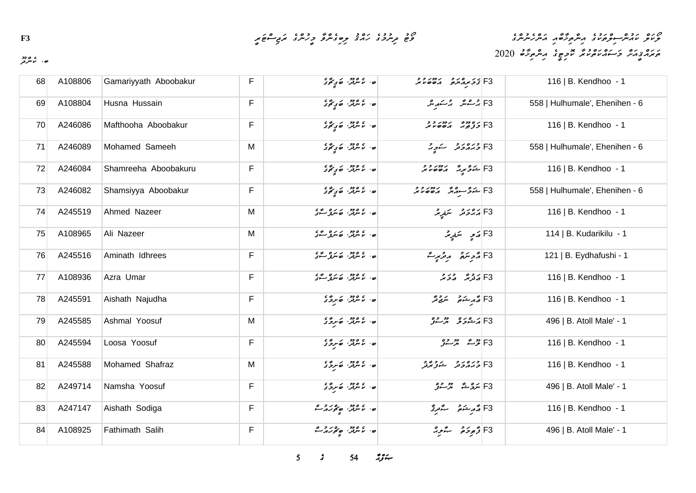*sCw7q7s5w7m< o<n9nOoAw7o< sCq;mAwBoEw7q<m; wBm;vB* م من المرة المرة المرة المرجع المرجع في المركبة 2020<br>مجم*د المريض المربوط المربع المرجع في المراجع المركبة* 

| 68 | A108806 | Gamariyyath Aboobakur | F            |                                                                                                                                                                                                                                                                                                                             | F3 ביתוחתם הסיטית                              | 116   B. Kendhoo - 1           |
|----|---------|-----------------------|--------------|-----------------------------------------------------------------------------------------------------------------------------------------------------------------------------------------------------------------------------------------------------------------------------------------------------------------------------|------------------------------------------------|--------------------------------|
| 69 | A108804 | Husna Hussain         | F            |                                                                                                                                                                                                                                                                                                                             | F3 پُرِ شِعَبَرٌ پُرِ شَ <sub>مَ</sub> بِرُ بِ | 558   Hulhumale', Ehenihen - 6 |
| 70 | A246086 | Mafthooha Aboobakur   | F            | 5550.700                                                                                                                                                                                                                                                                                                                    |                                                | 116   B. Kendhoo - 1           |
| 71 | A246089 | Mohamed Sameeh        | M            | 5550.700                                                                                                                                                                                                                                                                                                                    | F3 <i>وُيَهُوَهُ جَمَعِيدُ</i>                 | 558   Hulhumale', Ehenihen - 6 |
| 72 | A246084 | Shamreeha Aboobakuru  | F            |                                                                                                                                                                                                                                                                                                                             | F3 شۇم بەر مەھەمدىر                            | 116   B. Kendhoo - 1           |
| 73 | A246082 | Shamsiyya Aboobakur   | $\mathsf F$  |                                                                                                                                                                                                                                                                                                                             | 7777778077722                                  | 558   Hulhumale', Ehenihen - 6 |
| 74 | A245519 | Ahmed Nazeer          | M            | ە . ئابىروم كەندى ئەي<br>ھ . ئابىروم كەنتى ئىسى                                                                                                                                                                                                                                                                             | F3  كەندى كىم ئىرى <i>گى</i>                   | 116   B. Kendhoo - 1           |
| 75 | A108965 | Ali Nazeer            | $\mathsf{M}$ | ە بە ئەھەر بەرە بەرە<br>ھ باش بىرلىرى كەشتى سىرى                                                                                                                                                                                                                                                                            | F3 <i>ھَ جِ</i> سَمَيْرِ جَمَ                  | 114   B. Kudarikilu - 1        |
| 76 | A245516 | Aminath Idhrees       | F            | ە بەرەدە بەرە بەرە<br>ھەركىرلىرى ھەرى سىرى                                                                                                                                                                                                                                                                                  | F3 مُحْرِسَمُ مِسْرَمِرِ مُسْرِ                | 121   B. Eydhafushi - 1        |
| 77 | A108936 | Azra Umar             | F            | ە بە دەھەر بەرە بەر.<br>ھەر سىرتىر، ئۇسىرتى سىرى                                                                                                                                                                                                                                                                            | F3 كەنترىتى ھەتەتىر                            | 116   B. Kendhoo - 1           |
| 78 | A245591 | Aishath Najudha       | F            | ם י מיתר שינדי ב                                                                                                                                                                                                                                                                                                            | F3 مُصِيَّحَة مَتَّبَعَّةً مِّسْتَخَفَّةً      | 116   B. Kendhoo - 1           |
| 79 | A245585 | Ashmal Yoosuf         | M            |                                                                                                                                                                                                                                                                                                                             | F3 كەشكە ئۇ تەرىپى تۈرگىتىلىر                  | 496   B. Atoll Male' - 1       |
| 80 | A245594 | Loosa Yoosuf          | $\mathsf F$  | ه . ما مرد .<br>ه . ما مرد . ه مرد د                                                                                                                                                                                                                                                                                        | F3 توسم بین شروع بو                            | 116   B. Kendhoo - 1           |
| 81 | A245588 | Mohamed Shafraz       | M            | ם יש מרה בית בי                                                                                                                                                                                                                                                                                                             | F3 دېرماند د شورتمند                           | 116   B. Kendhoo - 1           |
| 82 | A249714 | Namsha Yoosuf         | F            | ه . ما مرد .<br>ه . ما مرد . ه مرد د                                                                                                                                                                                                                                                                                        | F3 بَرَوْٹَہ بَرْتَ <i>وْ</i> رْ               | 496   B. Atoll Male' - 1       |
| 83 | A247147 | Aishath Sodiga        | F            | 0.3100000000000                                                                                                                                                                                                                                                                                                             | F3 مُصِيدَة حَسَّمِيَّةً                       | 116   B. Kendhoo - 1           |
| 84 | A108925 | Fathimath Salih       | F            | $\begin{pmatrix} 0 & 2 & 0 & 0 & 0 \\ 0 & 1 & 0 & 0 & 0 \\ 0 & 0 & 0 & 0 & 0 \\ 0 & 0 & 0 & 0 & 0 \\ 0 & 0 & 0 & 0 & 0 \\ 0 & 0 & 0 & 0 & 0 \\ 0 & 0 & 0 & 0 & 0 \\ 0 & 0 & 0 & 0 & 0 \\ 0 & 0 & 0 & 0 & 0 \\ 0 & 0 & 0 & 0 & 0 \\ 0 & 0 & 0 & 0 & 0 \\ 0 & 0 & 0 & 0 & 0 & 0 \\ 0 & 0 & 0 & 0 & 0 & 0 \\ 0 & 0 & 0 & 0 & $ | F3 ز <sub>نجو</sub> ځو جوړ                     | 496   B. Atoll Male' - 1       |

*5 sC 54 nNw?mS*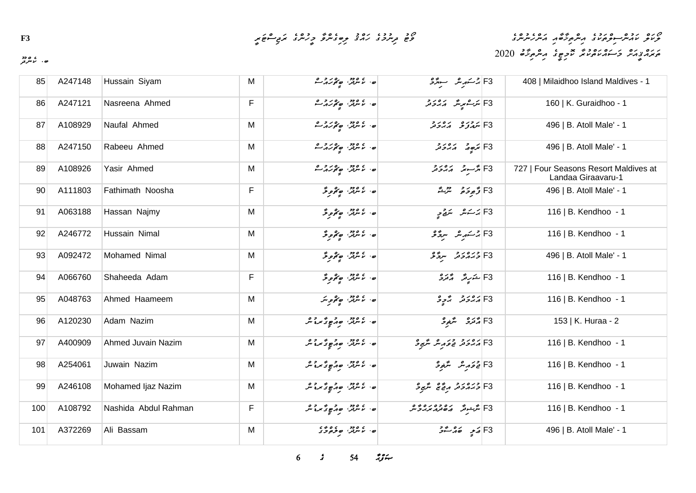*sCw7q7s5w7m< o<n9nOoAw7o< sCq;mAwBoEw7q<m; wBm;vB* م من المرة المرة المرة المرجع المرجع في المركبة 2020<br>مجم*د المريض المربوط المربع المرجع في المراجع المركبة* 

| 85  | A247148 | Hussain Siyam        | M            | ھ ماسري ھي گرم ھ                    | F3 يُرْسَمب <sup>9</sup> سِيرَ 2              | 408   Milaidhoo Island Maldives - 1                         |
|-----|---------|----------------------|--------------|-------------------------------------|-----------------------------------------------|-------------------------------------------------------------|
| 86  | A247121 | Nasreena Ahmed       | F            | גם כבר פיציאת בי                    | F3 ىترىشىمى <i>مىشى ئەرە</i>                  | 160   K. Guraidhoo - 1                                      |
| 87  | A108929 | Naufal Ahmed         | M            | 27280, 2000                         | F3 يتم <i>مۇنى مەدەن</i> ر                    | 496   B. Atoll Male' - 1                                    |
| 88  | A247150 | Rabeeu Ahmed         | M            |                                     | F3 بَرَصِهُ 4.25 مَرْ                         | 496   B. Atoll Male' - 1                                    |
| 89  | A108926 | Yasir Ahmed          | M            | גם כבר פיציאת בי                    | F3 پڑے پر پر پر پر پر پر دیگر                 | 727   Four Seasons Resort Maldives at<br>Landaa Giraavaru-1 |
| 90  | A111803 | Fathimath Noosha     | $\mathsf{F}$ | ە باشتى ھەم ئى                      | F3 رُج <i>وحَة</i> شَرْحَةَ                   | 496   B. Atoll Male' - 1                                    |
| 91  | A063188 | Hassan Najmy         | M            | ە ، ئامىرتى ھەم ئى                  | F3  يرسكى مرق <sub>ص</sub> ح پر               | 116   B. Kendhoo - 1                                        |
| 92  | A246772 | Hussain Nimal        | M            | ە مەس ھەم ئى                        | F3 يُرْسَمَ مِنْ سِرْدَ عَلَى                 | 116   B. Kendhoo - 1                                        |
| 93  | A092472 | Mohamed Nimal        | M            | $\stackrel{a}{\sim}$                | F3 <i>وُبُرُوُدُو بِروُّوْ</i>                | 496   B. Atoll Male' - 1                                    |
| 94  | A066760 | Shaheeda Adam        | F            | ە باشلار ئەمم ئىگە                  | F3 ڪري <i>گر گ<sup>ي</sup>وري</i>             | 116   B. Kendhoo - 1                                        |
| 95  | A048763 | Ahmed Haameem        | M            | ه . ما مريز ، ھ <sub>ا</sub> گو مگر | F3 <i>ډېرې پې</i> وو                          | 116   B. Kendhoo - 1                                        |
| 96  | A120230 | Adam Nazim           | M            | ם ישתתי סתפת אב                     | F3 مُحَمَّدٌ سُمَّن <sub>َ</sub> وَ           | 153   K. Huraa - 2                                          |
| 97  | A400909 | Ahmed Juvain Nazim   | M            | ם ישיעת פולפיציא בס                 | F3 <i>בُرُوَ</i> تَرَ قَاءَمِ شَرَ سَرَّمِ وَ | 116   B. Kendhoo - 1                                        |
| 98  | A254061 | Juwain Nazim         | M            | ם יו מנג' פתפת משית                 | F3 <i>فے قہر مگہ مگہو</i> گ                   | 116   B. Kendhoo - 1                                        |
| 99  | A246108 | Mohamed Ijaz Nazim   | M            | ם ישתה פוקלית בפ                    | F3 دَيَرُمُ دَمَّرٌ مِنَّے مَّتَّبٍ وَ        | 116   B. Kendhoo - 1                                        |
| 100 | A108792 | Nashida Abdul Rahman | F            | ם ישיתה פתפת אבי                    | F3 مگرجونگر بره ده دره در محمد ش              | 116   B. Kendhoo - 1                                        |
| 101 | A372269 | Ali Bassam           | M            |                                     | F3 <i>جَرِي 16 گ</i> ر                        | 496   B. Atoll Male' - 1                                    |

*6 sC 54 nNw?mS*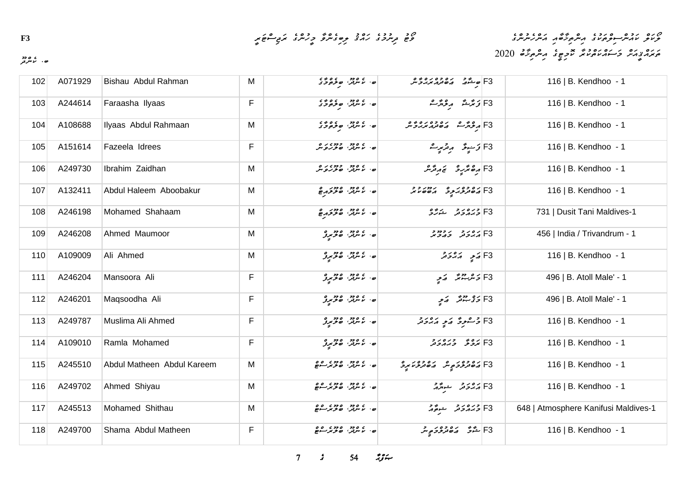*sCw7q7s5w7m< o<n9nOoAw7o< sCq;mAwBoEw7q<m; wBm;vB* م من المرة المرة المرة المرجع المرجع في المركبة 2020<br>مجم*د المريض المربوط المربع المرجع في المراجع المركبة* 

| 102 | A071929 | Bishau Abdul Rahman        | M | ه کامرلر، صور ورو د                                | F3 = شهر مره ده ده و م                     | 116   B. Kendhoo - 1                 |
|-----|---------|----------------------------|---|----------------------------------------------------|--------------------------------------------|--------------------------------------|
| 103 | A244614 | Faraasha Ilyaas            | F | 599500                                             | F3 كَرْمَرْتْشْ بِرْجْرَرْتْتْتْسْتْرْ     | 116   B. Kendhoo - 1                 |
| 104 | A108688 | Ilyaas Abdul Rahmaan       | M | ه وه ده وه وه و د<br>ه مسرفر صور و د               | F3 روبر مصر ده ده ده وه                    | 116   B. Kendhoo - 1                 |
| 105 | A151614 | Fazeela Idrees             | F | ه عمود دوره ده<br>مسرد مورد                        | F3 زَىنٍوَّز ب <sub>و</sub> تْرْمِرِتْ     | 116   B. Kendhoo - 1                 |
| 106 | A249730 | Ibrahim Zaidhan            | M | ه با محمد دوده ده.<br>مسترتر، م <i>حرکو</i> س      | F3 م <i>ِرەڭرىردە ت<sub>ەم</sub>ون</i> تىر | 116   B. Kendhoo - 1                 |
| 107 | A132411 | Abdul Haleem Aboobakur     | M | 0.770.7200                                         | F3 גם כפי כם נשפט ב                        | 116   B. Kendhoo - 1                 |
| 108 | A246198 | Mohamed Shahaam            | M | ם מיתה סמיג ס<br>כם מיתה שי <i>ביב</i> תים         | F3 دېمبروتر خ <i>و</i> گړو                 | 731   Dusit Tani Maldives-1          |
| 109 | A246208 | Ahmed Maumoor              | M | ه . با موجود .<br>ه . با موجود . موجود             | F3 ג'מיק בריביק                            | 456   India / Trivandrum - 1         |
| 110 | A109009 | Ali Ahmed                  | M |                                                    | F3   <i>مَرْمٍ مَدْدَوْرٌ</i>              | 116   B. Kendhoo - 1                 |
| 111 | A246204 | Mansoora Ali               | F | ه با مرکز وجود و<br>ده کاسرکز مخترج                | F3   ئەشرىيىچە كەمبە                       | 496   B. Atoll Male' - 1             |
| 112 | A246201 | Maqsoodha Ali              | F | ه . ما مرکز . ه و . ه<br>ده . ما مرکز . ه محر مرکز | F3 كۆمچە قەمىيە                            | 496   B. Atoll Male' - 1             |
| 113 | A249787 | Muslima Ali Ahmed          | F | ه . ما مرکز . ه و . ه<br>ده . ما مرکز . ه محر مرکز | F3 وُسْعِرةٌ كَبَعٍ كَمَدَوْمًا.           | 116   B. Kendhoo - 1                 |
| 114 | A109010 | Ramla Mohamed              | F | ه ، کامبرو ، دو ه و برو                            | F3 يَرُونُو بِهِ دِيرِ دِيرِ               | 116   B. Kendhoo - 1                 |
| 115 | A245510 | Abdul Matheen Abdul Kareem | M |                                                    | F3 رەدور ھ رەدور ھ                         | 116   B. Kendhoo - 1                 |
| 116 | A249702 | Ahmed Shiyau               | M | ם מי מי מידי מים.<br>כי מייקה פיביק ביפ            | F3 <i>גُرُدُونَ جِينَهُ</i>                | 116   B. Kendhoo - 1                 |
| 117 | A245513 | Mohamed Shithau            | M | ם מתנקי סמגים                                      | F3 <i>وَبَهُ وَبَوْ</i> سُبِعُ وَبِرَ      | 648   Atmosphere Kanifusi Maldives-1 |
| 118 | A249700 | Shama Abdul Matheen        | F | ם מי מרג פרובים פס<br>פי מייתנתי פיי <i>ב זג</i> ע | F3 څگړ <i>ې پره وه د چ</i> ر               | 116   B. Kendhoo - 1                 |

*7 sC 54 nNw?mS*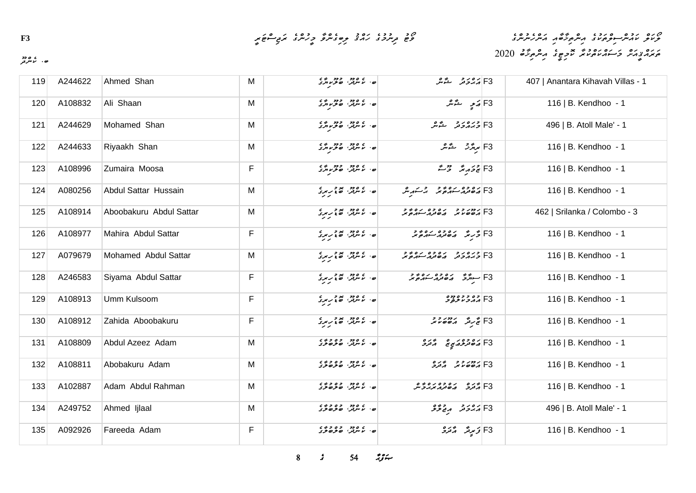*sCw7q7s5w7m< o<n9nOoAw7o< sCq;mAwBoEw7q<m; wBm;vB* م من المرة المرة المرة المرجع المرجع في المركبة 2020<br>مجم*د المريض المربوط المربع المرجع في المراجع المركبة* 

| 119 | A244622 | Ahmed Shan              | M           | ם מיטר כדי בג<br>ס מיטרי סיבעות                                                                                                                                                                                                  | F3 كەبرى ئىر ئىش ئىش                       | 407   Anantara Kihavah Villas - 1 |
|-----|---------|-------------------------|-------------|----------------------------------------------------------------------------------------------------------------------------------------------------------------------------------------------------------------------------------|--------------------------------------------|-----------------------------------|
| 120 | A108832 | Ali Shaan               | M           |                                                                                                                                                                                                                                  | F3 کی شہر شہر                              | 116   B. Kendhoo - 1              |
| 121 | A244629 | Mohamed Shan            | M           | ם ישתב כבי בג<br>ישתב שיבעות                                                                                                                                                                                                     | F3 <i>وبرودو حدَّش</i>                     | 496   B. Atoll Male' - 1          |
| 122 | A244633 | Riyaakh Shan            | M           | $\begin{pmatrix} 2 & 22 & 220 & 6 \\ 2 & 2 & 22 & 22 \\ 6 & 1 & 1 & 1 \end{pmatrix}$                                                                                                                                             | F3 برب <i>رٌدْ</i> گُرگر                   | 116   B. Kendhoo - 1              |
| 123 | A108996 | Zumaira Moosa           | F           | גם כבר כבר בג'<br>יש מיתבקי יש <b>ב</b> מו <i>ת</i> ב                                                                                                                                                                            | $23 - 55 = 53$                             | 116   B. Kendhoo - 1              |
| 124 | A080256 | Abdul Sattar Hussain    | M           | $5x - 3x - 3200$                                                                                                                                                                                                                 | F3 پرەور بەرە بور بوسكى بىر                | 116   B. Kendhoo - 1              |
| 125 | A108914 | Aboobakuru Abdul Sattar | M           |                                                                                                                                                                                                                                  | 9401 0201 221321 F3                        | 462   Srilanka / Colombo - 3      |
| 126 | A108977 | Mahira Abdul Sattar     | $\mathsf F$ |                                                                                                                                                                                                                                  | F3 د مريد مده د وه د د د د د د د د د د د د | 116   B. Kendhoo - 1              |
| 127 | A079679 | Mohamed Abdul Sattar    | M           |                                                                                                                                                                                                                                  | F3 30000 2000 2000 E3                      | 116   B. Kendhoo - 1              |
| 128 | A246583 | Siyama Abdul Sattar     | F           | ه ۱۵ مرکز کا در مرکز در در این است.<br>احوال مرکز کا در مرکز کا در مرکز ک                                                                                                                                                        | F3 - شهر موجود موجود - F3                  | 116   B. Kendhoo - 1              |
| 129 | A108913 | Umm Kulsoom             | F           | ه . م سربی .<br>۲۰۰۰ سربی . ۲۵۰۰ مربی                                                                                                                                                                                            | $5, 5, 7, 7, 7$ F3                         | 116   B. Kendhoo - 1              |
| 130 | A108912 | Zahida Aboobakuru       | F           | ه ۱۵۵۰ مورد در در در محمد در سر در استان به استان به استان به استان به استان به استان به استان به استان به است<br>در استان به استان به استان به استان به استان به استان به استان به استان به استان به استان به استان به استان به | F3 بحري <i>د أو مقصوم</i>                  | 116   B. Kendhoo - 1              |
| 131 | A108809 | Abdul Azeez Adam        | M           | ه به ۲۵ وولان<br>۲۰ ماسرتن مانور دی                                                                                                                                                                                              | F3 ב <i>ەھەم چەرە</i> مەرە                 | 116   B. Kendhoo - 1              |
| 132 | A108811 | Abobakuru Adam          | M           | ه به دور وه وه ده.<br>مسترس موهود                                                                                                                                                                                                | 5, 3, 2, 2, 2, 5                           | 116   B. Kendhoo - 1              |
| 133 | A102887 | Adam Abdul Rahman       | M           | ه عمود وه وه در<br>ه نرس ه و ه ور                                                                                                                                                                                                | F3 دره بره ده دره ده و                     | 116   B. Kendhoo - 1              |
| 134 | A249752 | Ahmed Ijlaal            | M           | ه به دور ده ده د<br>ه ناس                                                                                                                                                                                                        | F3 كەبر <i>ەتى بەيغۇ</i> تى                | 496   B. Atoll Male' - 1          |
| 135 | A092926 | Fareeda Adam            | $\mathsf F$ | ه به دور ده ده د<br>ه نرس صوصور                                                                                                                                                                                                  | F3 كَرْمِيمَّر مُرَّمَرَدُ                 | 116   B. Kendhoo - 1              |

**8** *s* **54** *n***<sub>y</sub> <b>***s*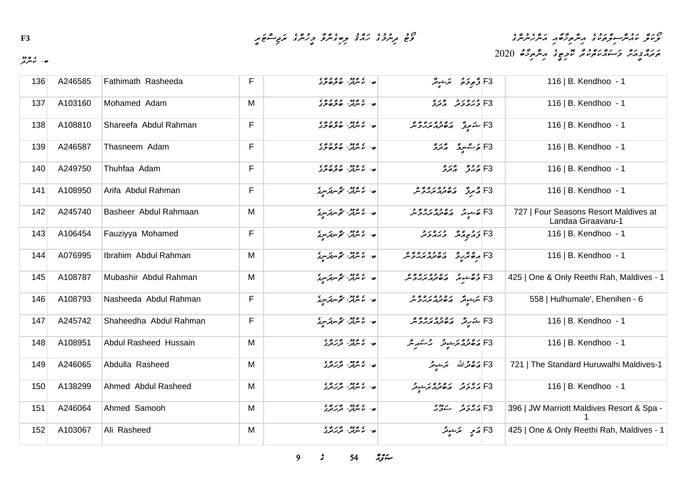*sCw7q7s5w7m< o<n9nOoAw7o< sCq;mAwBoEw7q<m; wBm;vB* م من المرة المرة المرة المرجع المرجع في المركبة 2020<br>مجم*د المريض المربوط المربع المرجع في المراجع المركبة* 

| 136 | A246585 | Fathimath Rasheeda     | F | ه وه وه وه ده.<br>ن ناسرتر، ن برن د                                                           | F3   <i>وَّجِ دَمْ - بَرَ</i> حْبِيَّرَ        | 116   B. Kendhoo - 1                                        |
|-----|---------|------------------------|---|-----------------------------------------------------------------------------------------------|------------------------------------------------|-------------------------------------------------------------|
| 137 | A103160 | Mohamed Adam           | M | ه به دور وه وه در<br>ه کامبرټر کامونځون                                                       | F3 32023 كروم                                  | 116   B. Kendhoo - 1                                        |
| 138 | A108810 | Shareefa Abdul Rahman  | F | ه به دور وه وه ده.<br>مسرحي صوصور                                                             | F3 خەمرۇ مەھىرمەمەرەس                          | 116   B. Kendhoo - 1                                        |
| 139 | A246587 | Thasneem Adam          | F | ه به دور وه وه در<br>ه کامبرټر کامونځون                                                       | F3 كوكسبري محمدة                               | 116   B. Kendhoo - 1                                        |
| 140 | A249750 | Thuhfaa Adam           | F | ه به دور وه وه ده<br>ه ناسرتر، صوصور                                                          | F3 ج ج م م م م مركز ك                          | 116   B. Kendhoo - 1                                        |
| 141 | A108950 | Arifa Abdul Rahman     | F | ے وجود محمد مریز سری                                                                          | F3 گەمبۇ مەھىرمىدە مە                          | 116   B. Kendhoo - 1                                        |
| 142 | A245740 | Basheer Abdul Rahmaan  | M | ے واقع میں میں اس کا مقدم ہوتا ہے۔<br>مصر اس میں میں مقدم میں مقدم میں مقدم میں مقدم ہوتا ہے۔ | F3 خشونز مەھەرمەندە                            | 727   Four Seasons Resort Maldives at<br>Landaa Giraavaru-1 |
| 143 | A106454 | Fauziyya Mohamed       | F |                                                                                               | F3 زَرْمِ مِرْشَرَ حَدَمَدَ مَرَ               | 116   B. Kendhoo - 1                                        |
| 144 | A076995 | Ibrahim Abdul Rahman   | M | ه . ما مريز ، موسوع مريز                                                                      | E3 رەئزىر مەمەرە بور                           | 116   B. Kendhoo - 1                                        |
| 145 | A108787 | Mubashir Abdul Rahman  | M |                                                                                               | F3 دۇشوس مەمەمەدەس                             | 425   One & Only Reethi Rah, Maldives - 1                   |
| 146 | A108793 | Nasheeda Abdul Rahman  | F |                                                                                               | F3 مَرْجُومَّر مَصْرَ مُعْرَفَ مِنْ            | 558   Hulhumale', Ehenihen - 6                              |
| 147 | A245742 | Shaheedha Abdul Rahman | F | ه . ما سربر، محمد سربر می                                                                     | F3 خرى <i>گە مەھەمدىر بىرى</i> م               | 116   B. Kendhoo - 1                                        |
| 148 | A108951 | Abdul Rasheed Hussain  | M | ه . ه موجود مورد .<br>ده . ما سرفر ، فرگرفری                                                  | F3 مەھ <i>ەرە مەش</i> وقر ب <sub>ە</sub> شەرىش | 116   B. Kendhoo - 1                                        |
| 149 | A246065 | Abdulla Rasheed        | M | ه . ه موجود مورد .<br>ده . ما سرفر ، فرگرفری                                                  | F3 مَەھْرَاللە مَرْسِوْمَر                     | 721   The Standard Huruwalhi Maldives-1                     |
| 150 | A138299 | Ahmed Abdul Rasheed    | M | ه . ه موجود مورد .<br>ده . ما سرفر ، فرگرفری                                                  | F3 كەبەر بەر مەھەر كەر بىر بىر بىر بىر         | 116   B. Kendhoo - 1                                        |
| 151 | A246064 | Ahmed Samooh           | M | ے موجود ہے رہے ہے<br>ن <i>ے : ماسر</i> قری کرے <i>تر</i> ی                                    | $232 - 222$ F3                                 | 396   JW Marriott Maldives Resort & Spa -                   |
| 152 | A103067 | Ali Rasheed            | M | ه ۵۶۵ ورو<br>۰۰ تا سرفر، فرگرفری                                                              | F3 <i>ھَ جِ</i> - مَرْسُومُرُ                  | 425   One & Only Reethi Rah, Maldives - 1                   |

*9 s* 54 *fg*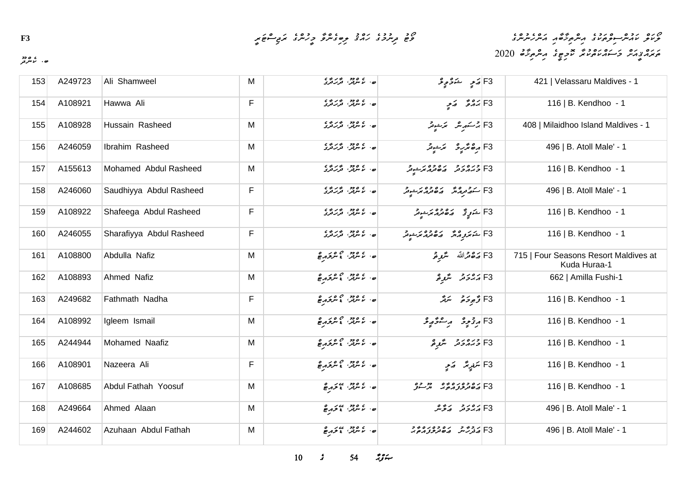*sCw7q7s5w7m< o<n9nOoAw7o< sCq;mAwBoEw7q<m; wBm;vB* م من المرة المرة المرة المرجع المرجع في المركبة 2020<br>مجم*د المريض المربوط المربع المرجع في المراجع المركبة* 

| 153 | A249723 | Ali Shamweel             | M            | ے 200 میں 20<br>ن ماسولس فرماتوری                                                                                                                                                                                                                                                                                         | F3  ر <i>َمٍ حُوْمٍ وُ</i>                             | 421   Velassaru Maldives - 1                          |
|-----|---------|--------------------------|--------------|---------------------------------------------------------------------------------------------------------------------------------------------------------------------------------------------------------------------------------------------------------------------------------------------------------------------------|--------------------------------------------------------|-------------------------------------------------------|
| 154 | A108921 | Hawwa Ali                | F            | ه ۱۵ وو. در در د                                                                                                                                                                                                                                                                                                          | F3 پروٹ ک <i>ے ی</i>                                   | 116   B. Kendhoo - 1                                  |
| 155 | A108928 | Hussain Rasheed          | M            | ه به ۲۵ در ۲۰۰۶<br>۲۰۰۵ سرگر، تررتری                                                                                                                                                                                                                                                                                      | F3 پُرڪوپس ڪرھيونگر                                    | 408   Milaidhoo Island Maldives - 1                   |
| 156 | A246059 | Ibrahim Rasheed          | M            | ه . ما ۵۶۵ ورو .<br>د . ما مرتو . تور ترو                                                                                                                                                                                                                                                                                 | F3 م <i>ِیھُمَّرٍوْ مَرْجِ</i> مِّر                    | 496   B. Atoll Male' - 1                              |
| 157 | A155613 | Mohamed Abdul Rasheed    | M            | ه . ه موجود مورد .<br>ده . ما سرفر ، فرگرفری                                                                                                                                                                                                                                                                              | F3 دره رو دره ده در ده                                 | 116   B. Kendhoo - 1                                  |
| 158 | A246060 | Saudhiyya Abdul Rasheed  | $\mathsf{F}$ | ه . ه موجود مورد .<br>ده . ما سرفر ، فرگرفری                                                                                                                                                                                                                                                                              | F3 سور مرور مرد وه مرشور                               | 496   B. Atoll Male' - 1                              |
| 159 | A108922 | Shafeega Abdul Rasheed   | F            | ه . ه موجود مورد .<br>ده . ما سرفر ، فرگرفری                                                                                                                                                                                                                                                                              | F3 خَرَرٍ يَنْ صَ <i>مَّوْهِ بَرَ</i> حْدِيْرِ         | 116   B. Kendhoo - 1                                  |
| 160 | A246055 | Sharafiyya Abdul Rasheed | $\mathsf F$  | ه . په ۶۶۵ کې د دې<br>ده . با مرتبر ، فربرتوري                                                                                                                                                                                                                                                                            | F3 ش <i>ەمزوەش مەھەرمەش</i> ىر                         | 116   B. Kendhoo - 1                                  |
| 161 | A108800 | Abdulla Nafiz            | M            | $\begin{bmatrix} 0 & 0 & 0 & 0 & 0 & 0 \\ 0 & 0 & 0 & 0 & 0 & 0 \\ 0 & 0 & 0 & 0 & 0 & 0 \\ 0 & 0 & 0 & 0 & 0 & 0 \\ 0 & 0 & 0 & 0 & 0 & 0 \\ 0 & 0 & 0 & 0 & 0 & 0 \\ 0 & 0 & 0 & 0 & 0 & 0 \\ 0 & 0 & 0 & 0 & 0 & 0 \\ 0 & 0 & 0 & 0 & 0 & 0 \\ 0 & 0 & 0 & 0 & 0 & 0 & 0 \\ 0 & 0 & 0 & 0 & 0 & 0 & 0 \\ 0 & 0 & 0 & $ | F3 مَەھىراللە شَعَرِ <i>مُ</i> ح                       | 715   Four Seasons Resort Maldives at<br>Kuda Huraa-1 |
| 162 | A108893 | Ahmed Nafiz              | M            |                                                                                                                                                                                                                                                                                                                           | F3 <i>ړې دی سگې</i> په ۱۶۵                             | 662   Amilla Fushi-1                                  |
| 163 | A249682 | Fathmath Nadha           | $\mathsf F$  | ه . با محمد من مرد مع .<br>مسرور المسرور المحمد من                                                                                                                                                                                                                                                                        | F3 <i>وُّجِوَدُوْ</i> سَرَمَّرُ                        | 116   B. Kendhoo - 1                                  |
| 164 | A108992 | Igleem Ismail            | M            | . ٢٥٢٠ م مركز مع                                                                                                                                                                                                                                                                                                          | F3 پرتزموگ پرڪر <i>گو</i> گو                           | 116   B. Kendhoo - 1                                  |
| 165 | A244944 | Mohamed Naafiz           | M            |                                                                                                                                                                                                                                                                                                                           | F3 دېرورو گرون <sub>م</sub> و                          | 116   B. Kendhoo - 1                                  |
| 166 | A108901 | Nazeera Ali              | $\mathsf F$  |                                                                                                                                                                                                                                                                                                                           | F3 سَمْدِيَّر - سَرِ                                   | 116   B. Kendhoo - 1                                  |
| 167 | A108685 | Abdul Fathah Yoosuf      | M            | $\frac{1}{2}$ $\frac{1}{2}$ $\frac{1}{2}$ $\frac{1}{2}$ $\frac{1}{2}$ $\frac{1}{2}$ $\frac{1}{2}$ $\frac{1}{2}$ $\frac{1}{2}$ $\frac{1}{2}$ $\frac{1}{2}$ $\frac{1}{2}$ $\frac{1}{2}$ $\frac{1}{2}$ $\frac{1}{2}$ $\frac{1}{2}$ $\frac{1}{2}$ $\frac{1}{2}$ $\frac{1}{2}$ $\frac{1}{2}$ $\frac{1}{2}$ $\frac{1}{2}$       | 53 - موجود موجود معرضو<br>53 - مص <i>حر فرموب</i> ر مر | 116   B. Kendhoo - 1                                  |
| 168 | A249664 | Ahmed Alaan              | M            | 6, 26, 306                                                                                                                                                                                                                                                                                                                | F3 كەبرى قىر كەنگەنلەر بىر                             | 496   B. Atoll Male' - 1                              |
| 169 | A244602 | Azuhaan Abdul Fathah     | M            | 6, 74, 706                                                                                                                                                                                                                                                                                                                |                                                        | 496   B. Atoll Male' - 1                              |

*10 sC 54 nNw?mS*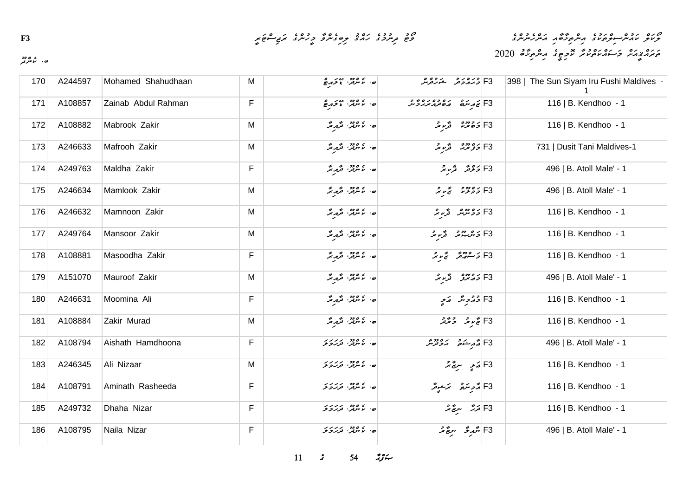*sCw7q7s5w7m< o<n9nOoAw7o< sCq;mAwBoEw7q<m; wBm;vB* م من المرة المرة المرة المرجع المرجع في المركبة 2020<br>مجم*د المريض المربوط المربع المرجع في المراجع المركبة* 

| 170 | A244597 | Mohamed Shahudhaan  | M            | $\frac{1}{2}$ $\frac{1}{2}$ $\frac{1}{2}$ $\frac{1}{2}$ $\frac{1}{2}$ $\frac{1}{2}$ $\frac{1}{2}$ $\frac{1}{2}$ $\frac{1}{2}$ $\frac{1}{2}$ $\frac{1}{2}$ $\frac{1}{2}$ $\frac{1}{2}$ $\frac{1}{2}$ $\frac{1}{2}$ $\frac{1}{2}$ $\frac{1}{2}$ $\frac{1}{2}$ $\frac{1}{2}$ $\frac{1}{2}$ $\frac{1}{2}$ $\frac{1}{2}$ | F3 32,325 مشرقرينز               | 398   The Sun Siyam Iru Fushi Maldives - |
|-----|---------|---------------------|--------------|---------------------------------------------------------------------------------------------------------------------------------------------------------------------------------------------------------------------------------------------------------------------------------------------------------------------|----------------------------------|------------------------------------------|
| 171 | A108857 | Zainab Abdul Rahman | $\mathsf{F}$ | 6, 7, 6, 7, 0, 6, 0                                                                                                                                                                                                                                                                                                 | F3 <i>בתיית הסינת הגלית</i>      | 116   B. Kendhoo - 1                     |
| 172 | A108882 | Mabrook Zakir       | M            | ه . ما مرکز افراد مگر                                                                                                                                                                                                                                                                                               | F3   جو صحره شرم تحريب تحريب     | 116   B. Kendhoo - 1                     |
| 173 | A246633 | Mafrooh Zakir       | M            | ھ ، ئائىرلىق ئىزمەنتى                                                                                                                                                                                                                                                                                               | F3 تر <i>وجين</i> ڏيونر          | 731   Dusit Tani Maldives-1              |
| 174 | A249763 | Maldha Zakir        | F            | ھ ، ئائىرلىق ئىزمەنتى                                                                                                                                                                                                                                                                                               | F3 كەنزىق ق <i>رىبەتى</i>        | 496   B. Atoll Male' - 1                 |
| 175 | A246634 | Mamlook Zakir       | M            | ھ ، ئاس ترم ترم تر                                                                                                                                                                                                                                                                                                  | $3.233$ F3                       | 496   B. Atoll Male' - 1                 |
| 176 | A246632 | Mamnoon Zakir       | M            | ھ ، ئاس ترم ترم تر                                                                                                                                                                                                                                                                                                  | F3  كەنجەنلىرى ق <i>ۇم</i> برىر  | 116   B. Kendhoo - 1                     |
| 177 | A249764 | Mansoor Zakir       | M            | ھ ، ئائىرلىق ئىزمەنتى                                                                                                                                                                                                                                                                                               | F3 كەشرىيىتىمە ئ <i>ۇرىدى</i> گە | 116   B. Kendhoo - 1                     |
| 178 | A108881 | Masoodha Zakir      | $\mathsf F$  | ھ ، ئائىرلىق قرم بىگە                                                                                                                                                                                                                                                                                               | F3 كەسىھەتىر ئى <sup>م</sup> بىر | 116   B. Kendhoo - 1                     |
| 179 | A151070 | Mauroof Zakir       | M            | ھ ، ئاس ترم ترم تر                                                                                                                                                                                                                                                                                                  | F3 <i>حەمدىق</i> قرىبەتتە        | 496   B. Atoll Male' - 1                 |
| 180 | A246631 | Moomina Ali         | $\mathsf F$  | ھ ، ئائىرلىق ئىزمەنتى                                                                                                                                                                                                                                                                                               | F3 دېمرمگر ک <i>ړې</i>           | 116   B. Kendhoo - 1                     |
| 181 | A108884 | Zakir Murad         | M            | ھ ، ئاس ترار شرور ش                                                                                                                                                                                                                                                                                                 | F3 يُحرِيمُ وَيُحَمَّدُ          | 116   B. Kendhoo - 1                     |
| 182 | A108794 | Aishath Hamdhoona   | F            | ە بەرەدە بەرىرىيە<br>ھەسمەتلىرى قرىرى بور                                                                                                                                                                                                                                                                           | F3 مەم ئىشقى ئىر ئىرگىرىنگر      | 496   B. Atoll Male' - 1                 |
| 183 | A246345 | Ali Nizaar          | M            | ە دە بەردىر<br>ھەرسىرلىرى قرىرى ب                                                                                                                                                                                                                                                                                   | F3   رَمِ سِيَّ تَر              | 116   B. Kendhoo - 1                     |
| 184 | A108791 | Aminath Rasheeda    | $\mathsf F$  | ە · ئا ئارەدە بەزىرىز ئى                                                                                                                                                                                                                                                                                            | F3 مُرْحِ سَرَمْ مَرْسُومُرٌ     | 116   B. Kendhoo - 1                     |
| 185 | A249732 | Dhaha Nizar         | F            | ە · ئا ئابلار، ئەركەترىكى                                                                                                                                                                                                                                                                                           | F3 اَمَرَدُ سِيَّ مَرْ           | 116   B. Kendhoo - 1                     |
| 186 | A108795 | Naila Nizar         | F            | ە دە بەردىر<br>ھەسسىلىرى قرىرى ق                                                                                                                                                                                                                                                                                    | F3 سَمَدِ مَّتَ سِيَّ سَمَّ      | 496   B. Atoll Male' - 1                 |

 $11$  *s* 54  $23$   $\div$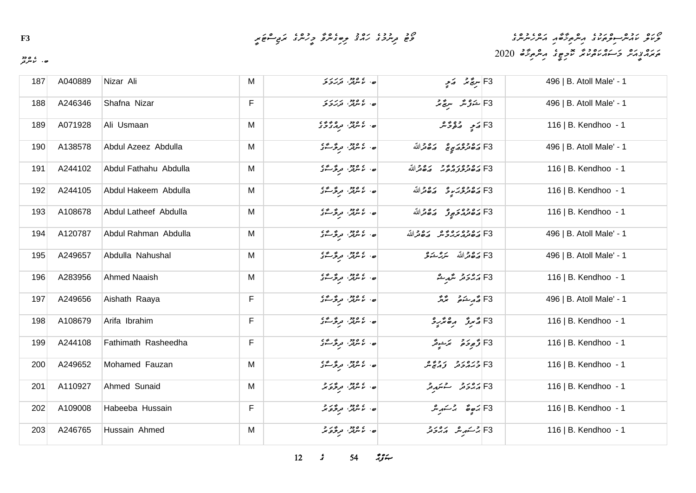*sCw7q7s5w7m< o<n9nOoAw7o< sCq;mAwBoEw7q<m; wBm;vB* م من المرة المرة المرة المرجع المرجع في المركبة 2020<br>مجم*د المريض المربوط المربع المرجع في المراجع المركبة* 

| 187 | A040889 | Nizar Ali             | M           |                                                  | F3 سرچ پر کرم پر                              | 496   B. Atoll Male' - 1 |
|-----|---------|-----------------------|-------------|--------------------------------------------------|-----------------------------------------------|--------------------------|
| 188 | A246346 | Shafna Nizar          | F           | ے میں دربر<br>ے مسجن ترکرونو                     | F3 ڪر <i>و ٿر</i> سر <i>چ تر</i>              | 496   B. Atoll Male' - 1 |
| 189 | A071928 | Ali Usmaan            | M           | ه به محمد محمد ده.<br>۲۰۰۵ سربر مرد در در        | F3 <i>ڇَجِ ڇهوڱنگ</i>                         | 116   B. Kendhoo - 1     |
| 190 | A138578 | Abdul Azeez Abdulla   | M           | ە . ، ، ، ، ، ئۇسۇ ،                             | F3 <i>مُەقىر قەمى ئەھەت</i> راللە             | 496   B. Atoll Male' - 1 |
| 191 | A244102 | Abdul Fathahu Abdulla | M           |                                                  | F3 رەمورە بوم بەھتراللە                       | 116   B. Kendhoo - 1     |
| 192 | A244105 | Abdul Hakeem Abdulla  | M           | ے موجز کروگر ہے ۔                                | F3 <i>مَـُـوْمَرْحِرَىٰ وَ</i> مُ مَرْاللَّهُ | 116   B. Kendhoo - 1     |
| 193 | A108678 | Abdul Latheef Abdulla | M           | ه ، با مربو، مربح شو ،<br>ه ، با مربو، مربح شو ، | F3 <i>مُەفتەمگەن مەھەر</i> اللە               | 116   B. Kendhoo - 1     |
| 194 | A120787 | Abdul Rahman Abdulla  | M           | ە ، ئاسرىس بورگە ئە ،                            | F3 مەمەمەمەم مەھىراللە                        | 496   B. Atoll Male' - 1 |
| 195 | A249657 | Abdulla Nahushal      | M           | ە ، ئاسرىس قرۇشىمى                               | F3 مَرْجَ قَرْاللّه سَرَرْشَوْ وَ             | 496   B. Atoll Male' - 1 |
| 196 | A283956 | <b>Ahmed Naaish</b>   | M           | ە . ، ، ، ، ، ئۇسۇ ،                             | F3 كەندى تەرىئە                               | 116   B. Kendhoo - 1     |
| 197 | A249656 | Aishath Raaya         | $\mathsf F$ |                                                  | F3 مُمبِّسْمَ مُمبَّر                         | 496   B. Atoll Male' - 1 |
| 198 | A108679 | Arifa Ibrahim         | F           | ه ، ۱۵۰۵ مرکز ده د                               | F3 مەسرى مەھەر بەھ                            | 116   B. Kendhoo - 1     |
| 199 | A244108 | Fathimath Rasheedha   | F           | ە ، ئاسرىس قرىق شى                               | F3 وَّجِرَدَةُ مَرَسُوتَرُ                    | 116   B. Kendhoo - 1     |
| 200 | A249652 | Mohamed Fauzan        | M           | ە ، ئاسرىس قرۇشىمى                               | F3 دره در و دوم ش                             | 116   B. Kendhoo - 1     |
| 201 | A110927 | Ahmed Sunaid          | M           | ے موبر بروکریں<br>حسن سربر بروکریں               | F3 <i>222 مشهد ق</i>                          | 116   B. Kendhoo - 1     |
| 202 | A109008 | Habeeba Hussain       | $\mathsf F$ | ه . ما مرتز، ترتزوبر<br>ه . ما مرتز، ترتزوبر     | F3 يَرْحِرَّةُ بِرْسَمْ بِرْسَمْ بِرْ         | 116   B. Kendhoo - 1     |
| 203 | A246765 | Hussain Ahmed         | M           | ه ۱۵۵۰ ورځونه<br><i>ه نامرن</i> ن ترو <i>ون</i>  | F3 يُرْسَمُ مِيْتَ مَدَوْمَتْرَ               | 116   B. Kendhoo - 1     |

*12 sC 54 nNw?mS*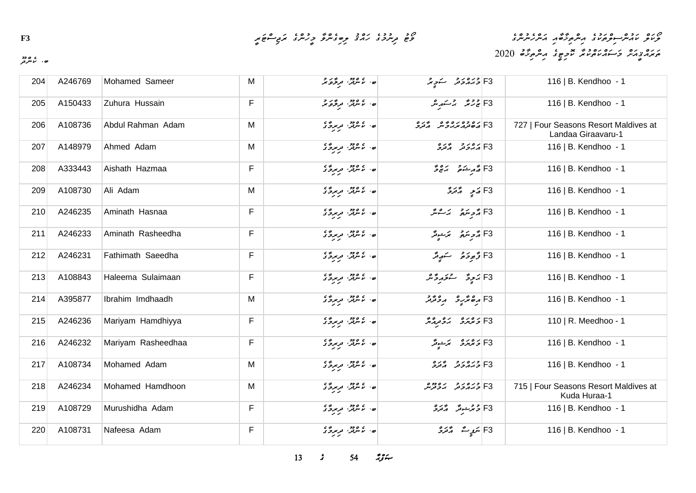*sCw7q7s5w7m< o<n9nOoAw7o< sCq;mAwBoEw7q<m; wBm;vB* م من المرة المرة المرة المرجع المرجع في المركبة 2020<br>مجم*د المريض المربوط المربع المرجع في المراجع المركبة* 

| 204 | A246769 | Mohamed Sameer     | M            | ه . ما موټر . ترڅونو بر                             | F3 دېمبروتر شویز                                                                                              | 116   B. Kendhoo - 1                                        |
|-----|---------|--------------------|--------------|-----------------------------------------------------|---------------------------------------------------------------------------------------------------------------|-------------------------------------------------------------|
| 205 | A150433 | Zuhura Hussain     | F            | ه . ما سربر . و د د د .<br>ه . ما سربر . و د ترو بر | F3 كانجار محركت برسكر محمد مثلا                                                                               | 116   B. Kendhoo - 1                                        |
| 206 | A108736 | Abdul Rahman Adam  | M            | ے مشتر مریز دی                                      | F3 ړه ده بره په په پره                                                                                        | 727   Four Seasons Resort Maldives at<br>Landaa Giraavaru-1 |
| 207 | A148979 | Ahmed Adam         | M            | ه . ما مرود.<br>د . ما مرود . مرمرو د               | F3 كەبروتى گەتر <i>ە</i>                                                                                      | 116   B. Kendhoo - 1                                        |
| 208 | A333443 | Aishath Hazmaa     | F            | ه . ، ، ۵۶۵<br>ه . ، ، مرکز ، در برو د              | F3 مەم ئىقى ئىقى ئىقى F3                                                                                      | 116   B. Kendhoo - 1                                        |
| 209 | A108730 | Ali Adam           | M            | ه ۲۵۵۰ و.<br>د کامرلر، تریروگ                       | F3 <i>حَجِ مُحَرَّدُ</i>                                                                                      | 116   B. Kendhoo - 1                                        |
| 210 | A246235 | Aminath Hasnaa     | F            | ے میں مریر گریم                                     | F3   مَرْحِ سَرَةً   سَرْسَرٌ   سَرْسٌرٌ                                                                      | 116   B. Kendhoo - 1                                        |
| 211 | A246233 | Aminath Rasheedha  | $\mathsf F$  |                                                     | F3 مُجِسَعُ مَنْ مَنْ مِنْ                                                                                    | 116   B. Kendhoo - 1                                        |
| 212 | A246231 | Fathimath Saeedha  | F            |                                                     | F3 <i>وَّجِودَةْ</i> سَم <i>وِيْدُ</i>                                                                        | 116   B. Kendhoo - 1                                        |
| 213 | A108843 | Haleema Sulaimaan  | F            | ے مشہر مریز دی                                      | F3 يَرْدِدُّ سَنْدَرِدُّسْ                                                                                    | 116   B. Kendhoo - 1                                        |
| 214 | A395877 | Ibrahim Imdhaadh   | M            |                                                     | F3 مەھەرىرى مەمەم                                                                                             | 116   B. Kendhoo - 1                                        |
| 215 | A246236 | Mariyam Hamdhiyya  | $\mathsf F$  | ے وجود مریز دی                                      | F3 كريريز بروبرمر                                                                                             | 110   R. Meedhoo - 1                                        |
| 216 | A246232 | Mariyam Rasheedhaa | F            | ه ۲۵۵۰ و.<br>د کامرلر، تریروگ                       | F3 كەنگەنى كەن كەنگەنىسى ئىككەن ئىككەن ئىككەن ئىككەن ئىككەن ئىككەن ئىككەن 13 كەنگە كەنگە ئىككەن ئىككەن ئىككەن | 116   B. Kendhoo - 1                                        |
| 217 | A108734 | Mohamed Adam       | M            | ه . ۶۶۵ و.<br>ه . ما سرفر ، فرمزدگری                | F3 32023 كره                                                                                                  | 116   B. Kendhoo - 1                                        |
| 218 | A246234 | Mohamed Hamdhoon   | $\mathsf{M}$ | ے مشتر مریز دی                                      | F3 ويرەپو بەمدە<br>F3 ۈيەمدى بەدىرىتر                                                                         | 715   Four Seasons Resort Maldives at<br>Kuda Huraa-1       |
| 219 | A108729 | Murushidha Adam    | F            | ه کامرین مربرد و                                    | F3 كوتر شوتر مركز كركر كالمحركي                                                                               | 116   B. Kendhoo - 1                                        |
| 220 | A108731 | Nafeesa Adam       | F            | ے واقع مریز دی                                      | F3 سَمِرٍ شَدَّ مَتَعَدَّدُ                                                                                   | 116   B. Kendhoo - 1                                        |

*13 s* 54 *if*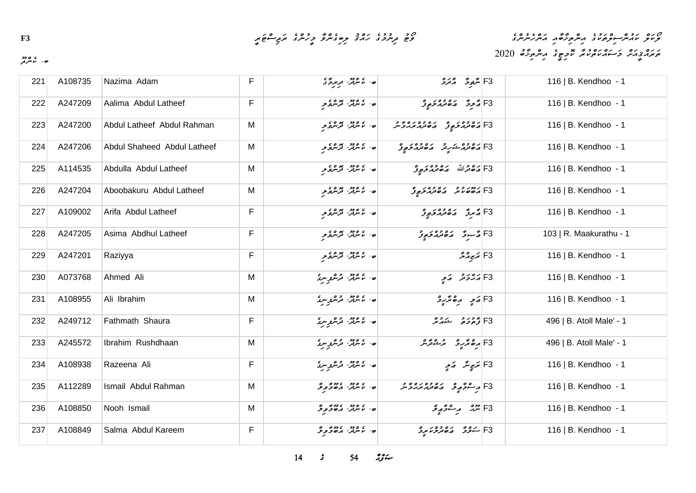*sCw7q7s5w7m< o<n9nOoAw7o< sCq;mAwBoEw7q<m; wBm;vB* م من المرة المرة المرة المرجع المرجع في المركبة 2020<br>مجم*د المريض المربوط المربع المرجع في المراجع المركبة* 

| 221 | A108735 | Nazima Adam                 | F            | ے مشرقی مریز ڈی                                     | F3 سَّمَعِ 3 مَتَّ مَرَّدَّ                                                                          | 116   B. Kendhoo - 1     |
|-----|---------|-----------------------------|--------------|-----------------------------------------------------|------------------------------------------------------------------------------------------------------|--------------------------|
| 222 | A247209 | Aalima Abdul Latheef        | F            | ه . ما مرکز ، ترمرونو                               | F3 مُرِحَدٌ مَصْرَمْ <i>حَمِيوْ</i>                                                                  | 116   B. Kendhoo - 1     |
| 223 | A247200 | Abdul Latheef Abdul Rahman  | M            |                                                     |                                                                                                      | 116   B. Kendhoo - 1     |
| 224 | A247206 | Abdul Shaheed Abdul Latheef | M            | ه ، کاملار، ترسی و                                  | F3 גە دە يەر دە دەر مەدەر دەر د                                                                      | 116   B. Kendhoo - 1     |
| 225 | A114535 | Abdulla Abdul Latheef       | M            | ے مجمع ہے۔<br>جن ماسریں افراد موجو                  | F3 مەھىراللە مەھ <i>ىرم خېرى</i>                                                                     | 116   B. Kendhoo - 1     |
| 226 | A247204 | Aboobakuru Abdul Latheef    | M            | ه . ما مرکز . تر مرد و .<br>ده . ما مرکز . تر مرد و | F3 המניכ נספט כי הסינה בית ב                                                                         | 116   B. Kendhoo - 1     |
| 227 | A109002 | Arifa Abdul Latheef         | $\mathsf F$  | ه . ما مرکز ، تر مرد و                              | F3 مُبِرَدٌ مَصْرَمْ مَعْرِ وَ                                                                       | 116   B. Kendhoo - 1     |
| 228 | A247205 | Asima Abdhul Latheef        | F            | ه . ما مربر . تر مربوع.<br>م . ما مربر . تر مربوع.  | F3 گەسىر ئەھەر <i>مەھەر دەر</i>                                                                      | 103   R. Maakurathu - 1  |
| 229 | A247201 | Raziyya                     | F            | ه . ما مرور بره م                                   | F3 بَرَىبِي <i>مُ</i> مَّرَ                                                                          | 116   B. Kendhoo - 1     |
| 230 | A073768 | Ahmed Ali                   | M            | ے معرفہ مرسوم سر                                    | F3 <i>ډېر دي.</i>                                                                                    | 116   B. Kendhoo - 1     |
| 231 | A108955 | Ali Ibrahim                 | M            | ے معرفہ وحوید ہے                                    | F3 <i>ھَجِ مِ</i> ھَمَّرِوْ                                                                          | 116   B. Kendhoo - 1     |
| 232 | A249712 | Fathmath Shaura             | $\mathsf F$  | ه . ما مرکز، اور مرکز میرند                         | F3 توجوج شوچ پخ                                                                                      | 496   B. Atoll Male' - 1 |
| 233 | A245572 | Ibrahim Rushdhaan           | M            | ے معرفیں فرس سر                                     | F3 م <i>ەھگرى</i> مەشەمگىر                                                                           | 496   B. Atoll Male' - 1 |
| 234 | A108938 | Razeena Ali                 | F            | ے معرفہ مرسوم سر                                    | F3 بَمَبِي مَدَّ مَرْمٍ                                                                              | 116   B. Kendhoo - 1     |
| 235 | A112289 | Ismail Abdul Rahman         | M            |                                                     | F3 مەشق ھەر مەمدە مەدە بور                                                                           | 116   B. Kendhoo - 1     |
| 236 | A108850 | Nooh Ismail                 | $\mathsf{M}$ | ם י מיתר מידור בי                                   | F3 يومبر مركز مركز مركز بالمحدد مركز المنافسة المنافسية بالمنافسية المنافسية المنافسية المنافسية الم | 116   B. Kendhoo - 1     |
| 237 | A108849 | Salma Abdul Kareem          | F            |                                                     | F3 بەيرى بەرەرد <i>ە ب</i> ور                                                                        | 116   B. Kendhoo - 1     |

*14 sC 54 nNw?mS*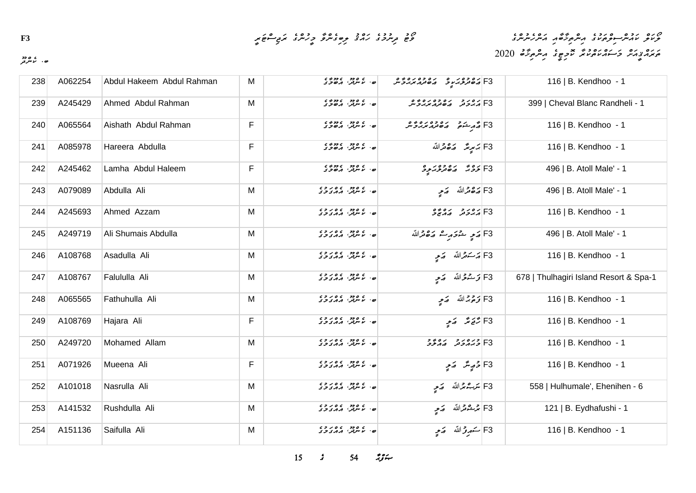*sCw7q7s5w7m< o<n9nOoAw7o< sCq;mAwBoEw7q<m; wBm;vB* م من المرة المرة المرة المرجع المرجع في المركبة 2020<br>مجم*د المريض المربوط المربع المرجع في المراجع المركبة* 

| 238 | A062254 | Abdul Hakeem Abdul Rahman | M | ם - מיתה מימישים<br>  פי מיתה מים <i>ב</i> צ        | F3 בסתגת כ בסתגמה כם                      | 116   B. Kendhoo - 1                   |
|-----|---------|---------------------------|---|-----------------------------------------------------|-------------------------------------------|----------------------------------------|
| 239 | A245429 | Ahmed Abdul Rahman        | M | גם כבר הכבר בין<br>פי עיתב, הפכב                    | F3 رەرو دەوەرەپور                         | 399   Cheval Blanc Randheli - 1        |
| 240 | A065564 | Aishath Abdul Rahman      | F |                                                     | F3 مەم ئىسىم مەھ <i>ەرە بەرە</i>          | 116   B. Kendhoo - 1                   |
| 241 | A085978 | Hareera Abdulla           | F | גם כבר הכברה<br>פי עיתב, הפכב                       | F3 بَرَمِيرَتَنَ <i>بَرْهُ قَرْ</i> اللّه | 116   B. Kendhoo - 1                   |
| 242 | A245462 | Lamha Abdul Haleem        | F |                                                     | F3 تر <i>وثة م</i> ەم <i>رونرو</i> ۋ      | 496   B. Atoll Male' - 1               |
| 243 | A079089 | Abdulla Ali               | M | ه وه وه وه دوه<br>ه مسرفر، ممدورو                   | F3 صَرْهُ قَمْرَاللّه      صَعِ           | 496   B. Atoll Male' - 1               |
| 244 | A245693 | Ahmed Azzam               | м | ه . که دود . ۲۵ د د د<br>ح . کاملوانی . از از د ک   | 5, 5, 5, 5, 5                             | 116   B. Kendhoo - 1                   |
| 245 | A249719 | Ali Shumais Abdulla       | M | e o voce poc<br>ه۰ کاملانکی از ایراد ک              | F3 كەمچە ھەقرىرى <i>شە كە</i> ھەتراللە    | 496   B. Atoll Male' - 1               |
| 246 | A108768 | Asadulla Ali              | M | e o voce poc<br>ه۰ کاملانکی از ایراد ک              | F3  تركتوترالله   ت <i>مو</i>             | 116   B. Kendhoo - 1                   |
| 247 | A108767 | Falululla Ali             | M | ه . که دو . ۶۵ د و .<br>م . کاملوانی . از ایران و ی | F3 كَرْتْخْوَاللّه    قرَمِي              | 678   Thulhagiri Island Resort & Spa-1 |
| 248 | A065565 | Fathuhulla Ali            | M | ه . کامود . ۲۵۷۵<br>م . کامولر ، مامرو د ی          | F3 كوتمر2 الله ك <i>م و ب</i> ح           | 116   B. Kendhoo - 1                   |
| 249 | A108769 | Hajara Ali                | F | ه . کامود . ۲۵۷۵<br>م . کامولر ، مامرو د ی          | F3 څخه تر <sub>م</sub> ې                  | 116   B. Kendhoo - 1                   |
| 250 | A249720 | Mohamed Allam             | M | ه وه وه وه دوه<br>ه مسرفر، ممدورو                   | $5201$ $2202$ $F3$                        | 116   B. Kendhoo - 1                   |
| 251 | A071926 | Mueena Ali                | F | ه . که دو . ۶۵ د و .<br>م . کاملوانی . از ایران و ی | F3   جُم <i>ٍینڈ مَن</i> حٍ               | 116   B. Kendhoo - 1                   |
| 252 | A101018 | Nasrulla Ali              | M | ه . که ۵ و د ۵ و د و د<br>ح . کاملوانی ، در د کار ک | F3 بَتَرْبِجْعَمْ اللّه     قَدَمِي       | 558   Hulhumale', Ehenihen - 6         |
| 253 | A141532 | Rushdulla Ali             | M | ه . که دو . ۲۵ د د .<br>م . کاملوانی . آبرای د ی    | F3 بَرْشَةِتْرَاللَّهُ     رَمِحِ         | 121   B. Eydhafushi - 1                |
| 254 | A151136 | Saifulla Ali              | M | ه . که دو . ۲۵ د د .<br>م . کاملوانی . آبرای د ی    | F3 كمر <i>و</i> الله كدمي                 | 116   B. Kendhoo - 1                   |

*15 sC 54 nNw?mS*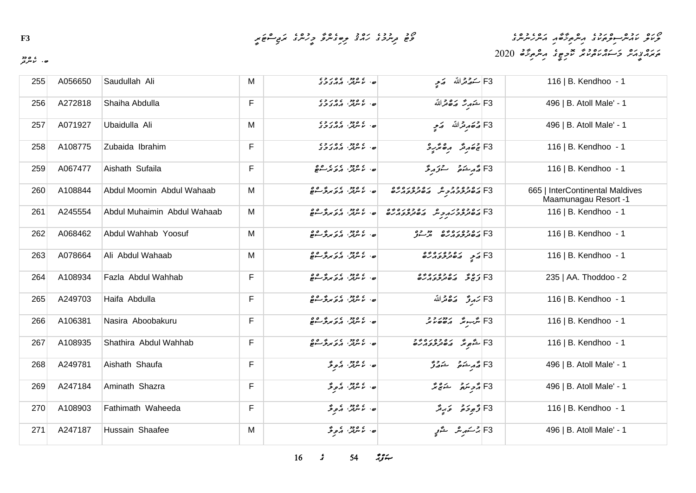*sCw7q7s5w7m< o<n9nOoAw7o< sCq;mAwBoEw7q<m; wBm;vB* م من المرة المرة المرة المرجع المرجع في المركبة 2020<br>مجم*د المريض المربوط المربع المرجع في المراجع المركبة* 

| 255 | A056650 | Saudullah Ali               | M | ه . کامود . ۲۵ د د .<br>م . کامونس . از ارد کامو                                                                                                                                                                                                                                                                         | F3 كەترىللە كەم <u>و</u>                                                                                                                                                                                                       | 116   B. Kendhoo - 1                                    |
|-----|---------|-----------------------------|---|--------------------------------------------------------------------------------------------------------------------------------------------------------------------------------------------------------------------------------------------------------------------------------------------------------------------------|--------------------------------------------------------------------------------------------------------------------------------------------------------------------------------------------------------------------------------|---------------------------------------------------------|
| 256 | A272818 | Shaiha Abdulla              | F | ه . که دود . ۲۵ د د د<br>ح . کاسرفر . ایراد کرد ک                                                                                                                                                                                                                                                                        | F3 خَمَ <i>مِر مُنْ هَ</i> قْدَاللَّه                                                                                                                                                                                          | 496   B. Atoll Male' - 1                                |
| 257 | A071927 | Ubaidulla Ali               | M | ه . کامود . ۲۵۷۵<br>م . کامولر ، ایراد کار                                                                                                                                                                                                                                                                               | F3 مُقَمِعِ مِثْرَاللَّهُ مَعْ مِ                                                                                                                                                                                              | 496   B. Atoll Male' - 1                                |
| 258 | A108775 | Zubaida Ibrahim             | F | ه وه وه وه دوه<br>ه مسرفر، ممدورو                                                                                                                                                                                                                                                                                        | F3 نح <i>قه بده م</i> قتربه مح                                                                                                                                                                                                 | 116   B. Kendhoo - 1                                    |
| 259 | A067477 | Aishath Sufaila             | F | ه . کامبرد ، در در ده<br>مسلم کرد ، مرکز کرد                                                                                                                                                                                                                                                                             | F3 مەم شىر ئىقىدىگە                                                                                                                                                                                                            | 116   B. Kendhoo - 1                                    |
| 260 | A108844 | Abdul Moomin Abdul Wahaab   | M | $\begin{bmatrix} 0 & 0 & 0 & 0 & 0 & 0 & 0 \\ 0 & 0 & 0 & 0 & 0 & 0 & 0 \\ 0 & 0 & 0 & 0 & 0 & 0 & 0 \\ 0 & 0 & 0 & 0 & 0 & 0 & 0 \\ 0 & 0 & 0 & 0 & 0 & 0 & 0 \\ 0 & 0 & 0 & 0 & 0 & 0 & 0 \\ 0 & 0 & 0 & 0 & 0 & 0 & 0 \\ 0 & 0 & 0 & 0 & 0 & 0 & 0 \\ 0 & 0 & 0 & 0 & 0 & 0 & 0 \\ 0 & 0 & 0 & 0 & 0 & 0 & 0 \\ 0 & $ |                                                                                                                                                                                                                                | 665   InterContinental Maldives<br>Maamunagau Resort -1 |
| 261 | A245554 | Abdul Muhaimin Abdul Wahaab | M |                                                                                                                                                                                                                                                                                                                          | E3 - 1990 - 1990 - 1990 - 1990 - 1990 - 1990 - 1990 - 1990 - 1990 - 1990 - 1990 - 1990 - 1990 - 1990 - 1990 -<br>E3 - 1990 - 1990 - 1990 - 1990 - 1990 - 1990 - 1990 - 1990 - 1990 - 1990 - 1990 - 1990 - 1990 - 1990 - 1990 - | 116   B. Kendhoo - 1                                    |
| 262 | A068462 | Abdul Wahhab Yoosuf         | M |                                                                                                                                                                                                                                                                                                                          | F3 پره ده ده ده و ده وه                                                                                                                                                                                                        | 116   B. Kendhoo - 1                                    |
| 263 | A078664 | Ali Abdul Wahaab            | M | ە بە ئەرەر بەر بەرە ھ<br>ھ باش بىر بىر ئەرە بىر ئۇسسو                                                                                                                                                                                                                                                                    | F3 <i>جُمِعِ حُڪْمُرَحُومُرُڪ</i>                                                                                                                                                                                              | 116   B. Kendhoo - 1                                    |
| 264 | A108934 | Fazla Abdul Wahhab          | F | ە . ئامەدد ، ئارگەر ۋە ھ                                                                                                                                                                                                                                                                                                 | F3 زەغ مەمدەم دەھ                                                                                                                                                                                                              | 235   AA. Thoddoo - 2                                   |
| 265 | A249703 | Haifa Abdulla               | F |                                                                                                                                                                                                                                                                                                                          | F3 كەرى <del>ق كە</del> ھەراللە                                                                                                                                                                                                | 116   B. Kendhoo - 1                                    |
| 266 | A106381 | Nasira Aboobakuru           | F | ه . ع مرد . م . م . م . م . م .<br>ح . م سربي . م . م . م . م . ح . ح .                                                                                                                                                                                                                                                  | $7222$ $-722$ $-72$                                                                                                                                                                                                            | 116   B. Kendhoo - 1                                    |
| 267 | A108935 | Shathira Abdul Wahhab       | F | ه . ما مرد . د . د . د ه                                                                                                                                                                                                                                                                                                 | F3 څوم په ره ده ره ده                                                                                                                                                                                                          | 116   B. Kendhoo - 1                                    |
| 268 | A249781 | Aishath Shaufa              | F | ه . کامپري کرونځ                                                                                                                                                                                                                                                                                                         | F3 مُرْمِسْتَمْ شَمْرُتْرُ                                                                                                                                                                                                     | 496   B. Atoll Male' - 1                                |
| 269 | A247184 | Aminath Shazra              | F | ھ ، ئاسري گروڭر                                                                                                                                                                                                                                                                                                          | F3 مُجِسَمَةٌ شَمَعَ <i>مُ</i> دَّ                                                                                                                                                                                             | 496   B. Atoll Male' - 1                                |
| 270 | A108903 | Fathimath Waheeda           | F | ھ ، ئائىرتى كەم ئى                                                                                                                                                                                                                                                                                                       | F3 <i>وَّجِوَدَة</i> وَرِيْدَ                                                                                                                                                                                                  | 116   B. Kendhoo - 1                                    |
| 271 | A247187 | Hussain Shaafee             | M | ھ ، ئائىرتى كەم ئى                                                                                                                                                                                                                                                                                                       | F3 بُرْسَهرِ مَّرْ مِنَّةً مِ                                                                                                                                                                                                  | 496   B. Atoll Male' - 1                                |

*16 s* 54 *if*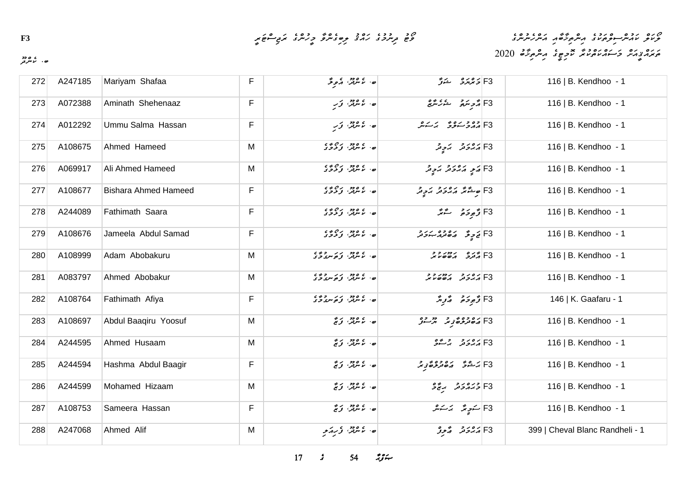*sCw7q7s5w7m< o<n9nOoAw7o< sCq;mAwBoEw7q<m; wBm;vB* م من المرة المرة المرة المرجع المرجع في المركبة 2020<br>مجم*د المريض المربوط المربع المرجع في المراجع المركبة* 

| 272 | A247185 | Mariyam Shafaa              | F            | ه ، با مارد ، مروتی                                  | F3 دېمبرو ختر                                          | 116   B. Kendhoo - 1            |
|-----|---------|-----------------------------|--------------|------------------------------------------------------|--------------------------------------------------------|---------------------------------|
| 273 | A072388 | Aminath Shehenaaz           | $\mathsf{F}$ | ه ، ئائىرلىق ئۇپ                                     | F3 مُحْرِسَهُمْ مُسْتَرَسَّةٍ                          | 116   B. Kendhoo - 1            |
| 274 | A012292 | Ummu Salma Hassan           | F            | ە ، ئائىرىش ئەپ                                      | F3 <i>مەمۇسۇۋە بەسكىل</i>                              | 116   B. Kendhoo - 1            |
| 275 | A108675 | Ahmed Hameed                | M            | ه . ع ه د . د . د . د .<br>ه . ما ملولون . و لا تر . | F3 <i>גُرُوَنْ بَ</i> وِنْرَ                           | 116   B. Kendhoo - 1            |
| 276 | A069917 | Ali Ahmed Hameed            | M            | ے مشترد رہے۔<br>ے کا سربل ولاحات                     | F3 كەب <i>و كەندى كەب</i> وتر                          | 116   B. Kendhoo - 1            |
| 277 | A108677 | <b>Bishara Ahmed Hameed</b> | $\mathsf F$  | ے مردور کردیا ہے                                     | F3 صِنْتُمْرَ بِرَبْرِدِ بِرَدِيْرَ                    | 116   B. Kendhoo - 1            |
| 278 | A244089 | Fathimath Saara             | F            | ه ۱۵۵۰ ده.<br>مسترس و در                             | F3 رَّج <i>ودَهُ</i> شَهُّ                             | 116   B. Kendhoo - 1            |
| 279 | A108676 | Jameela Abdul Samad         | $\mathsf F$  | ے موجود کرے ہے۔<br>جون کو موجودی                     | F3 في مرقع مدير مركز و براير ديكر<br>F3                | 116   B. Kendhoo - 1            |
| 280 | A108999 | Adam Abobakuru              | M            | ه . په موجود . پر د وه د<br>خواسترون او د موسود و د  | F3 گرده برده در در                                     | 116   B. Kendhoo - 1            |
| 281 | A083797 | Ahmed Abobakur              | M            | ه ۲۵۵ ور در دره<br>ه کاملل وکاملات                   | 722222225                                              | 116   B. Kendhoo - 1            |
| 282 | A108764 | Fathimath Afiya             | $\mathsf F$  | ه . ، ، ۵۶۰ و د ، د و ، ،<br>ما سرگر، نوم سرو د د    | F3 <i>وَّجِوَدَة</i> م <i>ُّوبةً</i>                   | 146   K. Gaafaru - 1            |
| 283 | A108697 | Abdul Baaqiru Yoosuf        | M            | ە . ئابىرلىر .<br>ھ . ئابىرلىر ، ئى تى               | F3 كەھەر <i>جەمئە</i> بىر مەر بور بور                  | 116   B. Kendhoo - 1            |
| 284 | A244595 | Ahmed Husaam                | M            | ھ ، ئاسريں گرمج                                      | F3 كەبروتى بەر مىگەنى                                  | 116   B. Kendhoo - 1            |
| 285 | A244594 | Hashma Abdul Baagir         | $\mathsf F$  | ھ ، ئائىرى ، ئۇ ج                                    | F3 كەشق مەھەر <i>ھەق</i> ق                             | 116   B. Kendhoo - 1            |
| 286 | A244599 | Mohamed Hizaam              | M            | ھ ، ئائىرتىر ، ئۇنج                                  | F3  <i>وټرونو بېڅ</i> و                                | 116   B. Kendhoo - 1            |
| 287 | A108753 | Sameera Hassan              | F            | ه ، ئايروژ، ئەنج                                     | F3   س <i>تمویمہ برسک</i> ھر                           | 116   B. Kendhoo - 1            |
| 288 | A247068 | Ahmed Alif                  | M            | ه ، ، ، ، ود. ، کرد کرد.                             | F3 <i>ټرې پې</i> وگړيو په کله د کارونو کې د کله کال کا | 399   Cheval Blanc Randheli - 1 |

*17 sC 54 nNw?mS*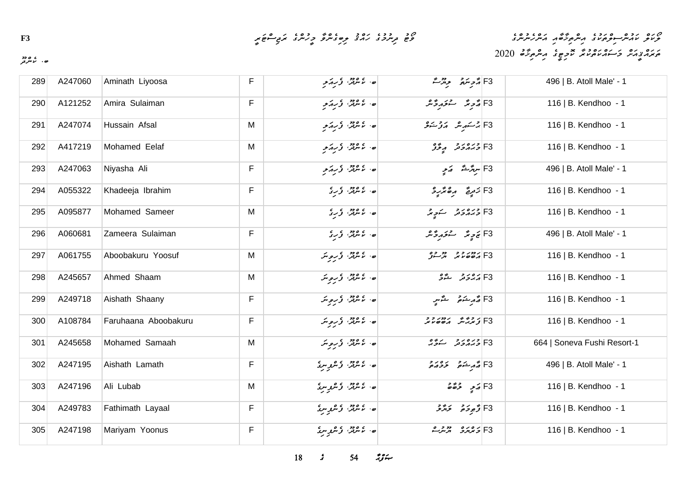*sCw7q7s5w7m< o<n9nOoAw7o< sCq;mAwBoEw7q<m; wBm;vB* م من المرة المرة المرة المرجع المرجع في المركبة 2020<br>مجم*د المريض المربوط المربع المرجع في المراجع المركبة* 

| 289 | A247060 | Aminath Liyoosa      | $\mathsf{F}$ | ه ، مأمرين و برمزمو           | F3 أَمُّ حِبَّرَتُهُمْ مُحِبَّرٌ مُسَمَّ           | 496   B. Atoll Male' - 1    |
|-----|---------|----------------------|--------------|-------------------------------|----------------------------------------------------|-----------------------------|
| 290 | A121252 | Amira Sulaiman       | F            | ه ، ما مرکز کی بر کرم         | F3   مَدْحِ مَدْ مَعَ مَدِ تَحْسَنُ مِنْ مِنْ مِنْ | 116   B. Kendhoo - 1        |
| 291 | A247074 | Hussain Afsal        | M            | ه ، مأمدهن و برمزمو           | F3 يُرْسَم <i>ُ بِهِ مَنْ شَوْسَوْ</i>             | 116   B. Kendhoo - 1        |
| 292 | A417219 | Mohamed Eelaf        | M            | ه ، مأسرفل كورمركز            | F3 <i>جەممىتى م</i> ۇۋ                             | 116   B. Kendhoo - 1        |
| 293 | A247063 | Niyasha Ali          | $\mathsf F$  | ه ، ئامېږي تورېږمو            | F3 سرمَرْتُ <sub>صَ</sub> رِ                       | 496   B. Atoll Male' - 1    |
| 294 | A055322 | Khadeeja Ibrahim     | $\mathsf F$  | ه ، کاملونو، توری             | F3 زَمرِيحَ م <i>ِ هُ مُ</i> رِدُ                  | 116   B. Kendhoo - 1        |
| 295 | A095877 | Mohamed Sameer       | M            | ه ، کاملل کاری کاری           | F3  <i>وبروونز</i> س <i>وپر</i>                    | 116   B. Kendhoo - 1        |
| 296 | A060681 | Zameera Sulaiman     | $\mathsf F$  | ه ، کاملانو، توری             |                                                    | 496   B. Atoll Male' - 1    |
| 297 | A061755 | Aboobakuru Yoosuf    | M            | ه عملون ورومتر                | $3 - 7 - 7 - 7 - 5$                                | 116   B. Kendhoo - 1        |
| 298 | A245657 | Ahmed Shaam          | M            | ه ، ما مرين کې ده مگر         | $3.2527$ F3                                        | 116   B. Kendhoo - 1        |
| 299 | A249718 | Aishath Shaany       | $\mathsf F$  | ه ، ما نبروز، و برونتر        | F3 م <i>ُمْهِ شُمَّةٍ</i> شُمَّسٍ                  | 116   B. Kendhoo - 1        |
| 300 | A108784 | Faruhaana Aboobakuru | $\mathsf{F}$ | ه ، با مرکز، و با مرکز        | $77777$ $7777$ F3                                  | 116   B. Kendhoo - 1        |
| 301 | A245658 | Mohamed Samaah       | M            | ه . ، ، ، ، وو ، و بره متر    | F3 دره در مرده و                                   | 664   Soneva Fushi Resort-1 |
| 302 | A247195 | Aishath Lamath       | F            | ە ، ئاس ، ئۇس بىر             | F3 مُدِيشَمُ كَرْدُهُ مُ                           | 496   B. Atoll Male' - 1    |
| 303 | A247196 | Ali Lubab            | M            | ە ، ئاس كى ئاس ئاس ئاس ئاس كى | $rac{22}{5}$ $rac{1}{5}$ F3                        | 116   B. Kendhoo - 1        |
| 304 | A249783 | Fathimath Layaal     | F            | ە ، ئاس كى ئاس ئاس ئاس ئاس كى | F3 وَ <i>ُجِ</i> وَمَ وَيَرْوَ                     | 116   B. Kendhoo - 1        |
| 305 | A247198 | Mariyam Yoonus       | F            | ە . ئابىرىدا ئۇيترىم بىرىدا   | F3 كوبرېزيو پرتېرگ                                 | 116   B. Kendhoo - 1        |

*18 sC 54 nNw?mS*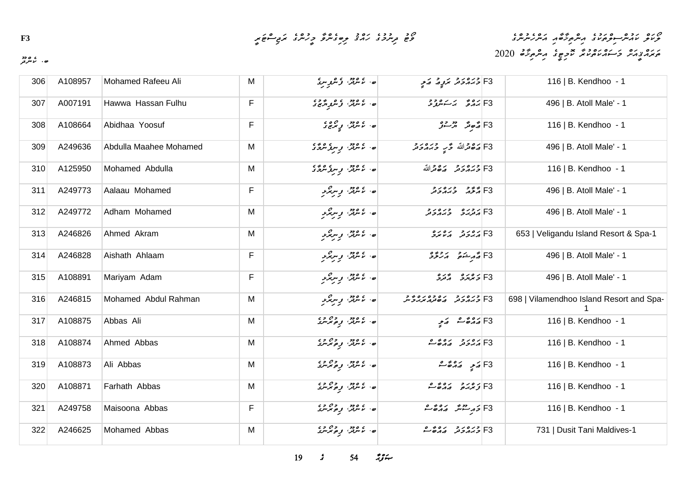*sCw7q7s5w7m< o<n9nOoAw7o< sCq;mAwBoEw7q<m; wBm;vB* م من المرة المرة المرة المرجع المرجع في المركبة 2020<br>مجم*د المريض المربوط المربع المرجع في المراجع المركبة* 

| 306 | A108957 | Mohamed Rafeeu Ali     | M            | @ ئائىرلىق كۆشۈرىدىگە                                             | F3  <i>ويمادوند بروٍ په ټ</i> وٍ | 116   B. Kendhoo - 1                     |
|-----|---------|------------------------|--------------|-------------------------------------------------------------------|----------------------------------|------------------------------------------|
| 307 | A007191 | Hawwa Hassan Fulhu     | F            | ه . ما موجود الماده و د و د .<br>ما ما موجود الموضوع المربع و الم | F3 يَرْدُمُّ بَرَسَنْتَشِرُوْ    | 496   B. Atoll Male' - 1                 |
| 308 | A108664 | Abidhaa Yoosuf         | $\mathsf{F}$ | ه کامرټر، ویرځ                                                    | F3 مُصِعَرُ بِرُّسْتَرُ          | 116   B. Kendhoo - 1                     |
| 309 | A249636 | Abdulla Maahee Mohamed | M            | ے متعمد وسروسر                                                    | F3 كَەھەراللە دۇر دېمەدىر        | 496   B. Atoll Male' - 1                 |
| 310 | A125950 | Mohamed Abdulla        | M            | ه . ۶۵ ورد .<br>۱۰ ما مرکز ، و سرگر مرد د                         | F3 3 2000 مَركة مَداللَّه        | 116   B. Kendhoo - 1                     |
| 311 | A249773 | Aalaau Mohamed         | $\mathsf F$  | ە ، ئاندېز، پەسكەبە                                               | F3 كەنزەر <i>1979-ي</i>          | 496   B. Atoll Male' - 1                 |
| 312 | A249772 | Adham Mohamed          | M            | ه . ئامرېز، وسرچرو                                                | F3 ג'בג'ם בג'ם ב                 | 496   B. Atoll Male' - 1                 |
| 313 | A246826 | Ahmed Akram            | M            | ە ، ئاندىش ۋىلىرىگىر                                              | F3 كەبر <i>ە بەر كەندە</i>       | 653   Veligandu Island Resort & Spa-1    |
| 314 | A246828 | Aishath Ahlaam         | $\mathsf F$  | ه ، ما ماده و سربر د                                              | F3 مەم ئىشقى مە <i>مەنىۋ</i> ى   | 496   B. Atoll Male' - 1                 |
| 315 | A108891 | Mariyam Adam           | F            | ص- ما مرکز ، او سرچر د                                            | F3 د برده به دره                 | 496   B. Atoll Male' - 1                 |
| 316 | A246815 | Mohamed Abdul Rahman   | M            | ه . ئامرېز، وسرچرو                                                | 74010201 - 1012 F3               | 698   Vilamendhoo Island Resort and Spa- |
| 317 | A108875 | Abbas Ali              | M            | ه ۱۵۵۰ ورو ده.<br>مسرحي وگورس                                     | F3 <i>قەشىھىشى ھەج</i>           | 116   B. Kendhoo - 1                     |
| 318 | A108874 | Ahmed Abbas            | M            | ه ، ما مرکز، وه برس                                               | $2222 722$ F3                    | 116   B. Kendhoo - 1                     |
| 319 | A108873 | Ali Abbas              | M            | ه ۱۵۵۰ وج.<br>۱۵۰ ماسرلر، ت <sub>و</sub> جه مرس                   | $2222$ $\div$                    | 116   B. Kendhoo - 1                     |
| 320 | A108871 | Farhath Abbas          | M            | ه ۱۵۵۰ وج.<br>مسرچي توجه سر                                       | F3 كو مريده مركزه محمد ه<br>F3   | 116   B. Kendhoo - 1                     |
| 321 | A249758 | Maisoona Abbas         | $\mathsf{F}$ | ه ، ما مرکز، وه برس                                               | $2822$ $275$ F3                  | 116   B. Kendhoo - 1                     |
| 322 | A246625 | Mohamed Abbas          | M            | ه ۱۵۵۰ وج.<br>۱۵۰ ماسرتر، ت <sub>و</sub> ج مرس                    | 2822255                          | 731   Dusit Tani Maldives-1              |

*19 sC 54 nNw?mS*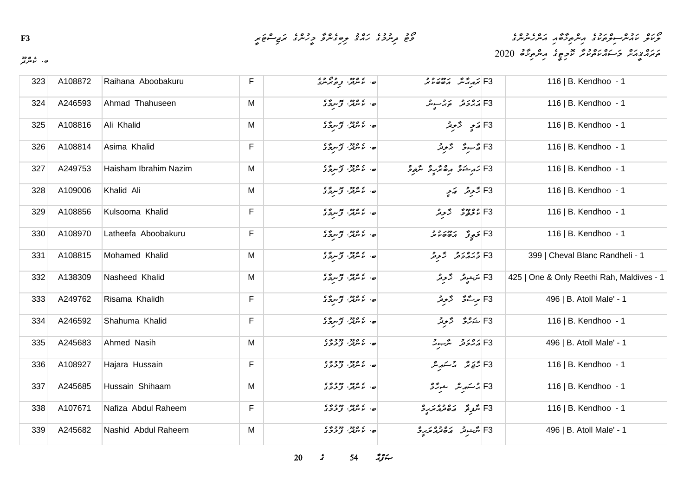*sCw7q7s5w7m< o<n9nOoAw7o< sCq;mAwBoEw7q<m; wBm;vB* م من المرة المرة المرة المرجع المرجع في المركبة 2020<br>مجم*د المريض المربوط المربع المرجع في المراجع المركبة* 

| 323 | A108872 | Raihana Aboobakuru    | F           | ه . ، ، ، وو وه وه .                                                | F3 <i>بَدْدِ بَدُ</i> مُقْصَلَةٍ           | 116   B. Kendhoo - 1                      |
|-----|---------|-----------------------|-------------|---------------------------------------------------------------------|--------------------------------------------|-------------------------------------------|
| 324 | A246593 | Ahmad Thahuseen       | M           | ه . ما مرکز ، تو مرکز و                                             | F3 <i>222 وروسية</i>                       | 116   B. Kendhoo - 1                      |
| 325 | A108816 | Ali Khalid            | M           | ه . ما مرکز ، تو مرکز و                                             | F3 <i>ڇُجِ - ڏُج</i> ِھُ                   | 116   B. Kendhoo - 1                      |
| 326 | A108814 | Asima Khalid          | $\mathsf F$ | ه ، ما مرکز ، توسرچ                                                 | F3 صحب سرقت المجمور                        | 116   B. Kendhoo - 1                      |
| 327 | A249753 | Haisham Ibrahim Nazim | M           | ە ئەمەدە بىر مەدە                                                   | F3 <i>تەخشى مەھەر بىرە</i> شەرق            | 116   B. Kendhoo - 1                      |
| 328 | A109006 | Khalid Ali            | M           | ه . ما مرکز ، تو مرکز و                                             | F3   دُوِيْرُ <sub>ه</sub> َ يٍ            | 116   B. Kendhoo - 1                      |
| 329 | A108856 | Kulsooma Khalid       | $\mathsf F$ | ه ۱۵۵۰ مختبری<br>۲۰۰۵ میلادی کی مردمی                               | F3 <i>بالمؤثرة</i> دُبِيرُ                 | 116   B. Kendhoo - 1                      |
| 330 | A108970 | Latheefa Aboobakuru   | F           | ه . ما مرکز ، تو مرکز و                                             | F3 <i>ذوق مقع</i> م بر                     | 116   B. Kendhoo - 1                      |
| 331 | A108815 | Mohamed Khalid        | M           | $\begin{pmatrix} 1 & 1 & 1 \\ 1 & 1 & 1 \\ 1 & 1 & 1 \end{pmatrix}$ | F3 <i>\$222° ڈون</i> ڈ                     | 399   Cheval Blanc Randheli - 1           |
| 332 | A138309 | Nasheed Khalid        | M           | ه . ما مرکز ، تو مرکز و                                             | F3 سَرَحِيثَر گَرْمِثْرُ                   | 425   One & Only Reethi Rah, Maldives - 1 |
| 333 | A249762 | Risama Khalidh        | $\mathsf F$ | ם ישתבלי בתבצ                                                       | F3 برگۇ گروگر                              | 496   B. Atoll Male' - 1                  |
| 334 | A246592 | Shahuma Khalid        | F           | ه . ما مرکز ، مخ مرکز ی                                             | F3 خەرمى گەم <i>ە</i> تى                   | 116   B. Kendhoo - 1                      |
| 335 | A245683 | Ahmed Nasih           | M           | ه به موجود دوده به<br>مساحد دور وور                                 | F3 <i>ډېر دو</i> ر سرب                     | 496   B. Atoll Male' - 1                  |
| 336 | A108927 | Hajara Hussain        | F           | ه ۱۵۵۰ وو دوره د                                                    | F3 حُيَى مَمْ مِسْتَهْرِ مِسْ              | 116   B. Kendhoo - 1                      |
| 337 | A245685 | Hussain Shihaam       | M           | ه به ۱۶۵۵ وروپه<br>ده کاملانگر، نوکورۍ                              | F3   پرستمبر عبد عبد 19                    | 116   B. Kendhoo - 1                      |
| 338 | A107671 | Nafiza Abdul Raheem   | F           | ه به ۱۶۵۵ وروپه<br>مه مسربن ژنور د                                  | F3 سُمْدِمَّة مَصْرَ <i>مْ مَدِي</i> رَة 2 | 116   B. Kendhoo - 1                      |
| 339 | A245682 | Nashid Abdul Raheem   | M           | ے 200 57.72<br>ن ناس                                                | F3 سُرْجِعْدَ رَصْ <i>حْدِ جَدِي</i> رَ حَ | 496   B. Atoll Male' - 1                  |

*20 sC 54 nNw?mS*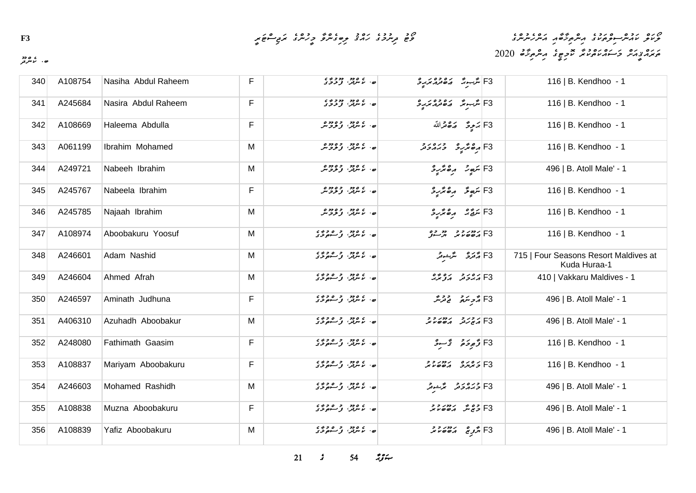*sCw7q7s5w7m< o<n9nOoAw7o< sCq;mAwBoEw7q<m; wBm;vB* م من المرة المرة المرة المرجع المرجع في المركبة 2020<br>مجم*د المريض المربوط المربع المرجع في المراجع المركبة* 

| 340 | A108754 | Nasiha Abdul Raheem | F           | ے 200 وو 2005<br>ن <i>ے : ماسر</i> بس تو برخ     | F3 بترجية ا <i>لمقور مرب</i> وفر       | 116   B. Kendhoo - 1                                  |
|-----|---------|---------------------|-------------|--------------------------------------------------|----------------------------------------|-------------------------------------------------------|
| 341 | A245684 | Nasira Abdul Raheem | F           | ه به موجود دوده و<br>ده استرات و دارد            | F3 سُرجو مُص <i>فره مَدب</i> و         | 116   B. Kendhoo - 1                                  |
| 342 | A108669 | Haleema Abdulla     | F           | ם מיטר כסמם<br>כי עיתה ציבבית                    | F3 كَتَجِرةً صَ <b>صَدَ</b> اللَّهُ    | 116   B. Kendhoo - 1                                  |
| 343 | A061199 | Ibrahim Mohamed     | M           | ه ۱۵۶۵ وه وه وه<br>مسترد و دوس                   | F3 مەھەر بولىم دىكە دىر                | 116   B. Kendhoo - 1                                  |
| 344 | A249721 | Nabeeh Ibrahim      | M           | ם מספר כסמם<br>כם עיתה ציבבית                    | F3 سَھ <i>ِرَ م</i> ُگھُرَبِ           | 496   B. Atoll Male' - 1                              |
| 345 | A245767 | Nabeela Ibrahim     | $\mathsf F$ | ه به دور وه ده و.<br>مسربر، و دوس                | F3 سَهِعٌ مِـ صُمَّرِةٌ                | 116   B. Kendhoo - 1                                  |
| 346 | A245785 | Najaah Ibrahim      | M           | ه ۵۶۰۰ وه وه.<br>مسترد و دوس                     | F3 يَرْدَعُ مِنْ مِرْمِرْدِ            | 116   B. Kendhoo - 1                                  |
| 347 | A108974 | Aboobakuru Yoosuf   | M           | ه به دور و دوره<br>ده کامرټر، و سومونۍ           | $3 - 7 - 7 - 7 - 7$                    | 116   B. Kendhoo - 1                                  |
| 348 | A246601 | Adam Nashid         | M           | ه ، کارود و دود ،<br>ما کاروز، و سوماری          | F3 <i>مُحْرَدُ</i> سُرْجِعْرُ          | 715   Four Seasons Resort Maldives at<br>Kuda Huraa-1 |
| 349 | A246604 | Ahmed Afrah         | M           | ه ، کارود و دود ،<br>ما کاروز، و سوموری          | F3 كەبرو بەرە يوم                      | 410   Vakkaru Maldives - 1                            |
| 350 | A246597 | Aminath Judhuna     | $\mathsf F$ | ه ، کوه ده و ده و ده و<br>ده کوهنگر، و سومونو و  | F3 أَمُّ حِسَنَةٌ مَعْ تَعْرُمُتُر     | 496   B. Atoll Male' - 1                              |
| 351 | A406310 | Azuhadh Aboobakur   | M           | ه . په دو د د د ده<br>ه . پاسرتن و سومونۍ        | $77777$ $7777$ F3                      | 496   B. Atoll Male' - 1                              |
| 352 | A248080 | Fathimath Gaasim    | $\mathsf F$ | ه به ۲۵ و د د د د د د<br>ده با با برګر و کرد د د | F3 <i>وَّجِوَدَة</i> تَخْ <i>سِ</i> وْ | 116   B. Kendhoo - 1                                  |
| 353 | A108837 | Mariyam Aboobakuru  | F           | ه به ۲۵ و د د ده د<br>ده کاملانکر از سوموندی     | 7777207573                             | 116   B. Kendhoo - 1                                  |
| 354 | A246603 | Mohamed Rashidh     | M           | ه به دور و دوره<br>ده کامرټر، و سومونۍ           | F3 دېم دې گرېدن <sub>د</sub>           | 496   B. Atoll Male' - 1                              |
| 355 | A108838 | Muzna Aboobakuru    | F           | ە ، ئايلاش قەرەپە                                | $72222$ $727$ $727$ $-73$              | 496   B. Atoll Male' - 1                              |
| 356 | A108839 | Yafiz Aboobakuru    | M           | ه . په دو د د د ده<br>ه . پاسرتن و سومونۍ        | F3 أثروج أم <i>صح</i> م مر             | 496   B. Atoll Male' - 1                              |

 $21$  *s* 54  $29$   $\div$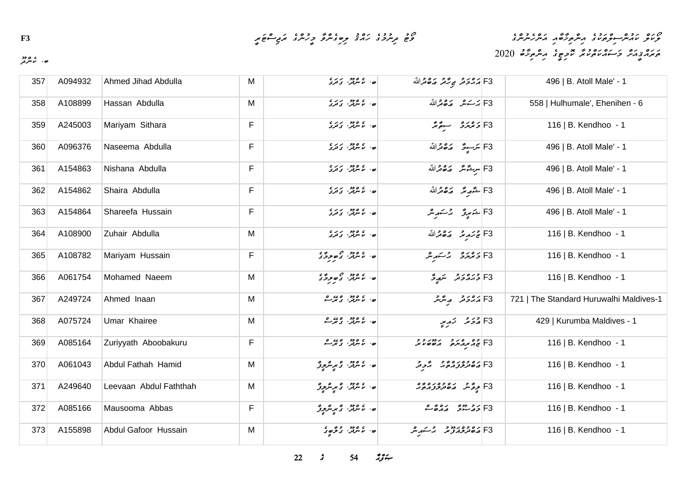*sCw7q7s5w7m< o<n9nOoAw7o< sCq;mAwBoEw7q<m; wBm;vB* م من المرة المرة المرة المرجع المرجع في المركبة 2020<br>مجم*د المريض المربوط المربع المرجع في المراجع المركبة* 

| 357 | A094932 | Ahmed Jihad Abdulla    | M            | ے موجود کرنے<br>جائے موجود کا تعری                                                                                                                                                                                                                                                                                        | F3 <i>ב</i> 22 في محمد صگر الله          | 496   B. Atoll Male' - 1                |
|-----|---------|------------------------|--------------|---------------------------------------------------------------------------------------------------------------------------------------------------------------------------------------------------------------------------------------------------------------------------------------------------------------------------|------------------------------------------|-----------------------------------------|
| 358 | A108899 | Hassan Abdulla         | M            | ه ۱۵۵۰ کرده<br>۲۰۰۵ سرگران و تری                                                                                                                                                                                                                                                                                          | F3   يَرْسَمْشْ     يَرْكَ قَدْ اللّه    | 558   Hulhumale', Ehenihen - 6          |
| 359 | A245003 | Mariyam Sithara        | F            | ه ۱۵۵۰ کرد و.<br>۱۵۰ کاملوانی کامل                                                                                                                                                                                                                                                                                        | F3 كەممەر ئەھمىگە ئىستىم                 | 116   B. Kendhoo - 1                    |
| 360 | A096376 | Naseema Abdulla        | $\mathsf F$  | ے مشتر کردی                                                                                                                                                                                                                                                                                                               | F3 يترسون <sup>3</sup> مَرْجُ قَدَاللَّه | 496   B. Atoll Male' - 1                |
| 361 | A154863 | Nishana Abdulla        | $\mathsf{F}$ | ے مشترکہ کے توری                                                                                                                                                                                                                                                                                                          | F3 سِيسَمَّسَّر كَمَرْهُ قَرْاللَّه      | 496   B. Atoll Male' - 1                |
| 362 | A154862 | Shaira Abdulla         | $\mathsf{F}$ | ے کے مارچ کرے                                                                                                                                                                                                                                                                                                             | F3 ش <i>قوم مَّدَّ مَدَّاتَ</i> لَّهُ    | 496   B. Atoll Male' - 1                |
| 363 | A154864 | Shareefa Hussain       | F            | ے وجود کرنے<br>نصب کو سرچو <sup>ر</sup> کے تعری                                                                                                                                                                                                                                                                           | F3 ڪمپر <i>ڙ بڙڪوينز</i>                 | 496   B. Atoll Male' - 1                |
| 364 | A108900 | Zuhair Abdulla         | M            | ے کے مردم کے مرد کا انتخاب کا مردم کے محدود کر دیا تھا کہ ان کے محدود کا انتخاب کے محدود کا انتخاب کے محدود کے                                                                                                                                                                                                            | F3 يح <i>ترم بلا من ه</i> مرالله         | 116   B. Kendhoo - 1                    |
| 365 | A108782 | Mariyam Hussain        | F            | $55505$ $3905$                                                                                                                                                                                                                                                                                                            | F3 كانتر مركز بالتسمير مثلا              | 116   B. Kendhoo - 1                    |
| 366 | A061754 | Mohamed Naeem          | M            | $\begin{bmatrix} 1 & 0 & 0 & 0 & 0 & 0 \\ 0 & 1 & 0 & 0 & 0 & 0 \\ 0 & 0 & 0 & 0 & 0 & 0 \\ 0 & 0 & 0 & 0 & 0 & 0 \\ 0 & 0 & 0 & 0 & 0 & 0 \\ 0 & 0 & 0 & 0 & 0 & 0 \\ 0 & 0 & 0 & 0 & 0 & 0 \\ 0 & 0 & 0 & 0 & 0 & 0 \\ 0 & 0 & 0 & 0 & 0 & 0 \\ 0 & 0 & 0 & 0 & 0 & 0 & 0 \\ 0 & 0 & 0 & 0 & 0 & 0 & 0 \\ 0 & 0 & 0 & $ | F3 3223 سَمَدٍ 53                        | 116   B. Kendhoo - 1                    |
| 367 | A249724 | Ahmed Inaan            | M            | ه ، عام ده وي ه                                                                                                                                                                                                                                                                                                           | F3 <i>ړېږي په پر پ</i> ر                 | 721   The Standard Huruwalhi Maldives-1 |
| 368 | A075724 | <b>Umar Khairee</b>    | M            | ه ، عام ده وي ه                                                                                                                                                                                                                                                                                                           | F3 <i>ړې ت</i> رمړ                       | 429   Kurumba Maldives - 1              |
| 369 | A085164 | Zuriyyath Aboobakuru   | $\mathsf F$  | ه ، کامبرد ، وی ه                                                                                                                                                                                                                                                                                                         | F3 - CORPORATE                           | 116   B. Kendhoo - 1                    |
| 370 | A061043 | Abdul Fathah Hamid     | M            | ه ، با مرکز ، و بر مرکز و                                                                                                                                                                                                                                                                                                 | F3 <i>مەھەرە بەد بۇ</i> رىر              | 116   B. Kendhoo - 1                    |
| 371 | A249640 | Leevaan Abdul Faththah | M            | ه ، با مرکز ، با با مرکز و                                                                                                                                                                                                                                                                                                | F3 <i>جوه شه م</i> ه <i>مود موه و</i>    | 116   B. Kendhoo - 1                    |
| 372 | A085166 | Mausooma Abbas         | F            | ه ۱۶۵۲ و مرکز                                                                                                                                                                                                                                                                                                             | $2501 373$ F3                            | 116   B. Kendhoo - 1                    |
| 373 | A155898 | Abdul Gafoor Hussain   | M            | ه . ما مربو . و . و .                                                                                                                                                                                                                                                                                                     | F3 رەمەدەم بورسى بىر ئە                  | 116   B. Kendhoo - 1                    |

*22 sC 54 nNw?mS*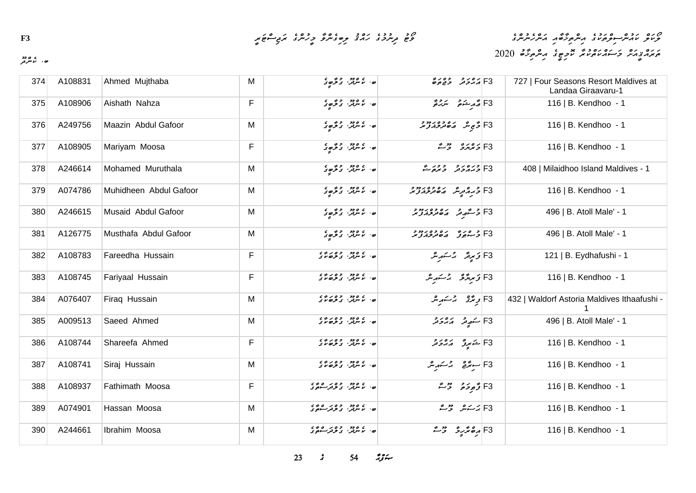*sCw7q7s5w7m< o<n9nOoAw7o< sCq;mAwBoEw7q<m; wBm;vB* م من المرة المرة المرة المرجع المرجع في المركبة 2020<br>مجم*د المريض المربوط المربع المرجع في المراجع المركبة* 

| 374 | A108831 | Ahmed Mujthaba         | M | ے متربن تحقیق                                   | $5.25$ $5.25$ $53$                     | 727   Four Seasons Resort Maldives at<br>Landaa Giraavaru-1 |
|-----|---------|------------------------|---|-------------------------------------------------|----------------------------------------|-------------------------------------------------------------|
| 375 | A108906 | Aishath Nahza          | F | ه . ع مرکز ، د و می<br>ه . ما مرکز ، د و گرمو د | F3 مەمرىسكەم سىر <i>تى</i> تى          | 116   B. Kendhoo - 1                                        |
| 376 | A249756 | Maazin Abdul Gafoor    | M | ه عمر د د و د                                   | F3 <i>دې شهر موه دو</i> د و            | 116   B. Kendhoo - 1                                        |
| 377 | A108905 | Mariyam Moosa          | F | ه . ما مرکز . و . و .<br>ه . ما مرکز . و ترجو . | F3   جوہری ویکٹر                       | 116   B. Kendhoo - 1                                        |
| 378 | A246614 | Mohamed Muruthala      | M | ه . ما مرکز . د . ه<br>ه . ما مرکز . د څرخه د   | F3 دېره ده دې ش                        | 408   Milaidhoo Island Maldives - 1                         |
| 379 | A074786 | Muhidheen Abdul Gafoor | M | ه . ما مرکز . و . و .<br>ه . ما مرکز . و څرخه د | F3 <i>وېرموسر م</i> ەھىر <i>ومۇم</i> ر | 116   B. Kendhoo - 1                                        |
| 380 | A246615 | Musaid Abdul Gafoor    | M | ه وه ده وه وه<br><i>ه مسر</i> تر، و څخه و       | F3 د شهر من موجود و در در د            | 496   B. Atoll Male' - 1                                    |
| 381 | A126775 | Musthafa Abdul Gafoor  | M | ه . ما مرکز .<br>۰۰ . ما مرکز ، کارگرفت ی       | F3 د مرد ده ده ده در د                 | 496   B. Atoll Male' - 1                                    |
| 382 | A108783 | Fareedha Hussain       | F | ه ده ده ده ده ده<br>ه مسربس د مره ده            | F3 تۇمچىگە - جەشىرىكى                  | 121   B. Eydhafushi - 1                                     |
| 383 | A108745 | Fariyaal Hussain       | F | ه به ۲۵۶ وه ده د<br>۲۵ تامبراني د نور ۲۵۶ و     | F3 كۆمپەترى بەرشىتە بىر                | 116   B. Kendhoo - 1                                        |
| 384 | A076407 | Firaq Hussain          | M | ه ده ده ده ده.<br>ه نامرتن د تره ناد            | F3 وِ بَرَّةِ 2 بِرْسَهِ بِرْ          | 432   Waldorf Astoria Maldives Ithaafushi -                 |
| 385 | A009513 | Saeed Ahmed            | M | ه ده ده ده ده ده<br>ه کامل                      | F3 س <i>تمونڈ مم</i> رونڈ              | 496   B. Atoll Male' - 1                                    |
| 386 | A108744 | Shareefa Ahmed         | F | ه به دور وه در ده<br>ه کاملانل و خوه ماد        | F3 خەمرى <sup>م</sup> كەندى تىر        | 116   B. Kendhoo - 1                                        |
| 387 | A108741 | Siraj Hussain          | M | ، ، ، ، ، ، ، ، ، ، ،<br>ن سربر، ، د ون د ،     | F3 سو <i>مَدَّةِ</i> 2 مُسكور مَّر     | 116   B. Kendhoo - 1                                        |
| 388 | A108937 | Fathimath Moosa        | F | ه ده ده ده ده ده.<br>ن کامرتر، و وتر سود و      | F3 وَجِوَة وَ حَيْثَ                   | 116   B. Kendhoo - 1                                        |
| 389 | A074901 | Hassan Moosa           | M | ه ده ده ده ده ده.<br>ده کامرتر، و وتر سوی       | $23$ $22$ $53$                         | 116   B. Kendhoo - 1                                        |
| 390 | A244661 | Ibrahim Moosa          | M | ه به دور وه بر ده و و<br>ه۰ تا نترتر، و وتر سوی | F3 وەغرىر 3- تۇسىم                     | 116   B. Kendhoo - 1                                        |

*23 sC 54 nNw?mS*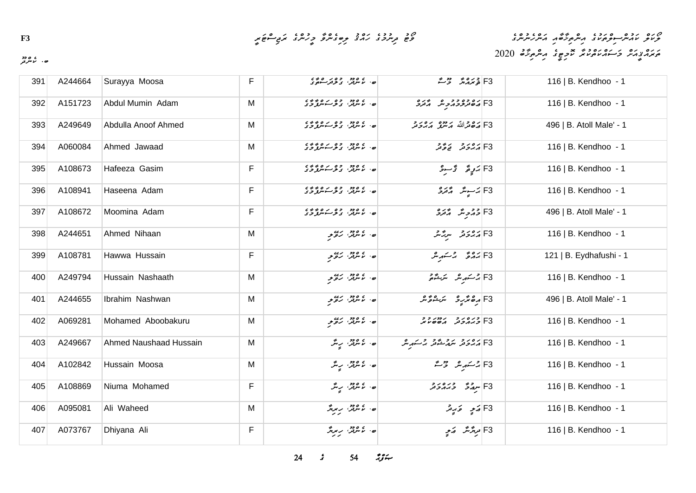*sCw7q7s5w7m< o<n9nOoAw7o< sCq;mAwBoEw7q<m; wBm;vB* م من المرة المرة المرة المرجع المرجع في المركبة 2020<br>مجم*د المريض المربوط المربع المرجع في المراجع المركبة* 

| 391 | A244664 | Surayya Moosa          | F            | ه به دور وه بر ه ده.<br>مه گوش و محمد سوی          | F3 ۾ پرويز جي ش                                                                                                           | 116   B. Kendhoo - 1     |
|-----|---------|------------------------|--------------|----------------------------------------------------|---------------------------------------------------------------------------------------------------------------------------|--------------------------|
| 392 | A151723 | Abdul Mumin Adam       | M            | ه و و وه ده وه وه.<br>ه نامبرتن و و سنتروی         | F3 בڭ قرىز قرىر ھەر ئەنگە                                                                                                 | 116   B. Kendhoo - 1     |
| 393 | A249649 | Abdulla Anoof Ahmed    | M            | ه ۱۵ وو ده وه دوه<br>مسرور د و کشورد               | F3 مَەھىراللە مَ <i>مْتَرْقْ مَ<sup>بْ</sup>دَى</i> رْ                                                                    | 496   B. Atoll Male' - 1 |
| 394 | A060084 | Ahmed Jawaad           | M            | ه ۱۵۴۵ وو روپره<br>د نامريز ولوستوري               | F3 كەبرى قىر قىدىگە ئىقتىل F3                                                                                             | 116   B. Kendhoo - 1     |
| 395 | A108673 | Hafeeza Gasim          | F            | ه ورود وه ده ووه.<br>مسرس وتر شرورو                | F3   يَرُوٍمُ = تَوْسِرْدُ                                                                                                | 116   B. Kendhoo - 1     |
| 396 | A108941 | Haseena Adam           | F            | ه ، عامروز وه در دولوده<br>ه ، عامروز د توسکه دولو | F3   يَرْسِعْرُ مُرْحَدَدُّ                                                                                               | 116   B. Kendhoo - 1     |
| 397 | A108672 | Moomina Adam           | F            | ه ۱۵۵۰ وه ده ده ده.<br>مسرد د و سنتروی             | F3 ج <sup>2</sup> ج ش محمد محمد المحمد المحمد السير السير السير السير السير السير السير السير السير السير السير السير الس | 496   B. Atoll Male' - 1 |
| 398 | A244651 | Ahmed Nihaan           | M            | ے مشرقی کے بات                                     | F3 <i>ړېږي سرگې</i> ر                                                                                                     | 116   B. Kendhoo - 1     |
| 399 | A108781 | Hawwa Hussain          | $\mathsf{F}$ | ے مشرقی کے بعد                                     | F3   يَرْدُوَّ بِرْسَهِ بِرْ                                                                                              | 121   B. Eydhafushi - 1  |
| 400 | A249794 | Hussain Nashaath       | M            | ه ، ما مادوم ري                                    | F3   يُرْسَمَ مِرْ سَرْسُتَّمَرُ                                                                                          | 116   B. Kendhoo - 1     |
| 401 | A244655 | Ibrahim Nashwan        | M            | ص ر مارچ کرے ہو۔                                   | F3 ب <i>رەنگ<sub>ىرى</sub> ئىرىشۇنىر</i>                                                                                  | 496   B. Atoll Male' - 1 |
| 402 | A069281 | Mohamed Aboobakuru     | M            | ے وجود ہے۔<br>جن ماسولگر، کرونو                    | $722222225$ F3                                                                                                            | 116   B. Kendhoo - 1     |
| 403 | A249667 | Ahmed Naushaad Hussain | M            | ە ، ئامەيى بەش                                     | F3 ربروتر شروشور بر شور شر                                                                                                | 116   B. Kendhoo - 1     |
| 404 | A102842 | Hussain Moosa          | M            | ھ ، ئائىرى بىرىگە                                  | F3   پرستمبر مشرح حق                                                                                                      | 116   B. Kendhoo - 1     |
| 405 | A108869 | Niuma Mohamed          | $\mathsf F$  | ە ، ئامەيى بەش                                     | F3 سرچ 2 <i>جن</i> محمد                                                                                                   | 116   B. Kendhoo - 1     |
| 406 | A095081 | Ali Waheed             | M            | ھ ، ما مريش سرمريگر                                | F3 <i>ڇُجِ وَب</i> ِيْرُ                                                                                                  | 116   B. Kendhoo - 1     |
| 407 | A073767 | Dhiyana Ali            | F            | ھ کامریں رپروگر                                    | F3 مِرمَّدَ مَعٍ                                                                                                          | 116   B. Kendhoo - 1     |

*24 sC 54 nNw?mS*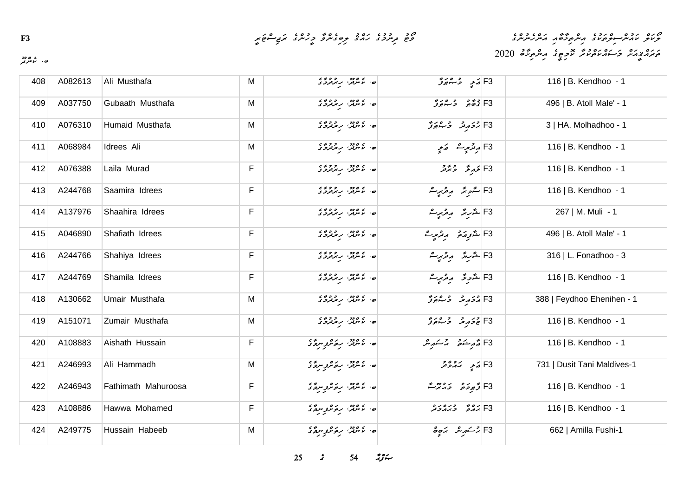*sCw7q7s5w7m< o<n9nOoAw7o< sCq;mAwBoEw7q<m; wBm;vB* م من المرة المرة المرة المرجع المرجع في المركبة 2020<br>مجم*د المريض المربوط المربع المرجع في المراجع المركبة* 

| 408 | A082613 | Ali Musthafa        | M           | ه ۱۵۵۰ مرکز کرده                                 | F3 <i>ڇُجِ جُڪورُ</i>                                                                                                                                                                                                 | 116   B. Kendhoo - 1        |
|-----|---------|---------------------|-------------|--------------------------------------------------|-----------------------------------------------------------------------------------------------------------------------------------------------------------------------------------------------------------------------|-----------------------------|
| 409 | A037750 | Gubaath Musthafa    | M           | ه ۱۵۵۰ د دوده<br>۱۰ تاملل میگلادی                | $5.05$ $2.02$ $7.3$ $7.3$                                                                                                                                                                                             | 496   B. Atoll Male' - 1    |
| 410 | A076310 | Humaid Musthafa     | M           | ه ۱۵۵۰۰ میلادی<br>۱۰۰ ماسرفر، میلادوی            | F3 جۇمەتر ئىس <i>بۇر</i>                                                                                                                                                                                              | 3   HA. Molhadhoo - 1       |
| 411 | A068984 | Idrees Ali          | M           | ه ۱۵۵۰ رووه.<br>مسرفر، ریزفروی                   | F3 <sub>م</sub> وترموے کے م                                                                                                                                                                                           | 116   B. Kendhoo - 1        |
| 412 | A076388 | Laila Murad         | F           | ه ۱۵۵۰ د دوده<br>۱۰ تاملل میگلادی                | F3 كَرْمِرْ مَنْ دَمْرَ مَرْ مَرْ                                                                                                                                                                                     | 116   B. Kendhoo - 1        |
| 413 | A244768 | Saamira Idrees      | $\mathsf F$ | ه ۱۵۵۰ رووه و<br>۱۰ تاملل ريمپورۍ                | F3 سَمَّحِ مَّذَ مِعْرَمِي <sup>ْ</sup> سُ                                                                                                                                                                            | 116   B. Kendhoo - 1        |
| 414 | A137976 | Shaahira Idrees     | $\mathsf F$ | ه ۱۵۵۰ رپروژه<br>ه نامرلز، رپرتروژ               | F3 ڪمريگر پري <i>گرم</i> يٽ                                                                                                                                                                                           | 267   M. Muli - 1           |
| 415 | A046890 | Shafiath Idrees     | $\mathsf F$ | ه . ما موجود .<br>ه . ما موجود . موجود و .       | F3 ڪ <i>ُوپهُ ۾ ويوپر</i> ُ                                                                                                                                                                                           | 496   B. Atoll Male' - 1    |
| 416 | A244766 | Shahiya Idrees      | $\mathsf F$ | ه ۱۵۵۰ مربو و ده و<br>۱۰ ما سربر استربروی        | F3 ڪُريگر پري <i>گريٽ</i>                                                                                                                                                                                             | 316   L. Fonadhoo - 3       |
| 417 | A244769 | Shamila Idrees      | F           | ه . ما موجود .<br>ه . ما موجود . ما موجود ی      | F3 ڪورو پرو <i>ن</i> ريڪ                                                                                                                                                                                              | 116   B. Kendhoo - 1        |
| 418 | A130662 | Umair Musthafa      | M           | ه . ما موجود .<br>ه . ما موجود . ما موجود ی      | F3 مۇم مەسىرى قىبلىدۇ ئى                                                                                                                                                                                              | 388   Feydhoo Ehenihen - 1  |
| 419 | A151071 | Zumair Musthafa     | M           | ه ۱۵۵۰ د ووه و<br>۱۰ تاملل میگلاوی               | $5.03$ $2.02$ $5.73$                                                                                                                                                                                                  | 116   B. Kendhoo - 1        |
| 420 | A108883 | Aishath Hussain     | F           | ه . ، ، وو .<br>۱۰ ، ، سرفر ، سره مرو سره د      | F3 مەم ئىسكىم بىر شىر بىر                                                                                                                                                                                             | 116   B. Kendhoo - 1        |
| 421 | A246993 | Ali Hammadh         | M           | ە . ئاس كى .<br>ھ . ئاس كى . ئام كى ئى ئىر قى ئى | F3 <i>جَجِ بَہُ دُوَّ</i> مَّ                                                                                                                                                                                         | 731   Dusit Tani Maldives-1 |
| 422 | A246943 | Fathimath Mahuroosa | $\mathsf F$ | ە . ئامەدد بەتەروپىدە ،                          | F3 <i>وُمِعَ وَرُبُّرُتَ</i>                                                                                                                                                                                          | 116   B. Kendhoo - 1        |
| 423 | A108886 | Hawwa Mohamed       | $\mathsf F$ | ه . ، ، وو .<br>۱۰ ، ما سرفر ، سره سرو سره د     | F3 يُدُمُوَّ وَيُدُومُو                                                                                                                                                                                               | 116   B. Kendhoo - 1        |
| 424 | A249775 | Hussain Habeeb      | M           | ە . ئاس كى .<br>ھ . ئاس كى . ئام كى ئى ئىر قى ئى | F3 برسكور مركبة من 19 من بركست بين بين بين بين المنافسين بين المنافسين بين المنافسين بين المنافسين ا<br>منافسين المنافسين المنافسين المنافسين المنافسين المنافسين المنافسين المنافسين المنافسين المنافسين المنافسين ا | 662   Amilla Fushi-1        |

*25 sC 54 nNw?mS*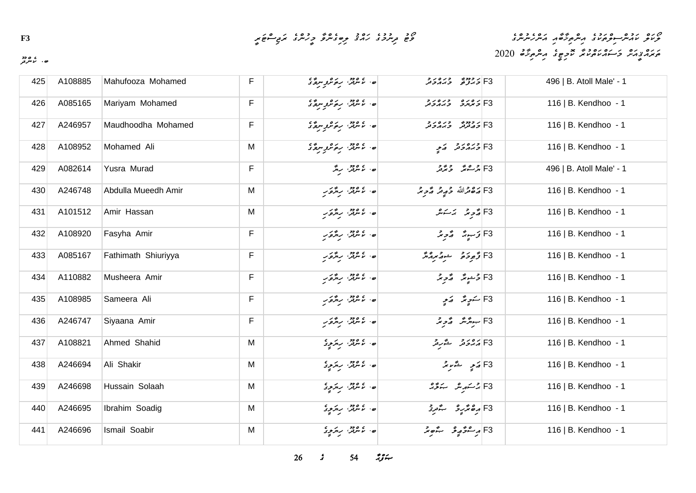*sCw7q7s5w7m< o<n9nOoAw7o< sCq;mAwBoEw7q<m; wBm;vB* م من المرة المرة المرة المرجع المرجع في المركبة 2020<br>مجم*د المريض المربوط المربع المرجع في المراجع المركبة* 

| 425 | A108885 | Mahufooza Mohamed    | $\mathsf F$ | ە . ئانىرلىق بەھ ئىروپىرى ئ                                                                                                                                                                                                      | F3 <i>ذين وره دو</i> ر                     | 496   B. Atoll Male' - 1 |
|-----|---------|----------------------|-------------|----------------------------------------------------------------------------------------------------------------------------------------------------------------------------------------------------------------------------------|--------------------------------------------|--------------------------|
| 426 | A085165 | Mariyam Mohamed      | F           | ە . ئامەدد بەتەروپىدە ،                                                                                                                                                                                                          | F3 <i>ב</i> את <i>כנ</i> מכת               | 116   B. Kendhoo - 1     |
| 427 | A246957 | Maudhoodha Mohamed   | $\mathsf F$ | ە بۇ ئارلىق بە ئە ئۇرىس ئە                                                                                                                                                                                                       | F3 <i>בהינת בג</i> ם <i>ב</i>              | 116   B. Kendhoo - 1     |
| 428 | A108952 | Mohamed Ali          | M           | ھ ما مارچن سے مار میں دی دی کی تحت کی ایک مارچن کی تحت کی تحت کی تحت کے ایک کام کی تحت کے لیے تحت کی ایک کام ک<br>منابع اللہ کام کی میں ایک کام کی میں ایک کام کی تحت کی تحت کی تحت کی تحت کی تحت کی تحت کی تحت کی تحت کی تحت کی | F3  <i>وټرونو ټو</i>                       | 116   B. Kendhoo - 1     |
| 429 | A082614 | Yusra Murad          | F           | ه کاملابل بانگ                                                                                                                                                                                                                   | F3 پڑھ پڑھ و <i>پڑھ</i>                    | 496   B. Atoll Male' - 1 |
| 430 | A246748 | Abdulla Mueedh Amir  | M           | ھ ، ئائىرلىق سەئەر                                                                                                                                                                                                               | F3 كَەھەراللە خ <sub>ەرپ</sub> ىر گەج ئىر  | 116   B. Kendhoo - 1     |
| 431 | A101512 | Amir Hassan          | M           | ە مەمەدى بەدەب                                                                                                                                                                                                                   | F3 م <i>مَّ</i> حِیمْ کے سَمب              | 116   B. Kendhoo - 1     |
| 432 | A108920 | Fasyha Amir          | F           | ه . ما مرکز، روگور                                                                                                                                                                                                               | F3 ۇسوڭ ھ <sup>ۇ</sup> جىتى                | 116   B. Kendhoo - 1     |
| 433 | A085167 | Fathimath Shiuriyya  | $\mathsf F$ | ه ، ما مارد .<br>۱۵ ما ماروز، روزوبر                                                                                                                                                                                             | F3 <i>وُجوحَمْ شِومُ بِروْمُ</i>           | 116   B. Kendhoo - 1     |
| 434 | A110882 | Musheera Amir        | F           | ه ، ما مرکز، روگور                                                                                                                                                                                                               | F3 جُسُومَّہ مُحْرِمَّہ                    | 116   B. Kendhoo - 1     |
| 435 | A108985 | Sameera Ali          | F           | ە مەمەدى بەدەب                                                                                                                                                                                                                   | F3 سَوِيمٌ <i>مَ</i> وِ                    | 116   B. Kendhoo - 1     |
| 436 | A246747 | Siyaana Amir         | F           | ه ، ما مرکز، روگور                                                                                                                                                                                                               | F3 سو <i>مرنگر مگ</i> ویمر                 | 116   B. Kendhoo - 1     |
| 437 | A108821 | Ahmed Shahid         | M           | ه ، ما مرود .<br>ما ما مرود .                                                                                                                                                                                                    | F3 <i>ډېر ديگر</i> شگرېنگر                 | 116   B. Kendhoo - 1     |
| 438 | A246694 | Ali Shakir           | M           | ه ، کامروز برگردی                                                                                                                                                                                                                | F3 <i>جي ڪيوبر</i>                         | 116   B. Kendhoo - 1     |
| 439 | A246698 | Hussain Solaah       | M           | ه کامروژ ریزوی                                                                                                                                                                                                                   | F3 يُرْسَمُ مِيَنَ سِيَوْرُ                | 116   B. Kendhoo - 1     |
| 440 | A246695 | Ibrahim Soadig       | M           | ه . ما مردم . برمزد ،                                                                                                                                                                                                            | F3 م <i>ەھەرگە جەم</i> رتى                 | 116   B. Kendhoo - 1     |
| 441 | A246696 | <b>Ismail Soabir</b> | M           | ه کانگرنگ ریزوی                                                                                                                                                                                                                  | F3 م <i>وس<sup>و</sup>گھون</i> جہ جگھ محمد | 116   B. Kendhoo - 1     |

*26 sC 54 nNw?mS*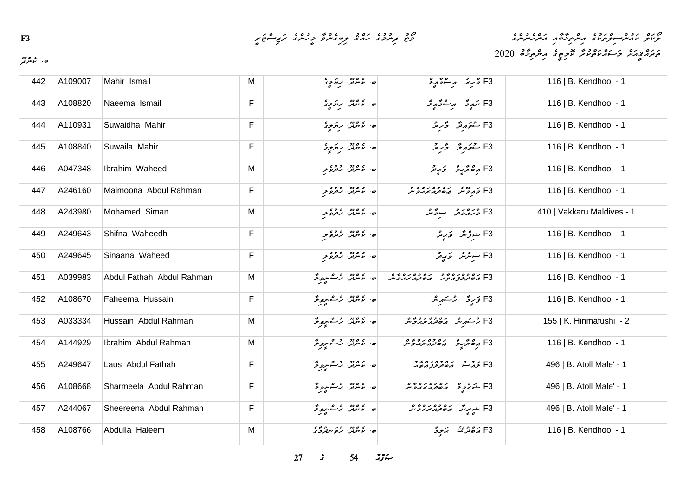*sCw7q7s5w7m< o<n9nOoAw7o< sCq;mAwBoEw7q<m; wBm;vB* م من المرة المرة المرة المرجع المرجع في المركبة 2020<br>مجم*د المريض المربوط المربع المرجع في المراجع المركبة* 

| 442 | A109007 | Mahir Ismail              | M           | ت ما مادچر، سرگرمزی                       | F3   دُرِيْر - مِرْ مُدَّمِرٍ وُ                  | 116   B. Kendhoo - 1       |
|-----|---------|---------------------------|-------------|-------------------------------------------|---------------------------------------------------|----------------------------|
| 443 | A108820 | Naeema Ismail             | F           | ه ، ما مرکز ، مرکزی                       | F3 يتمي <sup>ع</sup> برگو <i>گي</i> و             | 116   B. Kendhoo - 1       |
| 444 | A110931 | Suwaidha Mahir            | F           | ه . ما ماروژ، روزوی                       | F3 سنق مرتمر مح مريتمر                            | 116   B. Kendhoo - 1       |
| 445 | A108840 | Suwaila Mahir             | $\mathsf F$ | ه ، ما مارچي سرگري                        | F3 سق <i>ەم</i> ۇ ئ <i>ۇرى</i> گە                 | 116   B. Kendhoo - 1       |
| 446 | A047348 | Ibrahim Waheed            | M           | ه . ، ، ۵۶۰ ووه<br>د . ، ، مارتر، رفرونو  | F3 م <i>ەھترى</i> رى ق <i>ې</i> رى <i>گ</i>       | 116   B. Kendhoo - 1       |
| 447 | A246160 | Maimoona Abdul Rahman     | $\mathsf F$ | ه . ما موجز، اردوع.<br>ه . ما موجز، اردوع | F3 בתכת הפינת בסיפי                               | 116   B. Kendhoo - 1       |
| 448 | A243980 | Mohamed Siman             | M           | ه . ما مرکز . ووه و                       | F3  <i>وبروبروتر سوڈی</i> ر                       | 410   Vakkaru Maldives - 1 |
| 449 | A249643 | Shifna Waheedh            | F           | ے موبر دور<br>ے کا سربر، کافرونو          | F3 جورگر ک <i>وب</i> رگر                          | 116   B. Kendhoo - 1       |
| 450 | A249645 | Sinaana Waheed            | F           | ے مشرقی دوم                               | F3 سومئرمئر    قربرتر                             | 116   B. Kendhoo - 1       |
| 451 | A039983 | Abdul Fathah Abdul Rahman | M           |                                           | F3 رە دەرەبەد بەدەرەبەھ ھەسىرى دىشمىھ گ           | 116   B. Kendhoo - 1       |
| 452 | A108670 | Faheema Hussain           | $\mathsf F$ | ە ، ئابىرلىق، ئەسىرىدىگە                  | F3 كۆرى ئەسكەرلىر                                 | 116   B. Kendhoo - 1       |
| 453 | A033334 | Hussain Abdul Rahman      | M           | ە ئامرىل، ئەسرەتى                         | F3 گرگورند می ده وه بره پوه                       | 155   K. Hinmafushi - 2    |
| 454 | A144929 | Ibrahim Abdul Rahman      | M           | ە ئامەرى ئەسرە ئى                         | E3 , <i>ביל כי הסינה ביט</i> ריק                  | 116   B. Kendhoo - 1       |
| 455 | A249647 | Laus Abdul Fathah         | F           | ە ، ئامەرى ئەسرە ئ                        | F3 كەم مەھەرەم د                                  | 496   B. Atoll Male' - 1   |
| 456 | A108668 | Sharmeela Abdul Rahman    | F           | ە ئامەرى ئەسرە ئە                         | F3 خەمرى ئەرەبەرە بەرە بەر                        | 496   B. Atoll Male' - 1   |
| 457 | A244067 | Sheereena Abdul Rahman    | F           | ە ، ئامەرى ئەسرە ئ                        | F3 شومرش م020 دەم دەھ<br>53 شومرىش مەھەرمەمەر تەر | 496   B. Atoll Male' - 1   |
| 458 | A108766 | Abdulla Haleem            | M           |                                           | F3 رَحْمَةُ اللّه بَرَمِيرُ                       | 116   B. Kendhoo - 1       |

*27 sC 54 nNw?mS*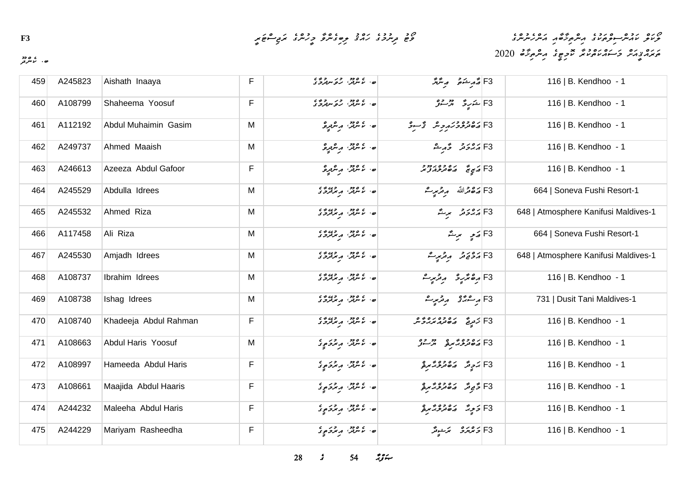*sCw7q7s5w7m< o<n9nOoAw7o< sCq;mAwBoEw7q<m; wBm;vB* م من المرة المرة المرة المرجع المرجع في المركبة 2020<br>مجم*د المريض المربوط المربع المرجع في المراجع المركبة* 

| 459 | A245823 | Aishath Inaaya            | F |                                                           | F3 مُدِينَةً مِسَّمَّدٌ                     | 116   B. Kendhoo - 1                 |
|-----|---------|---------------------------|---|-----------------------------------------------------------|---------------------------------------------|--------------------------------------|
| 460 | A108799 | Shaheema Yoosuf           | F | ه ۱۵۵۰ ور دوه<br>مسروري روسهروي                           | F3 خرىرى ت <i>رمى</i> رى                    | 116   B. Kendhoo - 1                 |
| 461 | A112192 | Abdul Muhaimin Gasim      | M | ه . ما مرکز . م. مرکزه                                    | F3 مەھ <i>رۇۋىمبرچىر</i> گۆسۈ               | 116   B. Kendhoo - 1                 |
| 462 | A249737 | Ahmed Maaish              | M | ە . ئامرىق مەمرىرە                                        | F3 <i>كەنجى جەم</i> ش                       | 116   B. Kendhoo - 1                 |
| 463 | A246613 | Azeeza Abdul Gafoor       | F |                                                           | F3 <i>مَعِ تَ</i> مَصْرُمْ <i>وَ مِ</i>     | 116   B. Kendhoo - 1                 |
| 464 | A245529 | Abdulla Idrees            | M | ه ۱۵۵۰ ور وروپرو<br>ه نامولر، پر پرترو و                  | F3 كَرْحْمْدْاللَّهُ مِعْرَمْدِ مِّـ        | 664   Soneva Fushi Resort-1          |
| 465 | A245532 | Ahmed Riza                | M | ه ۲۰۰۵ وه<br>۰۰ تا سرتر به برترو ی                        | F3 كەندى كەر مېرىتىگە                       | 648   Atmosphere Kanifusi Maldives-1 |
| 466 | A117458 | Ali Riza                  | M | גם כ ב 2016<br>ישי מייתה מי <i>ידית ב</i> צ               | F3 ټرم برگ                                  | 664   Soneva Fushi Resort-1          |
| 467 | A245530 | Amjadh Idrees             | M | ם - מי מים פי פי בי בי<br>יש - מי יערק אי מי מיר מי בי בי | F3 كەۋەتقى مەمگەمچەت F3                     | 648   Atmosphere Kanifusi Maldives-1 |
| 468 | A108737 | Ibrahim Idrees            | M | גם כ ב 2016<br>ישי מייתה מי <i>ידית ב</i> צ               | F3  بر <i>ھ مُرُبِ</i> دِ مِتْرَبِّبِ مُ    | 116   B. Kendhoo - 1                 |
| 469 | A108738 | Ishag Idrees              | M | גם כ ב 2016<br>ישי מייתה מי <i>ידית ב</i> צ               | F3 مرڪبر <i>ُ \$ م</i> وٽرمو <sup>ع</sup>   | 731   Dusit Tani Maldives-1          |
| 470 | A108740 | Khadeeja Abdul Rahman     | F | ם - מי מים פי פי בי בי<br>יש - מי יערק אי מי מיר מי בי בי | F3 زَمْرِيْ مُصْمَّرْ مُسْرَ مُرْمَرْ مِسْر | 116   B. Kendhoo - 1                 |
| 471 | A108663 | <b>Abdul Haris Yoosuf</b> | M | ם . מיתה .<br>כ . מיתה . תינקים .                         | F3 مەھەر <i>ومۇم</i> ھەم ھەم بولسى <i>ز</i> | 116   B. Kendhoo - 1                 |
| 472 | A108997 | Hameeda Abdul Haris       | F | ه . ما مادور .<br>ه . ما مادور . در برو مور               | F3 يَرْمٍ مَرَّ مِرْمَرْ مِرْمَحْ مِرْمَحْ  | 116   B. Kendhoo - 1                 |
| 473 | A108661 | Maajida Abdul Haaris      | F | ه ۱۶۵۲ مرکز در د                                          |                                             | 116   B. Kendhoo - 1                 |
| 474 | A244232 | Maleeha Abdul Haris       | F | ه ۱۶۵۰ ور در د<br>ه نامرلز، مرگرموی                       | F3 <i>وَجِدٌ مَ®مَرْحَدٌ بِ</i> رِهِ        | 116   B. Kendhoo - 1                 |
| 475 | A244229 | Mariyam Rasheedha         | F | ם מיטרון ומקרקים                                          | F3 ك <i>ويورو بم</i> نفوش                   | 116   B. Kendhoo - 1                 |

*28 sC 54 nNw?mS*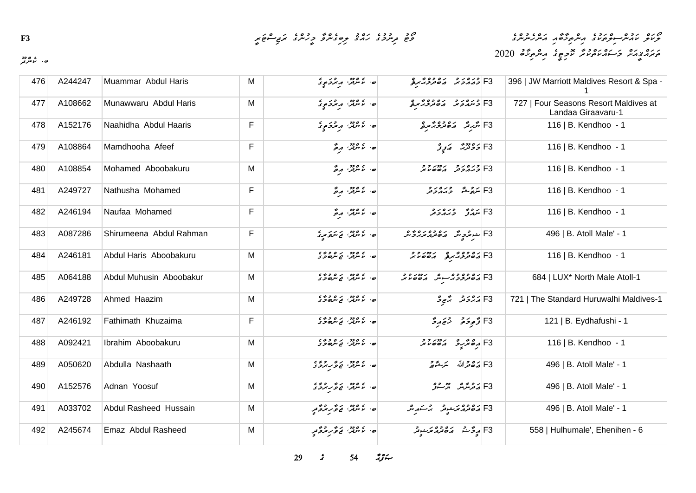*sCw7q7s5w7m< o<n9nOoAw7o< sCq;mAwBoEw7q<m; wBm;vB* م من المرة المرة المرة المرجع المرجع في المركبة 2020<br>مجم*د المريض المربوط المربع المرجع في المراجع المركبة* 

| 476 | A244247 | Muammar Abdul Haris     | M           | ھ گھري معرضي                                                             | F3 <i>ڈیرو پر پرووروگیرو</i>           | 396   JW Marriott Maldives Resort & Spa -                   |
|-----|---------|-------------------------|-------------|--------------------------------------------------------------------------|----------------------------------------|-------------------------------------------------------------|
| 477 | A108662 | Munawwaru Abdul Haris   | M           | ه . ما مجرد . در<br>ه . ما مرکز . بر مرد موک                             | F3 دره د ده ده ده ده و                 | 727   Four Seasons Resort Maldives at<br>Landaa Giraavaru-1 |
| 478 | A152176 | Naahidha Abdul Haaris   | F           | ه . ما سربر .<br>ه . ما سربر . در برگرم و د                              | F3 سَرَبِيمَ صَرْ <i>مِيمْ جِي</i> مْ  | 116   B. Kendhoo - 1                                        |
| 479 | A108864 | Mamdhooha Afeef         | $\mathsf F$ | ے مشہور ہے<br>ے مشہور امی                                                | F3 <i>ذونه: مَږِ</i> رْ                | 116   B. Kendhoo - 1                                        |
| 480 | A108854 | Mohamed Aboobakuru      | M           | ے مشہور ہے<br>ے مشہور امی                                                | $72722$ $7002$ $F3$                    | 116   B. Kendhoo - 1                                        |
| 481 | A249727 | Nathusha Mohamed        | F           | ه کاملانکن مرځ                                                           | F3 سَهْرِيْتُہ دِيرەرد                 | 116   B. Kendhoo - 1                                        |
| 482 | A246194 | Naufaa Mohamed          | F           | ه کامل ده.<br>د کامل                                                     | F3 يَدْرُوُ - 25,5%                    | 116   B. Kendhoo - 1                                        |
| 483 | A087286 | Shirumeena Abdul Rahman | F           | ے میں دوسرے دیا ہے                                                       | F3 شومرو مگر مگرد محدود محمد حس        | 496   B. Atoll Male' - 1                                    |
| 484 | A246181 | Abdul Haris Aboobakuru  | M           | ے وجود کر دورہ<br>جن کا سربل کے سرحاوی                                   | F3 رەدەبرە مەدەبەد                     | 116   B. Kendhoo - 1                                        |
| 485 | A064188 | Abdul Muhusin Aboobakur | M           | ے وجود کر دورہ<br>جن کا سربل کے سرحاوی                                   | F3 رە دە دە مەد دەر دو                 | 684   LUX* North Male Atoll-1                               |
| 486 | A249728 | Ahmed Haazim            | M           | ے وجود کر دورہ ہے<br>جن کا سربی کے سرچاری                                | F3 كەندى قىر ئىس بىر ئى                | 721   The Standard Huruwalhi Maldives-1                     |
| 487 | A246192 | Fathimath Khuzaima      | F           | ے میں بعد دورہ ہے<br>جن کا سربن کے سرچاری                                | F3   <i>وُجوحَمْ بِهُجَمِير</i> مُّ    | 121   B. Eydhafushi - 1                                     |
| 488 | A092421 | Ibrahim Aboobakuru      | M           | ے وجود کر دورہ<br>جن کا سربل کے سرحاوی                                   | F3 رەئزىر مەھەمىر                      | 116   B. Kendhoo - 1                                        |
| 489 | A050620 | Abdulla Nashaath        | M           | ه . ع مرور .<br>۰۰ ما مرور . و ع م مرمور و                               | F3 مَرْجُ مِّرَاللَّهُ سَرَحْتَهِ جَمْ | 496   B. Atoll Male' - 1                                    |
| 490 | A152576 | Adnan Yoosuf            | M           | ه . کارود . د برو .<br>ه . کامرلن . فع کر برو ی                          | F3 كەنترىترىتر تېزىستو                 | 496   B. Atoll Male' - 1                                    |
| 491 | A033702 | Abdul Rasheed Hussain   | M           | ه . ، ، ، ود. . ، ، ، ، ، و و .                                          | F3 مەھەرمەغبە ئەرگەر بىر شەربىر        | 496   B. Atoll Male' - 1                                    |
| 492 | A245674 | Emaz Abdul Rasheed      | M           | ه ۱۵۶۰ و در در در در در این میتواند.<br>اما با مارته، این فراند میتواند. | F3 مرمَّ شَدَّ مَصْرَمْ مَرْسُوِيْر    | 558   Hulhumale', Ehenihen - 6                              |

*29 sC 54 nNw?mS*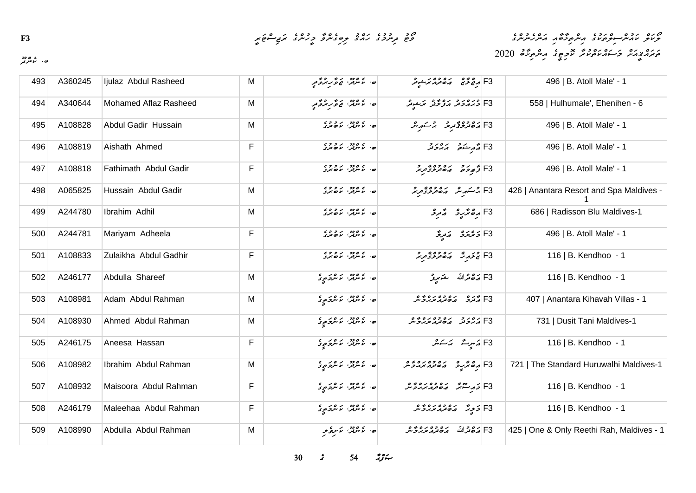*sCw7q7s5w7m< o<n9nOoAw7o< sCq;mAwBoEw7q<m; wBm;vB* م من المرة المرة المرة المرجع المرجع في المركبة 2020<br>مجم*د المريض المربوط المربع المرجع في المراجع المركبة* 

| 493 | A360245 | Ijulaz Abdul Rasheed  | M | ے میں میں اس کا مذہب ہے۔<br>اس کا مکرنس کے قریب میں میں                                  |                                                     | 496   B. Atoll Male' - 1                  |
|-----|---------|-----------------------|---|------------------------------------------------------------------------------------------|-----------------------------------------------------|-------------------------------------------|
| 494 | A340644 | Mohamed Aflaz Rasheed | M | ه . ، ، ، ود. . ، ، ، ، ، ، و ، بر                                                       | F3 ويرە دەرە دەۋە برىدە چ                           | 558   Hulhumale', Ehenihen - 6            |
| 495 | A108828 | Abdul Gadir Hussain   | M | ه . کارود . کارو د ،<br>ه . کاملونس کاره برد                                             | F3 <i>مەھەرۋۇنوپر جىسۇمب</i> ىر                     | 496   B. Atoll Male' - 1                  |
| 496 | A108819 | Aishath Ahmed         | F | ه . می دود .<br>مه د مرکز . موضوی                                                        | F3 مەم ئەرەبەر مەردىر                               | 496   B. Atoll Male' - 1                  |
| 497 | A108818 | Fathimath Abdul Gadir | F | ه . کارود . کارو د ،<br>ه . کاملونس کاره برد                                             | F3 ژ <i>ُهِ دَه ده مودود بر</i>                     | 496   B. Atoll Male' - 1                  |
| 498 | A065825 | Hussain Abdul Gadir   | M | $\begin{array}{cc} 0.5 & 0.5 & 0.6 \\ 0.5 & 0.6 & 0.7 \\ 0.7 & 0.6 & 0.7 \\ \end{array}$ | F3 يُرْسَمَ مِنْ مَصْغَرْ مِنْ قَرْمِتْهِ مِنْ      | 426   Anantara Resort and Spa Maldives -  |
| 499 | A244780 | Ibrahim Adhil         | M | ه . که ۵۶۵ که ۶۵ و د<br>ه . که ملولو، که که محری                                         | F3 م <i>وھنگرو گ<sup>ی</sup>و</i> ی                 | 686   Radisson Blu Maldives-1             |
| 500 | A244781 | Mariyam Adheela       | F | ه . کارود کار د د .<br>ه . کاملونس کاره مرد                                              | F3 كانترنى كەرىپ                                    | 496   B. Atoll Male' - 1                  |
| 501 | A108833 | Zulaikha Abdul Gadhir | F | $\begin{array}{cc} 0.5 & 0.5 & 0.6 \\ 0.5 & 0.6 & 0.7 \\ 0.7 & 0.6 & 0.7 \end{array}$    | F3 يحمد شهر مان وه تر ديگر بر                       | 116   B. Kendhoo - 1                      |
| 502 | A246177 | Abdulla Shareef       | M | ە دە بەر دەر دەر دەر دەر دەر دەر دەر                                                     | F3 كەھەراللە خ <i>ەمرى</i> ر                        | 116   B. Kendhoo - 1                      |
| 503 | A108981 | Adam Abdul Rahman     | M | ه . ما ۵۶۵ م کار د ،<br>ما سربر، ما سرچاهی ک                                             | F3 دره ده ده ده ده د                                | 407   Anantara Kihavah Villas - 1         |
| 504 | A108930 | Ahmed Abdul Rahman    | M | ه ، ما مرکز ، ما مرحام و                                                                 | F3 ג' <i>ביצ' הסיכוני בית</i>                       | 731   Dusit Tani Maldives-1               |
| 505 | A246175 | Aneesa Hassan         | F | ه . ما مرکز ، ما مرد می<br>ده . ما مرکز ، ما مرد می                                      | F3  ټرس پر ټر ټر پر                                 | 116   B. Kendhoo - 1                      |
| 506 | A108982 | Ibrahim Abdul Rahman  | M | ه ، ما مرکز ، ما مرکز می ی                                                               | 02010701 0201F3                                     | 721   The Standard Huruwalhi Maldives-1   |
| 507 | A108932 | Maisoora Abdul Rahman | F | ه . ما مرکز ، ما مرکز می ی                                                               | F3 در دوم ده وه ره وه د                             | 116   B. Kendhoo - 1                      |
| 508 | A246179 | Maleehaa Abdul Rahman | F | ه . کامبرو . کامبرونوی                                                                   | F3 كەچە ئە ئەھەرمەيدى بىر<br>F3 كەچە ئەھەرمەيدى كىر | 116   B. Kendhoo - 1                      |
| 509 | A108990 | Abdulla Abdul Rahman  | M | ه . ما مارود . ما ماره م                                                                 | F3 كەھەتمەللە كەھە <i>تەم بىر بە</i> ھ س            | 425   One & Only Reethi Rah, Maldives - 1 |

*30 sC 54 nNw?mS*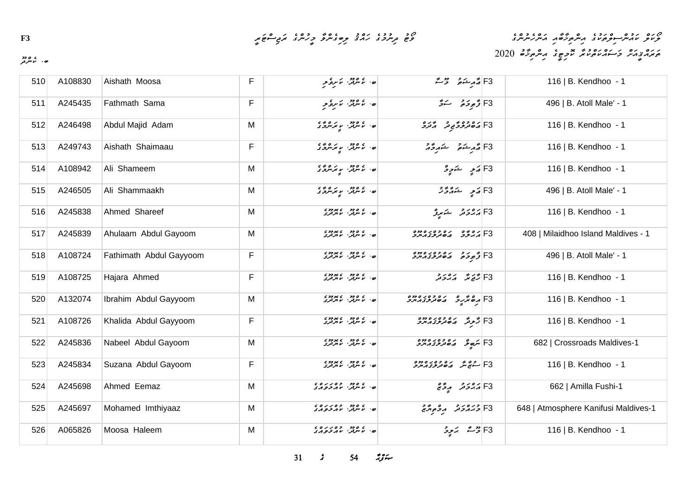*sCw7q7s5w7m< o<n9nOoAw7o< sCq;mAwBoEw7q<m; wBm;vB* م من المرة المرة المرة المرجع المرجع في المركبة 2020<br>مجم*د المريض المربوط المربع المرجع في المراجع المركبة* 

| 510 | A108830 | Aishath Moosa           | F           | ه ، ما مردش، مأمره و                        | F3 ۾ پرڪ <i>يھ</i> <sup>7</sup> يھ      | 116   B. Kendhoo - 1                 |
|-----|---------|-------------------------|-------------|---------------------------------------------|-----------------------------------------|--------------------------------------|
| 511 | A245435 | Fathmath Sama           | F           | ە با ئاھەدىن ئامرەكى بىر                    | F3 <i>وَّجِودَة</i> سَدَّةَ             | 496   B. Atoll Male' - 1             |
| 512 | A246498 | Abdul Majid Adam        | M           | ם מיטר מיטרי                                | F3 رەمەم ئوم ئەرە                       | 116   B. Kendhoo - 1                 |
| 513 | A249743 | Aishath Shaimaau        | $\mathsf F$ | ه . ما مرود .<br>ه . ما مرود . ما بر مرود د | F3 مُرِسْدَمُ شَر <i>ْدِةُ</i>          | 116   B. Kendhoo - 1                 |
| 514 | A108942 | Ali Shameem             | M           | ه . ما مجرد . ما در ۲۵ د می                 | F3 <i>ڇَوِ خَوِدُ</i>                   | 116   B. Kendhoo - 1                 |
| 515 | A246505 | Ali Shammaakh           | M           | ه ۱۵۵۰ مورد ۱۶۵۵.<br>مسرد میکردد            | F3 <i>جَرِجِي ڪرو</i> گر                | 496   B. Atoll Male' - 1             |
| 516 | A245838 | Ahmed Shareef           | M           | ه ده ده ده ده ده ده<br>ده کامرفر، کامرفری   | F3 <i>ړېږي خپرو</i>                     | 116   B. Kendhoo - 1                 |
| 517 | A245839 | Ahulaam Abdul Gayoom    | M           | ه ده ده ده ده ده ده<br>ده کامرفر، کامرفری   | 671 - 1070 - 1070 - 1070 F3             | 408   Milaidhoo Island Maldives - 1  |
| 518 | A108724 | Fathimath Abdul Gayyoom | $\mathsf F$ | ه . می وجود .<br>ده . ما مترکز . ما در تری  | F3 تُرجوحه مەھلىرەددە                   | 496   B. Atoll Male' - 1             |
| 519 | A108725 | Hajara Ahmed            | $\mathsf F$ | ه ده دود ده دوده<br>ده کامروز، کامرفری      | F3 حُقٍ مَدُومٌرٍ                       | 116   B. Kendhoo - 1                 |
| 520 | A132074 | Ibrahim Abdul Gayyoom   | M           | ه به ۱۶۵ ورو در ۲۶۶<br>مه در سرگر، سرگری    |                                         | 116   B. Kendhoo - 1                 |
| 521 | A108726 | Khalida Abdul Gayyoom   | F           | ه ده ده ده ده ده ده<br>ده کامرفر، کامرفری   | F3 تُروِيَّزُ مُصْرُونِ مِيرِهِ وَمِيرِ | 116   B. Kendhoo - 1                 |
| 522 | A245836 | Nabeel Abdul Gayoom     | M           | ه ده ده ده ده ده ده د<br>مسرچي مورد در      | F3 سُهوش مەھىرەددە                      | 682   Crossroads Maldives-1          |
| 523 | A245834 | Suzana Abdul Gayoom     | $\mathsf F$ | ه ده ده ده ده ده<br>ده با سرتر، با در تری   | F3 جوړه ده ده ده ده.                    | 116   B. Kendhoo - 1                 |
| 524 | A245698 | Ahmed Eemaz             | M           | ه به موجود ده ده ده<br>مسرچي موجود د        | F3 <i>جَدْدُو تَروُّج</i>               | 662   Amilla Fushi-1                 |
| 525 | A245697 | Mohamed Imthiyaaz       | M           | ه به دور وه دره ده<br>ه کاملوانی مورد دورد  | F3 32023 مر <sub>5</sub> 08 م           | 648   Atmosphere Kanifusi Maldives-1 |
| 526 | A065826 | Moosa Haleem            | M           | ם מי שפר 102.000<br>פי עייתה מגעפגצ         | F3 تخط پر <sub>مجو</sub> ی              | 116   B. Kendhoo - 1                 |

**31** *s* **54** *n***<sub>s</sub>**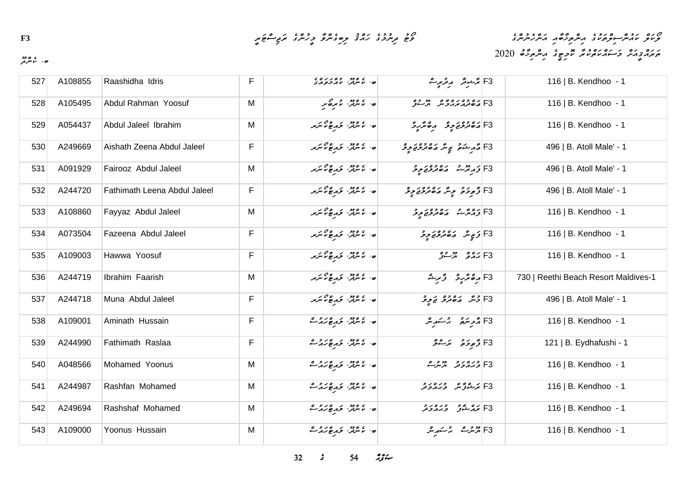*sCw7q7s5w7m< o<n9nOoAw7o< sCq;mAwBoEw7q<m; wBm;vB* م من المرة المرة المرة المرجع المرجع في المركبة 2020<br>مجم*د المريض المربوط المربع المرجع في المراجع المركبة* 

| 527 | A108855 | Raashidha Idris              | F           | ه به ده ده دره ده<br>ه نوش نورود د                                                                                      | F3 مُرْسُومَّر   برقرمرِتْ   F3               | 116   B. Kendhoo - 1                 |
|-----|---------|------------------------------|-------------|-------------------------------------------------------------------------------------------------------------------------|-----------------------------------------------|--------------------------------------|
| 528 | A105495 | Abdul Rahman Yoosuf          | M           | $\begin{bmatrix} 0 & 2 & 20 & 6 \\ 9 & 2 & 20 & 6 \\ 9 & 9 & 2 & 3 \end{bmatrix}$                                       | F3 رەمەرە بەرە بورە                           | 116   B. Kendhoo - 1                 |
| 529 | A054437 | Abdul Jaleel Ibrahim         | M           | $x^{\circ}$ $x^{\circ}$ $y^{\circ}$ $y^{\circ}$ $y^{\circ}$ $y^{\circ}$ $y^{\circ}$ $y^{\circ}$ $y^{\circ}$ $y^{\circ}$ | F3 رەدودىر بوھ مەھەرد                         | 116   B. Kendhoo - 1                 |
| 530 | A249669 | Aishath Zeena Abdul Jaleel   | $\mathsf F$ | $x^{\circ}$ $x^{\circ}$ $y^{\circ}$ $y^{\circ}$ $y^{\circ}$ $y^{\circ}$ $\circ$                                         | F3 مەم شەھ بې ئىر مەھەر <i>ۋە بې</i> ئو       | 496   B. Atoll Male' - 1             |
| 531 | A091929 | Fairooz Abdul Jaleel         | M           | ە بۇروم ئوم ھاكىرىم                                                                                                     | F3 زَرِبْرْتْ مَصْرُوْحَ وِوْ                 | 496   B. Atoll Male' - 1             |
| 532 | A244720 | Fathimath Leena Abdul Jaleel | F           | $x^{\circ}$ $x^{\circ}$ $y^{\circ}$ $y^{\circ}$ $y^{\circ}$ $y^{\circ}$ $y^{\circ}$ $y^{\circ}$ $y^{\circ}$ $y^{\circ}$ | F3 ز <i>ُّهِ دَهْ</i> پِسٌ مَصْرُوْمَ بِرُوْ  | 496   B. Atoll Male' - 1             |
| 533 | A108860 | Fayyaz Abdul Jaleel          | M           | $x^{\circ}$ $x^{\circ}$ $y^{\circ}$ $y^{\circ}$ $y^{\circ}$ $\circ$ $\circ$                                             | F3 زەۋىش مەھەردە بەد                          | 116   B. Kendhoo - 1                 |
| 534 | A073504 | Fazeena Abdul Jaleel         | F           | $x^{\circ}$ $x^{\circ}$ $y^{\circ}$ $y^{\circ}$ $y^{\circ}$ $y^{\circ}$ $y^{\circ}$ $y^{\circ}$ $y^{\circ}$             | F3 ز <sub>ې ت</sub> ر گەھىردە دور             | 116   B. Kendhoo - 1                 |
| 535 | A109003 | Hawwa Yoosuf                 | F           | $x^{\circ}$ $x^{\circ}$ $y^{\circ}$ $y^{\circ}$ $y^{\circ}$ $y^{\circ}$ $y^{\circ}$ $y^{\circ}$ $y^{\circ}$             | F3 بروی پر دو                                 | 116   B. Kendhoo - 1                 |
| 536 | A244719 | Ibrahim Faarish              | M           | $x^{\circ}$ $x^{\circ}$ $y^{\circ}$ $y^{\circ}$ $y^{\circ}$ $y^{\circ}$ $\circ$                                         | F3 م <i>ِی مُرَّبِ</i> دُ گَرِیْ م            | 730   Reethi Beach Resort Maldives-1 |
| 537 | A244718 | Muna Abdul Jaleel            | $\mathsf F$ | $x^{\circ}$ $x^{\circ}$ $y^{\circ}$ $y^{\circ}$ $y^{\circ}$ $y^{\circ}$ $y^{\circ}$ $y^{\circ}$ $y^{\circ}$ $y^{\circ}$ | F3   جُنَّرُ - رَرُوبُو - يَا مِرِ قَ         | 496   B. Atoll Male' - 1             |
| 538 | A109001 | Aminath Hussain              | F           | $-220222202000$                                                                                                         | F3 م <i>ُجِيئرة بِرُسْوِيد</i>                | 116   B. Kendhoo - 1                 |
| 539 | A244990 | Fathimath Raslaa             | $\mathsf F$ | 0.70010000000000                                                                                                        | F3 <i>وَّجِودَةْ</i> بَرَسْتَرَ               | 121   B. Eydhafushi - 1              |
| 540 | A048566 | Mohamed Yoonus               | M           | 270, 200, 700, 000                                                                                                      | F3 در در در مرکب                              | 116   B. Kendhoo - 1                 |
| 541 | A244987 | Rashfan Mohamed              | M           | 270, 200, 300, 0                                                                                                        | F3 يَرْشُوَّشْ وَيَدْوَيْرَ                   | 116   B. Kendhoo - 1                 |
| 542 | A249694 | Rashshaf Mohamed             | M           |                                                                                                                         | F3 <i>بزوشۇق دېرەر د</i>                      | 116   B. Kendhoo - 1                 |
| 543 | A109000 | Yoonus Hussain               | M           | ه . ما مرد . و مرد و .                                                                                                  | F3 ټرينرنش ب <sub>ر</sub> ش <sub>م</sub> رينر | 116   B. Kendhoo - 1                 |

**32** *s* **54** *n***<sub>s</sub>***n***<sub>s</sub>**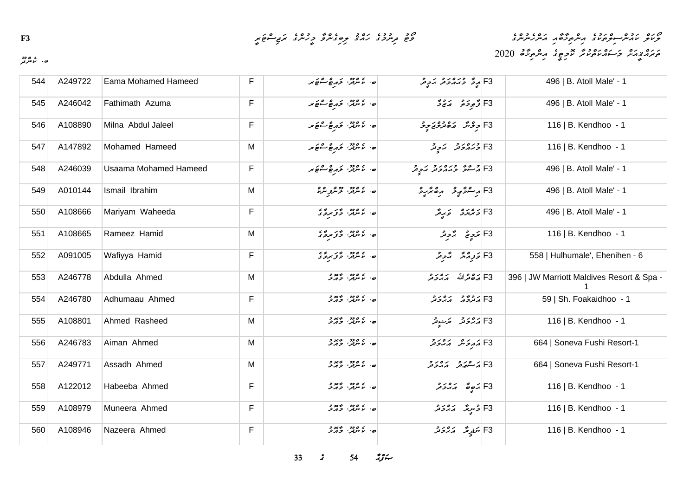*sCw7q7s5w7m< o<n9nOoAw7o< sCq;mAwBoEw7q<m; wBm;vB* م من المرة المرة المرة المرجع المرجع في المركبة 2020<br>مجم*د المريض المربوط المربع المرجع في المراجع المركبة* 

| 544 | A249722 | Eama Mohamed Hameed          | F | ھ شمیری كرده سوچى                                                                                                                                                                                                                                                                                                                                                                                                                                                                                                                                                                                   | F3 <sub>مو</sub> وٌ <i>ويمم</i> ونه ټر <sub>و</sub> نه | 496   B. Atoll Male' - 1                  |
|-----|---------|------------------------------|---|-----------------------------------------------------------------------------------------------------------------------------------------------------------------------------------------------------------------------------------------------------------------------------------------------------------------------------------------------------------------------------------------------------------------------------------------------------------------------------------------------------------------------------------------------------------------------------------------------------|--------------------------------------------------------|-------------------------------------------|
| 545 | A246042 | Fathimath Azuma              | F | $x \overset{o}{\cancel{o}} - \overset{o}{\cancel{o}} - \overset{r}{\cancel{o}} - \overset{r}{\cancel{o}} - \overset{r}{\cancel{o}} - \overset{r}{\cancel{o}} - \overset{r}{\cancel{o}} - \overset{r}{\cancel{o}} - \overset{r}{\cancel{o}} - \overset{r}{\cancel{o}} - \overset{r}{\cancel{o}} - \overset{r}{\cancel{o}} - \overset{r}{\cancel{o}} - \overset{r}{\cancel{o}} - \overset{r}{\cancel{o}} - \overset{r}{\cancel{o}} - \overset{r}{\cancel{o}} - \overset{r}{\cancel{o}} - \overset{r}{\cancel{o}} - \overset{r}{\cancel{o}} - \$                                                       | F3 وَ <i>جِوحَة مَح</i> دَّ                            | 496   B. Atoll Male' - 1                  |
| 546 | A108890 | Milna Abdul Jaleel           | F |                                                                                                                                                                                                                                                                                                                                                                                                                                                                                                                                                                                                     | F3 دِ وُسَّرَ بَهُ <i>مَرْوَيْ دِ وَ</i>               | 116   B. Kendhoo - 1                      |
| 547 | A147892 | Mohamed Hameed               | M | $x \overset{o}{\cancel{o}} - \overset{o}{\cancel{o}} - \overset{\sim}{\cancel{o}} - \overset{\sim}{\cancel{o}} - \overset{\sim}{\cancel{o}} - \overset{\sim}{\cancel{o}} - \overset{\sim}{\cancel{o}} - \overset{\sim}{\cancel{o}} - \overset{\sim}{\cancel{o}} - \overset{\sim}{\cancel{o}} - \overset{\sim}{\cancel{o}} - \overset{\sim}{\cancel{o}} - \overset{\sim}{\cancel{o}} - \overset{\sim}{\cancel{o}} - \overset{\sim}{\cancel{o}} - \overset{\sim}{\cancel{o}} - \overset{\sim}{\cancel{o}} - \overset{\sim}{\cancel{o}} - \overset{\sim}{\cancel{o}} - \overset{\sim}{\cancel{o}} - \$ | F3 دُيَرُودَ تَرَ دِيْرَ                               | 116   B. Kendhoo - 1                      |
| 548 | A246039 | <b>Usaama Mohamed Hameed</b> | F |                                                                                                                                                                                                                                                                                                                                                                                                                                                                                                                                                                                                     | F3 إير شيخه المردوح برام في 1                          | 496   B. Atoll Male' - 1                  |
| 549 | A010144 | Ismail Ibrahim               | M | ے 200 دور 2019<br>جن ماسولیں کوشک <sub>ی</sub> شریع                                                                                                                                                                                                                                                                                                                                                                                                                                                                                                                                                 | F3 م <i>ېشۇمۇ مەمگى</i> رۇ                             | 496   B. Atoll Male' - 1                  |
| 550 | A108666 | Mariyam Waheeda              | F | ه ۱۵۵۰ ور در در د                                                                                                                                                                                                                                                                                                                                                                                                                                                                                                                                                                                   | F3 <i>وَجُهْدَوْ وَبِ</i> قَرْ                         | 496   B. Atoll Male' - 1                  |
| 551 | A108665 | Rameez Hamid                 | M | ه . ما مادود . او در او داده .<br>ده . ما مادود . او داو داده داد                                                                                                                                                                                                                                                                                                                                                                                                                                                                                                                                   | F3 بَرَجٍ پُر بِرُورٌ                                  | 116   B. Kendhoo - 1                      |
| 552 | A091005 | Wafiyya Hamid                | F | ه . ما مادود . او در او دارد .<br>ده . ما مادود . او و مردو د                                                                                                                                                                                                                                                                                                                                                                                                                                                                                                                                       | F3 <i>قۇم</i> گە گە <i>چە</i> گە                       | 558   Hulhumale', Ehenihen - 6            |
| 553 | A246778 | Abdulla Ahmed                | M | ە ، ئا مەدى ئەمەد ?<br>ھ ، ئا ئىرلىرى ئ                                                                                                                                                                                                                                                                                                                                                                                                                                                                                                                                                             | F3 مَەڤراللە مَەدىر                                    | 396   JW Marriott Maldives Resort & Spa - |
| 554 | A246780 | Adhumaau Ahmed               | F | ے . م مرکز ، محمد و<br>ے . ما مرکز ، گرام تر                                                                                                                                                                                                                                                                                                                                                                                                                                                                                                                                                        | F3 גלכבר גלכת                                          | 59   Sh. Foakaidhoo - 1                   |
| 555 | A108801 | Ahmed Rasheed                | M | ے وود معدد<br>ے کا سربل کردن                                                                                                                                                                                                                                                                                                                                                                                                                                                                                                                                                                        | F3 كەبرى كىم كەر بىر ئىس بىر ئىس F3                    | 116   B. Kendhoo - 1                      |
| 556 | A246783 | Aiman Ahmed                  | M | ے مشرقی محمد و<br>ے کا سرقین کام کا                                                                                                                                                                                                                                                                                                                                                                                                                                                                                                                                                                 | F3 <i>مُمحَمَّد مُكْرَوْمُ</i>                         | 664   Soneva Fushi Resort-1               |
| 557 | A249771 | Assadh Ahmed                 | M | ے محمد صدح<br>حصا محمد اللہ محمد                                                                                                                                                                                                                                                                                                                                                                                                                                                                                                                                                                    | F3 كەسىر مەردىر                                        | 664   Soneva Fushi Resort-1               |
| 558 | A122012 | Habeeba Ahmed                | F | ے وود معدد<br>ے کا سربل کردن                                                                                                                                                                                                                                                                                                                                                                                                                                                                                                                                                                        | F3 يَهِمُّ بَرْرُونَر                                  | 116   B. Kendhoo - 1                      |
| 559 | A108979 | Muneera Ahmed                | F | ے ۔ موجود محمود<br>جن ماسوبی، محمد بل                                                                                                                                                                                                                                                                                                                                                                                                                                                                                                                                                               | F3 دُسِعٌ <i>مَدْدَمْ</i> ر                            | 116   B. Kendhoo - 1                      |
| 560 | A108946 | Nazeera Ahmed                | F | ه ۱۵۵۰ وجد و<br>مه نامبرټر، و ړون                                                                                                                                                                                                                                                                                                                                                                                                                                                                                                                                                                   | F3 سَمْدِيمٌ     مَكْرَمَّرٌ                           | 116   B. Kendhoo - 1                      |

**33** *s* **54** *n***<sub>s</sub>**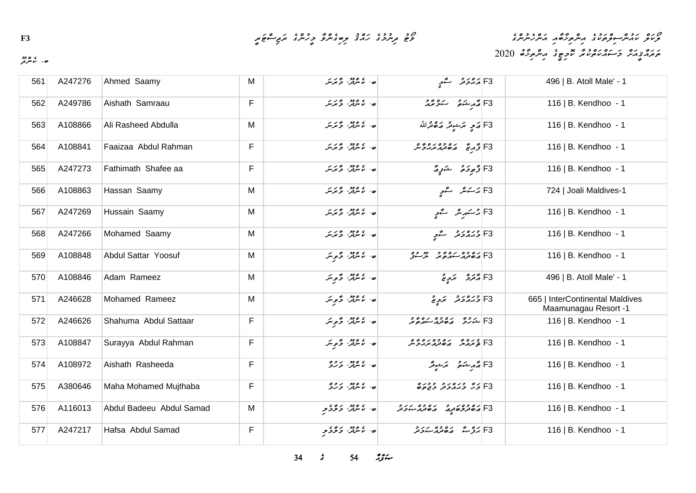*sCw7q7s5w7m< o<n9nOoAw7o< sCq;mAwBoEw7q<m; wBm;vB* م من المرة المرة المرة المرجع المرجع في المركبة 2020<br>مجم*د المريض المربوط المربع المرجع في المراجع المركبة* 

| 561 | A247276 | Ahmed Saamy              | M            | ە بەرەدە ئەرىر                                                                                                                                                                                                                                                                                                              | F3 <i>2222 سگ</i> و                                           | 496   B. Atoll Male' - 1                                |
|-----|---------|--------------------------|--------------|-----------------------------------------------------------------------------------------------------------------------------------------------------------------------------------------------------------------------------------------------------------------------------------------------------------------------------|---------------------------------------------------------------|---------------------------------------------------------|
| 562 | A249786 | Aishath Samraau          | F            | ھ ، ئابلابل كۆتكە                                                                                                                                                                                                                                                                                                           | F3 مەم ئىشقى كىشى ئىچە ئىزلە                                  | 116   B. Kendhoo - 1                                    |
| 563 | A108866 | Ali Rasheed Abdulla      | M            | ە ، ئابەدە ، ئەترىتر                                                                                                                                                                                                                                                                                                        | F3 كەمچە كەھبەر كەھەتراللە                                    | 116   B. Kendhoo - 1                                    |
| 564 | A108841 | Faaizaa Abdul Rahman     | F            | ھ ، ئائىرىش كۆتكەتكە                                                                                                                                                                                                                                                                                                        | F3 رُوم مەھىر مەم بەر                                         | 116   B. Kendhoo - 1                                    |
| 565 | A247273 | Fathimath Shafee aa      | $\mathsf{F}$ | ە ، ئابلاش كەيرىكى                                                                                                                                                                                                                                                                                                          | F3 رَّجِ حَمَّ حَمَرٍ مَّ                                     | 116   B. Kendhoo - 1                                    |
| 566 | A108863 | Hassan Saamy             | M            | ھ ، ئائىرى ئائىرىكى                                                                                                                                                                                                                                                                                                         | F3  پرسته ش <i>ه ب</i>                                        | 724   Joali Maldives-1                                  |
| 567 | A247269 | Hussain Saamy            | M            | ە ، ئابەدە ، ئەيرىتر                                                                                                                                                                                                                                                                                                        | F3   پر سمبر مرسمبر مستقولی <i>ا</i>                          | 116   B. Kendhoo - 1                                    |
| 568 | A247266 | Mohamed Saamy            | M            | ە ، ئابەدە ، ئەترىتر                                                                                                                                                                                                                                                                                                        | F3  <i>وبره دور</i> و گو <sub>چ</sub>                         | 116   B. Kendhoo - 1                                    |
| 569 | A108848 | Abdul Sattar Yoosuf      | M            | ە . ئامېرىق، ئۇمەتتى                                                                                                                                                                                                                                                                                                        | F3   2010 1000 1000 F3                                        | 116   B. Kendhoo - 1                                    |
| 570 | A108846 | Adam Rameez              | M            | ھ ، ئائىرىش گەھ ئىر                                                                                                                                                                                                                                                                                                         | F3 <i>مُحَرَّدُ بَرَوِجْ</i>                                  | 496   B. Atoll Male' - 1                                |
| 571 | A246628 | Mohamed Rameez           | M            | ە ، ئاس بىر ئەر ئىر                                                                                                                                                                                                                                                                                                         | F3 <i>وُبُرُودُو تُرَدِي</i> ْ                                | 665   InterContinental Maldives<br>Maamunagau Resort -1 |
| 572 | A246626 | Shahuma Abdul Sattaar    | $\mathsf{F}$ | ھ ، ئائىرىش گەھ ئىر                                                                                                                                                                                                                                                                                                         | F3 شرحرة بره وه بره و بر                                      | 116   B. Kendhoo - 1                                    |
| 573 | A108847 | Surayya Abdul Rahman     | $\mathsf F$  | ە ، ئاشقۇ، ئۇرىتر                                                                                                                                                                                                                                                                                                           | F3 ورەپ رەدەرەپەر                                             | 116   B. Kendhoo - 1                                    |
| 574 | A108972 | Aishath Rasheeda         | F            | ە . ئاشلار كەر تەرىخ                                                                                                                                                                                                                                                                                                        | F3 مُگهرِسْتَمْ مُحَمَّدٍ مُحَمَّدٍ مِنْ                      | 116   B. Kendhoo - 1                                    |
| 575 | A380646 | Maha Mohamed Mujthaba    | $\mathsf{F}$ | ە . ئابەدى كەردى<br>ھ . ئابىرلىر كەرگ                                                                                                                                                                                                                                                                                       | F3 دَرٌ وبه دره وورد                                          | 116   B. Kendhoo - 1                                    |
| 576 | A116013 | Abdul Badeeu Abdul Samad | M            | $\begin{bmatrix} 1 & 0 & 0 & 0 & 0 \\ 0 & 1 & 0 & 0 & 0 \\ 0 & 0 & 0 & 0 & 0 \\ 0 & 0 & 0 & 0 & 0 \\ 0 & 0 & 0 & 0 & 0 \\ 0 & 0 & 0 & 0 & 0 \\ 0 & 0 & 0 & 0 & 0 \\ 0 & 0 & 0 & 0 & 0 \\ 0 & 0 & 0 & 0 & 0 \\ 0 & 0 & 0 & 0 & 0 \\ 0 & 0 & 0 & 0 & 0 & 0 \\ 0 & 0 & 0 & 0 & 0 & 0 \\ 0 & 0 & 0 & 0 & 0 & 0 \\ 0 & 0 & 0 & $ | F3 پره وه ده په پره وه بر د و<br>F3 پره ترجوه پږيه پره ترپر ب | 116   B. Kendhoo - 1                                    |
| 577 | A247217 | Hafsa Abdul Samad        | F            |                                                                                                                                                                                                                                                                                                                             | F3 پروگ پره <i>ده برد د</i>                                   | 116   B. Kendhoo - 1                                    |

**34** *s* **54** *n***<sub>3</sub> <b>***s*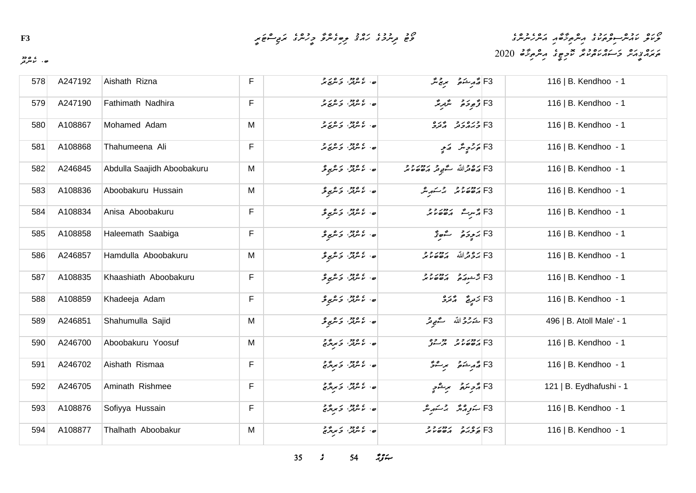*sCw7q7s5w7m< o<n9nOoAw7o< sCq;mAwBoEw7q<m; wBm;vB* م من المرة المرة المرة المرجع المرجع في المركبة 2020<br>مجم*د المريض المربوط المربع المرجع في المراجع المركبة* 

| 578 | A247192 | Aishath Rizna              | F            | ے میں مرید و                                                                                                   | F3 م <i>ۇم شۇم بىرىنىڭ</i>           | 116   B. Kendhoo - 1     |
|-----|---------|----------------------------|--------------|----------------------------------------------------------------------------------------------------------------|--------------------------------------|--------------------------|
| 579 | A247190 | Fathimath Nadhira          | F            |                                                                                                                | F3 <i>وَّجِ دَمَّةَ</i> سَمَّدِيَّدَ | 116   B. Kendhoo - 1     |
| 580 | A108867 | Mohamed Adam               | M            | ھ شمېرو کې مربح تر                                                                                             | F3 3222 كرو                          | 116   B. Kendhoo - 1     |
| 581 | A108868 | Thahumeena Ali             | F            | ۱۵۰۵ مربر در در د                                                                                              | F3 <i>جُرْدِينَّہ چ</i> َوِ          | 116   B. Kendhoo - 1     |
| 582 | A246845 | Abdulla Saajidh Aboobakuru | M            | ه . ما مريز، كامري و                                                                                           | F3 رەحمەلله گوم رەم دەر دە           | 116   B. Kendhoo - 1     |
| 583 | A108836 | Aboobakuru Hussain         | M            | ے میں بھی دورہ کو ا                                                                                            | F3 جەھەم بىر يەسكەبلىر               | 116   B. Kendhoo - 1     |
| 584 | A108834 | Anisa Aboobakuru           | $\mathsf{F}$ | ه ، با مريز، با مري و                                                                                          | F3 أُمُّ سِنَّةً المُقْصَّلَةُ       | 116   B. Kendhoo - 1     |
| 585 | A108858 | Haleemath Saabiga          | F            | ے میں بھی وہ کام کا کام کر کر کر دیا ہے اور اس کا کام کر ان کے ان کے میں ان کے ان کے ان کے ان کے ان کا ان کا ک | F3 بَر <i>ُوِدَة</i> مُتَّهَرَّ      | 116   B. Kendhoo - 1     |
| 586 | A246857 | Hamdulla Aboobakuru        | M            | ه . ما مريز، كامري و                                                                                           | F3 كەمەدە مەھەمدىكى بىر              | 116   B. Kendhoo - 1     |
| 587 | A108835 | Khaashiath Aboobakuru      | $\mathsf{F}$ | ے میں بھی وہ کام کا کام کر کر کر دیا ہے اور اس کا کام کر ان کے ان کے میں ان کے ان کے ان کے ان کے ان کا ان کا ک | $52722$ $225$ $-27$                  | 116   B. Kendhoo - 1     |
| 588 | A108859 | Khadeeja Adam              | F            | ے میں بھی وہ کام کا ا                                                                                          | F3 كَتَامِيعٌ مُتَقَرِّدٌ            | 116   B. Kendhoo - 1     |
| 589 | A246851 | Shahumulla Sajid           | M            | ه . ، ، ، ، وه . و ، ، و .                                                                                     | F3 خەر 3 الله گەم <u>چ</u> مگر       | 496   B. Atoll Male' - 1 |
| 590 | A246700 | Aboobakuru Yoosuf          | M            | ם ישתתי במתא                                                                                                   | $3 - 7 - 7 - 7 - 7 - 7$              | 116   B. Kendhoo - 1     |
| 591 | A246702 | Aishath Rismaa             | F            | ם יש יותר במתא                                                                                                 | F3 <i>مۇم ھۇم بىر شۇ</i>             | 116   B. Kendhoo - 1     |
| 592 | A246705 | Aminath Rishmee            | F            | ם ישתבי במתא                                                                                                   | F3 مُرْحِسَمُ مِشْهِ                 | 121   B. Eydhafushi - 1  |
| 593 | A108876 | Sofiyya Hussain            | F            | ם ישתבי במתא                                                                                                   | F3 ج <i>وړهگ چرخپر</i> ه             | 116   B. Kendhoo - 1     |
| 594 | A108877 | Thalhath Aboobakur         | M            | ם ישיעתי במחש                                                                                                  | F3 הפניק נמניק                       | 116   B. Kendhoo - 1     |

*35 sC 54 nNw?mS*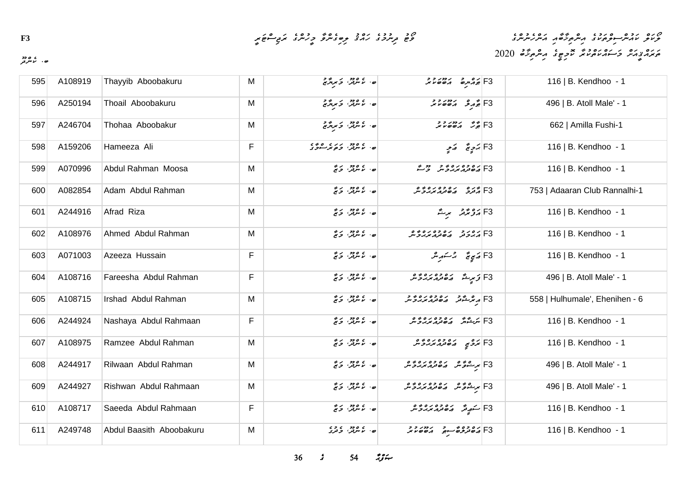*sCw7q7s5w7m< o<n9nOoAw7o< sCq;mAwBoEw7q<m; wBm;vB* م من المرة المرة المرة المرجع المرجع في المركبة 2020<br>مجم*د المريض المربوط المربع المرجع في المراجع المركبة* 

| 595 | A108919 | Thayyib Aboobakuru       | M            | ے کے دوری کے مریر مح                     | $77777$ $2797$ $53$                             | 116   B. Kendhoo - 1           |
|-----|---------|--------------------------|--------------|------------------------------------------|-------------------------------------------------|--------------------------------|
| 596 | A250194 | Thoail Aboobakuru        | M            | ם יש מנג' בינתים                         | $72222$ $725$ F3                                | 496   B. Atoll Male' - 1       |
| 597 | A246704 | Thohaa Aboobakur         | M            | ם יש יענקי אבצעות                        | $72222$ $75$ F3                                 | 662   Amilla Fushi-1           |
| 598 | A159206 | Hameeza Ali              | F            |                                          | F3 کر <i>چن</i> ج کرم                           | 116   B. Kendhoo - 1           |
| 599 | A070996 | Abdul Rahman Moosa       | M            | ھ ، ئائىرىتى ، ئ                         | F3 دەمدىرە ئەرەپ ئەس                            | 116   B. Kendhoo - 1           |
| 600 | A082854 | Adam Abdul Rahman        | M            | ھ ، ئائىرىتى كەنج                        | F3 أَرْتَرَى إِرَهِ وَمُعَ يَرْكُمْ يَرَوْ شَ   | 753   Adaaran Club Rannalhi-1  |
| 601 | A244916 | Afrad Riza               | M            | ە . ئايلاتى <sup>م ك</sup> ەنج           | F3 كەۋىر <i>دۇ بې</i> شە                        | 116   B. Kendhoo - 1           |
| 602 | A108976 | Ahmed Abdul Rahman       | M            | ھ ، ئائىرى ، ئ                           | F3 رەر دە دە دە دە دە                           | 116   B. Kendhoo - 1           |
| 603 | A071003 | Azeeza Hussain           | F            | ے کے عروش کرنج                           | F3 <i>ھَيمٍ تَقْ</i> مُسَمَّدٍ مَشْ             | 116   B. Kendhoo - 1           |
| 604 | A108716 | Fareesha Abdul Rahman    | F            | ے کے عروش کرنج                           | F3 كۆپرىش كەن <i>ھەتمەد قى</i> ر                | 496   B. Atoll Male' - 1       |
| 605 | A108715 | Irshad Abdul Rahman      | M            | ھ ، ئاسريں گريخ                          | F3 مرشور مصر مده د د                            | 558   Hulhumale', Ehenihen - 6 |
| 606 | A244924 | Nashaya Abdul Rahmaan    | $\mathsf{F}$ | ھ ، ئائىرىتى كەنج                        | F3 سَرْجُمُّ <sub>مُ</sub> ھُتر <i>مُحدِّدُ</i> | 116   B. Kendhoo - 1           |
| 607 | A108975 | Ramzee Abdul Rahman      | M            | ه کاروژ دی                               | F3 تر <i>وي م</i> ەممەرەپەر                     | 116   B. Kendhoo - 1           |
| 608 | A244917 | Rilwaan Abdul Rahman     | M            | ے مشرقی کرتے<br>جاسکوفری کرتے            | F3 برش <i>وش مەمەدە بودى</i> ر                  | 496   B. Atoll Male' - 1       |
| 609 | A244927 | Rishwan Abdul Rahmaan    | M            | ھ ، ئائىرى ، ئ                           | F3 برشو <i>ن بره ده ده ده و</i>                 | 496   B. Atoll Male' - 1       |
| 610 | A108717 | Saeeda Abdul Rahmaan     | F            | ے مشرقی کرتے<br>جاسکوفری کرتے            | F3 خەرق مەھىرمەمدىق بىر                         | 116   B. Kendhoo - 1           |
| 611 | A249748 | Abdul Baasith Aboobakuru | M            | ه . که ده ده ده ده<br>ده . کاسرلر، ترتری | 77777 2 20707 F3                                | 116   B. Kendhoo - 1           |

**36** *s* **54** *n***<sub>3</sub> <b>***n* 

*r p s*<br>@. עית <sub>בק</sub>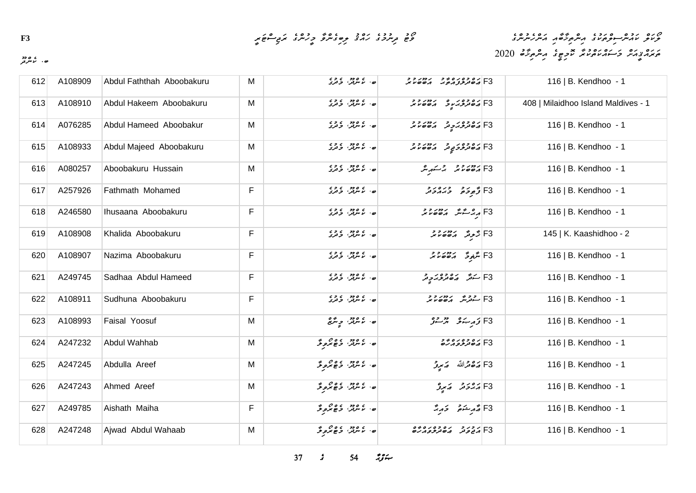*sCw7q7s5w7m< o<n9nOoAw7o< sCq;mAwBoEw7q<m; wBm;vB* م من المرة المرة المرة المرجع المرجع في المركبة 2020<br>مجم*د المريض المربوط المربع المرجع في المراجع المركبة* 

| 612 | A108909 | Abdul Faththah Aboobakuru | M           | ے مشرقی وی<br>ن کا سرقران و توری                                               | רא בסיני פיני פי די פיני פי CR ביציא  | 116   B. Kendhoo - 1                |
|-----|---------|---------------------------|-------------|--------------------------------------------------------------------------------|---------------------------------------|-------------------------------------|
| 613 | A108910 | Abdul Hakeem Aboobakuru   | M           | ه . کامود . کاموی<br>ده . کاموټر ، څه ترې                                      | E3 ROCKERY ROOM                       | 408   Milaidhoo Island Maldives - 1 |
| 614 | A076285 | Abdul Hameed Aboobakur    | M           | ه . ع موجود . ع و <i>ع</i><br>الله . الما موجود . محر و حرى                    | F3 גם כם גם המרי כב                   | 116   B. Kendhoo - 1                |
| 615 | A108933 | Abdul Majeed Aboobakuru   | M           | ے مشرقی وہ<br>اے کا کرفن وقری                                                  | 72732 70207 F3                        | 116   B. Kendhoo - 1                |
| 616 | A080257 | Aboobakuru Hussain        | M           | ه . که ده . د . د .<br>ده . کامرلر ، و تری                                     | 2222227                               | 116   B. Kendhoo - 1                |
| 617 | A257926 | Fathmath Mohamed          | $\mathsf F$ | ے مشرقی کا دیا<br>جاس مشرقی کرفری                                              | F3 وُجِعَة حَمَدَ مَعَ                | 116   B. Kendhoo - 1                |
| 618 | A246580 | Ihusaana Aboobakuru       | F           | ے وجود ہے وہ<br>جن ماسرتیں کا تعری                                             | $22222$ $227$ $227$ F3                | 116   B. Kendhoo - 1                |
| 619 | A108908 | Khalida Aboobakuru        | F           | ه . کامود . کاموی<br>ده . کامولور کاموری                                       | F3 گرونگر بر <i>ه ۱۵۵۵</i> بر         | 145   K. Kaashidhoo - 2             |
| 620 | A108907 | Nazima Aboobakuru         | F           | ه . کامود . کاموی<br>ده . کاموټر ، څه ترې                                      | F3 سَّنْفِرَّة مُقْصَلَة بِرِ         | 116   B. Kendhoo - 1                |
| 621 | A249745 | Sadhaa Abdul Hameed       | F           | ه . که ده . د . د .<br>ده . کامرلر ، و تری                                     | F3 سَعَرٌ مُصْعَرْ مُرْدِرَ وِثَرَ    | 116   B. Kendhoo - 1                |
| 622 | A108911 | Sudhuna Aboobakuru        | $\mathsf F$ | ه . کارود ، د ، د ،<br>ه . کامرټر ، و ترو                                      | F3_ جوړې ده ده د                      | 116   B. Kendhoo - 1                |
| 623 | A108993 | Faisal Yoosuf             | M           | ھ ، ئامريز، جي مگھ                                                             | F3 كۆم بىكى ئىش تۈرگۈ                 | 116   B. Kendhoo - 1                |
| 624 | A247232 | Abdul Wahhab              | M           |                                                                                | F3 پره وه بره پر و                    | 116   B. Kendhoo - 1                |
| 625 | A247245 | Abdulla Areef             | M           | ە دە دە دەم ئە                                                                 | F3 مَەھىراللە مَ <i>مْبِوقى</i>       | 116   B. Kendhoo - 1                |
| 626 | A247243 | Ahmed Areef               | M           | ە دە دە دەم ئە                                                                 | F3 كەندى كىم كەلىرى كەنتىر تەرىپى ئىل | 116   B. Kendhoo - 1                |
| 627 | A249785 | Aishath Maiha             | F           | ە دە دە دەم ئە                                                                 | F3 م <i>ەم شىم ئىم</i> ئ              | 116   B. Kendhoo - 1                |
| 628 | A247248 | Ajwad Abdul Wahaab        | M           | $\begin{bmatrix} 0 & 0 & 0 & 0 & c & c \\ 0 & 0 & 0 & 0 & c & c \end{bmatrix}$ | 723 - 227 - 228 - 239 F3              | 116   B. Kendhoo - 1                |

*37 sC 54 nNw?mS*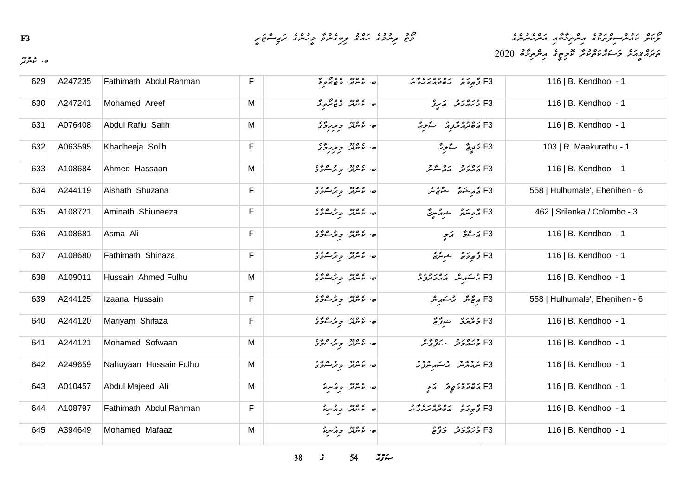*sCw7q7s5w7m< o<n9nOoAw7o< sCq;mAwBoEw7q<m; wBm;vB* م من المرة المرة المرة المرجع المرجع في المركبة 2020<br>مجم*د المريض المربوط المربع المرجع في المراجع المركبة* 

| 629 | A247235 | Fathimath Abdul Rahman | F           | ھ ، ئاسرتر، وھ ترو ڈ                                                                                          | F3 ژَجِرَة رَهُ صَوْرَ مُرَدَّ مَرَّ     | 116   B. Kendhoo - 1           |
|-----|---------|------------------------|-------------|---------------------------------------------------------------------------------------------------------------|------------------------------------------|--------------------------------|
| 630 | A247241 | Mohamed Areef          | M           | ە دە دە دەم ئىلىمى ئىلىمى ئىلىمى ئىلىمى ئىلىمى ئىلىمى ئىلىمى ئىلىمى ئىلىمى ئىلىمى ئىللىك ئىللىك ئىللىك ئىللىك | F3 <i>3222 مكبر</i> و                    | 116   B. Kendhoo - 1           |
| 631 | A076408 | Abdul Rafiu Salih      | M           |                                                                                                               | F3 <i>مەھەمدىرىقى</i> جۇمبۇر             | 116   B. Kendhoo - 1           |
| 632 | A063595 | Khadheeja Solih        | F           | ه . ما مادود.<br>ه . ما مادور، و بوروی                                                                        | F3 زَمِيعٌ سِمَّحِ <i>بُ</i> رُ          | 103   R. Maakurathu - 1        |
| 633 | A108684 | Ahmed Hassaan          | M           | ه . ما مربو . و و و و و و<br>ه . ما مربو . و بو سوو و                                                         | F3 كەبروتىر كەرگەش                       | 116   B. Kendhoo - 1           |
| 634 | A244119 | Aishath Shuzana        | $\mathsf F$ | ه عملی و ده ده                                                                                                | F3 م <i>ەمبەشقى ھەمقىتى</i> گە           | 558   Hulhumale', Ehenihen - 6 |
| 635 | A108721 | Aminath Shiuneeza      | F           | ه ، کامپرس و برگردی                                                                                           | F3 مُرْحِسَمُ مُشْرَسِيمُ                | 462   Srilanka / Colombo - 3   |
| 636 | A108681 | Asma Ali               | $\mathsf F$ | ه . ما مرود .<br>۲۰۰۰ ما مرود . و بر سوری                                                                     | F3 كار مشق مي ميونيو<br>جيمبر            | 116   B. Kendhoo - 1           |
| 637 | A108680 | Fathimath Shinaza      | F           | ه عملون و بر دوه<br>ه عملون و بر سور                                                                          | F3 تُرجوحَ حَمَّ شَ <i>مِتَنَّ</i> جَ    | 116   B. Kendhoo - 1           |
| 638 | A109011 | Hussain Ahmed Fulhu    | M           | ه عملون و بر دوه<br>ه عملون و بر سور                                                                          | F3 پر کمبر مرکز ترویز د                  | 116   B. Kendhoo - 1           |
| 639 | A244125 | Izaana Hussain         | F           | ه عملون و بر دوه<br>ه عملون و بر سور                                                                          | F3 مِیچَ مَدَّ کَمَ سَمَ <i>م</i> ِ مَدْ | 558   Hulhumale', Ehenihen - 6 |
| 640 | A244120 | Mariyam Shifaza        | F           | ه عملون و بر دوه<br>ه عملون و بر سور                                                                          | F3 <i>وَجُهْدَةَ</i> شِوَرَّجَ           | 116   B. Kendhoo - 1           |
| 641 | A244121 | Mohamed Sofwaan        | M           | ه کامود و ده ده                                                                                               | F3 در ده دره بره ده و                    | 116   B. Kendhoo - 1           |
| 642 | A249659 | Nahuyaan Hussain Fulhu | M           | ه . م سربر ، و و د د د<br>ه . ما سربر ، و بر سور د                                                            | F3 م <i>ىڭ ئۇنىڭ بەسكىر بىرى</i> ر ئى    | 116   B. Kendhoo - 1           |
| 643 | A010457 | Abdul Majeed Ali       | M           | ם ישיתה בגייתי                                                                                                | F3 <i>ړه دو</i> کي تر کمبي               | 116   B. Kendhoo - 1           |
| 644 | A108797 | Fathimath Abdul Rahman | $\mathsf F$ | ם ישתבלי בגיתו                                                                                                |                                          | 116   B. Kendhoo - 1           |
| 645 | A394649 | Mohamed Mafaaz         | M           | ם ישיעת <i>ב</i> רייט                                                                                         | F3 <i>جەممى ھەرە</i>                     | 116   B. Kendhoo - 1           |

**38** *s* **54** *n***<sub>y</sub> <b>***s*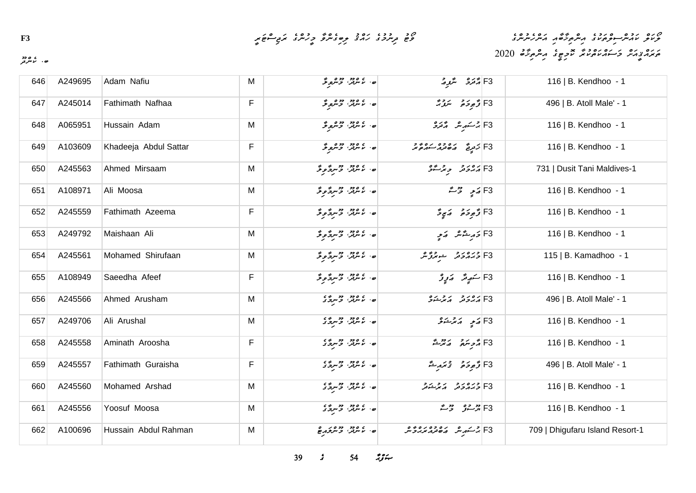*sCw7q7s5w7m< o<n9nOoAw7o< sCq;mAwBoEw7q<m; wBm;vB* م من المرة المرة المرة المرجع المرجع في المركبة 2020<br>مجم*د المريض المربوط المربع المرجع في المراجع المركبة* 

| 646 | A249695 | Adam Nafiu            | M            | ە مەس دە «ە ھەتتى                                                                                                                                                                                                                                                                                                            | F3 <i>مُحَرَّدُ مُحَدِّرةُ</i>                | 116   B. Kendhoo - 1            |
|-----|---------|-----------------------|--------------|------------------------------------------------------------------------------------------------------------------------------------------------------------------------------------------------------------------------------------------------------------------------------------------------------------------------------|-----------------------------------------------|---------------------------------|
| 647 | A245014 | Fathimath Nafhaa      | F            | ە دە «ە «ە ئۇ                                                                                                                                                                                                                                                                                                                | F3 <i>وَّجِ حَقَّ</i> سَمَ <i>دْ بَدُ</i>     | 496   B. Atoll Male' - 1        |
| 648 | A065951 | Hussain Adam          | M            | ه . ما مربر ، وړه و.<br>د . ما مربر ، و مربو تر                                                                                                                                                                                                                                                                              | F3 بُرْسَهِ بِيْرِ مُحْرَى مَحْرَى مَسْتَخْرِ | 116   B. Kendhoo - 1            |
| 649 | A103609 | Khadeeja Abdul Sattar | F            | ه ، با مرد ، دوه د و                                                                                                                                                                                                                                                                                                         | F3 زَمْرِيحَ   رُە دە رەپەر                   | 116   B. Kendhoo - 1            |
| 650 | A245563 | Ahmed Mirsaam         | M            | ە مەس ئەرگە ئەس ئەر                                                                                                                                                                                                                                                                                                          | F3 <i>ډېر د پر ش</i> و                        | 731   Dusit Tani Maldives-1     |
| 651 | A108971 | Ali Moosa             | M            |                                                                                                                                                                                                                                                                                                                              | $23 \div 5$ F3                                | 116   B. Kendhoo - 1            |
| 652 | A245559 | Fathimath Azeema      | $\mathsf{F}$ | ە بەرەدە بەرگە ئەرگە ئە                                                                                                                                                                                                                                                                                                      | F3 <i>وَّجِوَحَمْ مَيْ وَ</i>                 | 116   B. Kendhoo - 1            |
| 653 | A249792 | Maishaan Ali          | M            | ە مەس ئەرگە ئەس ئەر                                                                                                                                                                                                                                                                                                          | F3 كەرىشىش كەي <u>ج</u>                       | 116   B. Kendhoo - 1            |
| 654 | A245561 | Mohamed Shirufaan     | M            | ە بە مەردە بەر بەر ئەر                                                                                                                                                                                                                                                                                                       | F3 دېرم د مومر <i>و</i> مر                    | 115   B. Kamadhoo - 1           |
| 655 | A108949 | Saeedha Afeef         | F            |                                                                                                                                                                                                                                                                                                                              | F3 ڪ <i>مينگ مَڌوِ</i> رُ                     | 116   B. Kendhoo - 1            |
| 656 | A245566 | Ahmed Arusham         | M            | ם - מיכת רבי ביינבר ב                                                                                                                                                                                                                                                                                                        | F3 كەبروتى كەيم كىشكى                         | 496   B. Atoll Male' - 1        |
| 657 | A249706 | Ali Arushal           | M            | גם כבר כבר הבירה<br>פי מיתבתי בייתביב                                                                                                                                                                                                                                                                                        | F3 <i>ڇُجِ جي جُهڻو</i>                       | 116   B. Kendhoo - 1            |
| 658 | A245558 | Aminath Aroosha       | $\mathsf{F}$ | $\begin{array}{cc} 0 & 0 & 0 & 0 & 0 \\ 0 & 0 & 0 & 0 & 0 \\ 0 & 0 & 0 & 0 & 0 \\ 0 & 0 & 0 & 0 & 0 \\ 0 & 0 & 0 & 0 & 0 \\ 0 & 0 & 0 & 0 & 0 \\ 0 & 0 & 0 & 0 & 0 \\ 0 & 0 & 0 & 0 & 0 \\ 0 & 0 & 0 & 0 & 0 \\ 0 & 0 & 0 & 0 & 0 \\ 0 & 0 & 0 & 0 & 0 & 0 \\ 0 & 0 & 0 & 0 & 0 & 0 \\ 0 & 0 & 0 & 0 & 0 & 0 \\ 0 & 0 & 0 &$ | F3 مُجِسَعُ مَعْرُ مُشَدَّ                    | 116   B. Kendhoo - 1            |
| 659 | A245557 | Fathimath Guraisha    | F            |                                                                                                                                                                                                                                                                                                                              | F3 <i>وُجِوَدُ ڏَيَرَ ٻِ</i> شُ               | 496   B. Atoll Male' - 1        |
| 660 | A245560 | Mohamed Arshad        | M            | ם - מיתר - רבי הביבי<br>יש - מיתר - רבי הביבי                                                                                                                                                                                                                                                                                | F3 ويرە دو كەيم ئىشكىلىر                      | 116   B. Kendhoo - 1            |
| 661 | A245556 | Yoosuf Moosa          | M            | גם כבר כבר הברי<br>ישור מיותרתי ביותרה ב                                                                                                                                                                                                                                                                                     | F3 انزلسٹرو ترمی                              | 116   B. Kendhoo - 1            |
| 662 | A100696 | Hussain Abdul Rahman  | M            | $\begin{bmatrix} 0 & 0 & 22 & 220 & 6 \ 6 & 0 & 2 & 7 & 7 & 7 & 6 \ 8 & 0 & 0 & 0 & 0 & 0 \end{bmatrix}$                                                                                                                                                                                                                     | F3 پر کمبر میں مقدم مربر و مو                 | 709   Dhigufaru Island Resort-1 |

**39** *s* **54** *n***<sub>s</sub>**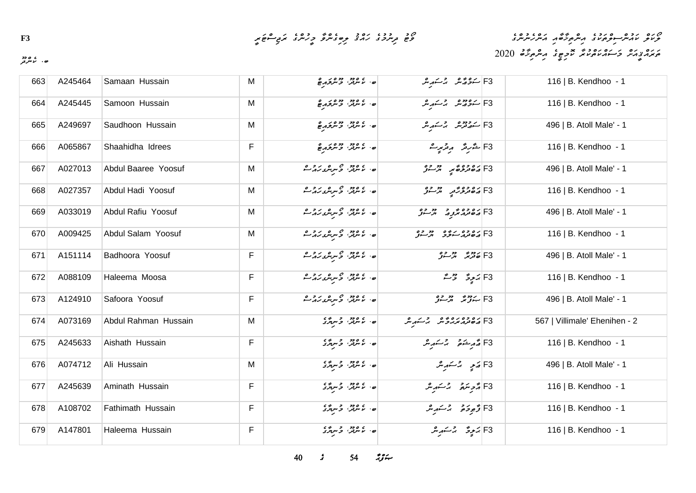*sCw7q7s5w7m< o<n9nOoAw7o< sCq;mAwBoEw7q<m; wBm;vB* م من المرة المرة المرة المرجع المرجع في المركبة 2020<br>مجم*د المريض المربوط المربع المرجع في المراجع المركبة* 

| 663 | A245464 | Samaan Hussain       | M           | ه کاملانی و مرکز مردم                                                                            | F3 سەۋەت بۇ سەربىر                        | 116   B. Kendhoo - 1          |
|-----|---------|----------------------|-------------|--------------------------------------------------------------------------------------------------|-------------------------------------------|-------------------------------|
| 664 | A245445 | Samoon Hussain       | M           | ם מיתה מסגם<br>כי מיתה כיתיבת                                                                    | F3 سەۋە ھەم بۇ سەر بىر                    | 116   B. Kendhoo - 1          |
| 665 | A249697 | Saudhoon Hussain     | M           | $\begin{bmatrix} 0 & 0 & 22 & 220 & 6 \ 6 & 0 & 1 & 1 & 1 \end{bmatrix}$                         | F3 سەھەم بۇ جەمئەر بىر                    | 496   B. Atoll Male' - 1      |
| 666 | A065867 | Shaahidha Idrees     | $\mathsf F$ |                                                                                                  | F3 ڪريگر پرتگر <i>پر</i> ے                | 116   B. Kendhoo - 1          |
| 667 | A027013 | Abdul Baaree Yoosuf  | M           | ه ۱۳۵۲ مربع بروره در د                                                                           | F3 كەھەر <i>خەمىيە بىر سۆ</i> ر           | 496   B. Atoll Male' - 1      |
| 668 | A027357 | Abdul Hadi Yoosuf    | M           | ه ۱٬۰۰۰ مربر و مربر در در م                                                                      | F3 كەھەر <i>جەمبە</i> بىر مىز             | 116   B. Kendhoo - 1          |
| 669 | A033019 | Abdul Rafiu Yoosuf   | M           | ه . ما مرکز ، د مرمرد رو د ه                                                                     | F3 ב-200 م - 200 من و                     | 496   B. Atoll Male' - 1      |
| 670 | A009425 | Abdul Salam Yoosuf   | M           | ه . ما مرکز ، د مرمور در د ه                                                                     | F3   جەھ بىر مەلكە ئەسىر بىر بىر بىر ئ    | 116   B. Kendhoo - 1          |
| 671 | A151114 | Badhoora Yoosuf      | F           | ه . ما مرکز ، د مرمور در د ه                                                                     | F3 ڪيتر پير سرگر                          | 496   B. Atoll Male' - 1      |
| 672 | A088109 | Haleema Moosa        | F           | ه نامرين وسرمرده ده.<br>مستوفين وسرمرد مستوفي                                                    | F3  پَر <sub>ِو</sub> دٌ حِيْثَہ          | 116   B. Kendhoo - 1          |
| 673 | A124910 | Safoora Yoosuf       | F           | ە ئامرى ئەربىرى ئەر                                                                              | F3 بەدە بىر دەر                           | 496   B. Atoll Male' - 1      |
| 674 | A073169 | Abdul Rahman Hussain | M           | ם ישתבי בייטבב                                                                                   | F3 رە دەرە دەر برگىرىش                    | 567   Villimale' Ehenihen - 2 |
| 675 | A245633 | Aishath Hussain      | F           | $\begin{bmatrix} 1 & 1 & 1 & 1 \\ 1 & 1 & 1 & 1 \\ 1 & 1 & 1 & 1 \\ 1 & 1 & 1 & 1 \end{bmatrix}$ | F3 م <i>ۇم شۇمۇ</i> ب <sub>ى</sub> شەمبەش | 116   B. Kendhoo - 1          |
| 676 | A074712 | Ali Hussain          | M           | ם ישתנלי ביתול                                                                                   | F3 <i>ھاچ</i> جڪمي شر                     | 496   B. Atoll Male' - 1      |
| 677 | A245639 | Aminath Hussain      | $\mathsf F$ | ם ישתבי בתחב                                                                                     | F3 مُ <i>جِسَمُ مُسْتَمِينُ</i> رِ        | 116   B. Kendhoo - 1          |
| 678 | A108702 | Fathimath Hussain    | F           | ے میں میں وسروی                                                                                  | F3   وَجوحَة مَنْ مَسَوْرِ مَنْ           | 116   B. Kendhoo - 1          |
| 679 | A147801 | Haleema Hussain      | F           | ם ישתבי ביתית.<br>כי מיתבי ביתית.                                                                | F3 كەبچى ئەسكە <i>پ بى</i> ر              | 116   B. Kendhoo - 1          |

*40 sC 54 nNw?mS*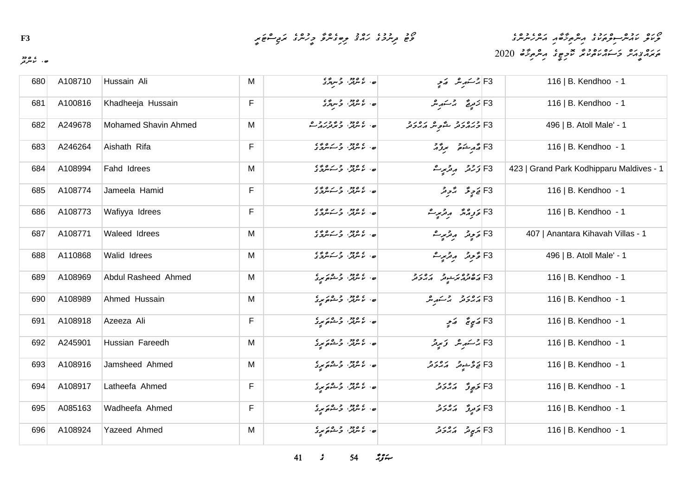*sCw7q7s5w7m< o<n9nOoAw7o< sCq;mAwBoEw7q<m; wBm;vB* م من المرة المرة المرة المرجع المرجع في المركبة 2020<br>مجم*د المريض المربوط المربع المرجع في المراجع المركبة* 

| 680 | A108710 | Hussain Ali          | M            | ے موبر وسرگری<br>حساس میں وسرگری                        | F3 پرڪ <i>مبرنگر پرکمبر</i>                                                                          | 116   B. Kendhoo - 1                     |
|-----|---------|----------------------|--------------|---------------------------------------------------------|------------------------------------------------------------------------------------------------------|------------------------------------------|
| 681 | A100816 | Khadheeja Hussain    | F            | ه . ما سربل و سربری                                     | F3  ترميعً    پرڪ <i>م</i> بر شر                                                                     | 116   B. Kendhoo - 1                     |
| 682 | A249678 | Mohamed Shavin Ahmed | M            |                                                         | F3 ويرە دو شوە ش <i>ەر مەد</i> وتر                                                                   | 496   B. Atoll Male' - 1                 |
| 683 | A246264 | Aishath Rifa         | F            | ه . ع موجود او د ده و د .<br>ده . ما ملوچود او ستوجود و | F3 م <i>ەم شەق بىرۇ</i> م                                                                            | 116   B. Kendhoo - 1                     |
| 684 | A108994 | Fahd Idrees          | M            | ه ۱۵ ورو در ۱۵۶۵<br>مسروري                              | F3 وَرَتْنَرَ بِرِمْرِيْتِ                                                                           | 423   Grand Park Kodhipparu Maldives - 1 |
| 685 | A108774 | Jameela Hamid        | $\mathsf F$  | ه . کارود و ده و د                                      | F3   ق م ح م ح م ح م ح م ح م ح م حر م                                                                | 116   B. Kendhoo - 1                     |
| 686 | A108773 | Wafiyya Idrees       | F            | ه ۱۵ ورو در ۱۵۶۵<br>مه کوتلون و کوتلوی                  | F3  <i>وَوِهْ، هُمْ مِعْهِدٍ</i> مُ                                                                  | 116   B. Kendhoo - 1                     |
| 687 | A108771 | Waleed Idrees        | M            | ه ۱۵۹۴ وروپه<br>مسرچي کرسورۍ                            | F3 كوَجِعْرُ مِعْرَمِي <sup>ْ</sup> ـ                                                                | 407   Anantara Kihavah Villas - 1        |
| 688 | A110868 | Walid Idrees         | M            | ه . ع موجود او د ه ه ه ه<br>ده . ما موجود او ستوجود و   | F3   قَرْمِةْرَ مِقْرَمِيْتْ                                                                         | 496   B. Atoll Male' - 1                 |
| 689 | A108969 | Abdul Rasheed Ahmed  | M            | ه . ما ۵۶۵ و د در د .<br>۱۳۰۳ کامرلو ، و شوه مرد        | F3 مەھەرمەشىر مەر دەر ج                                                                              | 116   B. Kendhoo - 1                     |
| 690 | A108989 | Ahmed Hussain        | M            |                                                         | F3 كەبرو بور بەسكە بىر                                                                               | 116   B. Kendhoo - 1                     |
| 691 | A108918 | Azeeza Ali           | $\mathsf{F}$ | ه . کامبرو . و . و . د<br>د . کامبرو . و شوه مرد        | F3 <i>ھَيِّ تَقْ مَيْ</i>                                                                            | 116   B. Kendhoo - 1                     |
| 692 | A245901 | Hussian Fareedh      | M            | ه . کامون و ده د .<br>ده کامونکر، و شوه مرد             | F3 پر <i>شهر شهر و م</i> ریتر                                                                        | 116   B. Kendhoo - 1                     |
| 693 | A108916 | Jamsheed Ahmed       | M            |                                                         | F3 في حسير من المركز و تركيب المركز في المركز المركز و المركز المركز المركز المركز المركز المركز الم | 116   B. Kendhoo - 1                     |
| 694 | A108917 | Latheefa Ahmed       | F            | ه ده ده ده در در د<br>مسر در رسومبرد                    | F3 كَرَج <i>وِدٌ مُ</i> كْرَدَتْرُ                                                                   | 116   B. Kendhoo - 1                     |
| 695 | A085163 | Wadheefa Ahmed       | $\mathsf F$  | ه وه ده ده در دارد.<br>مسرچينې د شوم مرد                | F3 كۆمىر <i>ۇ كەن</i> دى تىر                                                                         | 116   B. Kendhoo - 1                     |
| 696 | A108924 | Yazeed Ahmed         | M            | ه . کامولار . د . د . د .<br>د . کامولار ، و شوه مرد    | F3 <sub>ا</sub> ترى <sub>پ</sub> ەتر كەندى قىل                                                       | 116   B. Kendhoo - 1                     |

*41 sC 54 nNw?mS*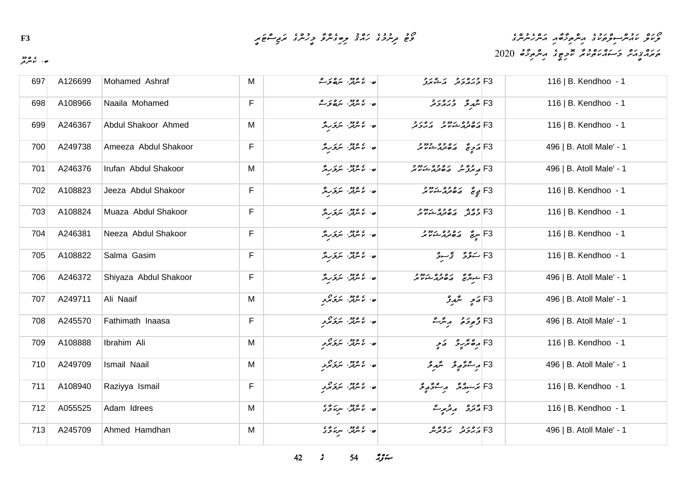*sCw7q7s5w7m< o<n9nOoAw7o< sCq;mAwBoEw7q<m; wBm;vB* م من المرة المرة المرة المرجع المرجع في المركبة 2020<br>مجم*د المريض المربوط المربع المرجع في المراجع المركبة* 

| 697 | A126699 | Mohamed Ashraf        | M           | ھ ، ئامروز، سھۇب                                        | F3 ويرەرو كەندى                        | 116   B. Kendhoo - 1     |
|-----|---------|-----------------------|-------------|---------------------------------------------------------|----------------------------------------|--------------------------|
| 698 | A108966 | Naaila Mohamed        | F           | ھ ، ئاس تر مرد دے                                       | F3 سُمبِ قَرَ دِيمَ 1945 قَر           | 116   B. Kendhoo - 1     |
| 699 | A246367 | Abdul Shakoor Ahmed   | M           | ے میں میر کر گھریں تھا۔<br>حوالہ میں میں میر کر کر کھیے | 57070202020253                         | 116   B. Kendhoo - 1     |
| 700 | A249738 | Ameeza Abdul Shakoor  | F           | ە ئاملاش ئىرىگە                                         | F3 ה'כְהַ ה'סינת בינית ב               | 496   B. Atoll Male' - 1 |
| 701 | A246376 | Irufan Abdul Shakoor  | M           | ھ ، ئائىرىش ئىرىگەر                                     | F3 مەترىپ مەھەرمەدە دەرە               | 496   B. Atoll Male' - 1 |
| 702 | A108823 | Jeeza Abdul Shakoor   | $\mathsf F$ | ے معرفز، سربر برگز                                      | F3 يوځ پره <i>ده د دو</i> م            | 116   B. Kendhoo - 1     |
| 703 | A108824 | Muaza Abdul Shakoor   | $\mathsf F$ | ے متعرفی شرکز سرگر                                      | F3 دورو روم دوم<br>F3 دونر دەمدە شىرىم | 116   B. Kendhoo - 1     |
| 704 | A246381 | Neeza Abdul Shakoor   | $\mathsf F$ | ص ما مرورم سر بر كر برگر                                | F3 سرچ ده دره در دو د                  | 116   B. Kendhoo - 1     |
| 705 | A108822 | Salma Gasim           | $\mathsf F$ | ە ، ئاملار، ئىرىگەر                                     | F3 كەنزى تۇسىۋ                         | 116   B. Kendhoo - 1     |
| 706 | A246372 | Shiyaza Abdul Shakoor | F           | ے ماسریں سربر سر                                        | F3 شەھرىم مەھەر مەدەبىر                | 496   B. Atoll Male' - 1 |
| 707 | A249711 | Ali Naaif             | M           | ە ، ئامەت ئىرىمى                                        | F3 <i>ڇَجِ سُمُدِ</i> وْ               | 496   B. Atoll Male' - 1 |
| 708 | A245570 | Fathimath Inaasa      | $\mathsf F$ | ە مەس ئەرەمى<br>ھەس سىرتىرىكى سىرىگەنلىرىغا             | F3 وَجوحَہ مِسَّرَسَّہُ                | 496   B. Atoll Male' - 1 |
| 709 | A108888 | Ibrahim Ali           | M           | ە بەرە بەرە بەر                                         | F3 ۾ <i>هنڙي</i> و کيمي                | 116   B. Kendhoo - 1     |
| 710 | A249709 | <b>Ismail Naail</b>   | M           | ه . ما مروژ، مرکز کرد.<br>۱۳۰۴ میلادی مرکز کرد.         | F3 <sub>م</sub> رےد <i>و پر ش</i> ری   | 496   B. Atoll Male' - 1 |
| 711 | A108940 | Raziyya Ismail        | $\mathsf F$ | ه . ما مروژ، مرکز کرد.<br>۱۳۰۴ میلادی مرکز کرد.         | F3 بَرَسِيرْ بَرَّ بِرِ سُتَرَوِيْرَ   | 116   B. Kendhoo - 1     |
| 712 | A055525 | Adam Idrees           | M           | ے متعرفی سرمانوی                                        | F3 مُحَمَّدَ مِعْرَمِي <sup>ْ</sup>    | 116   B. Kendhoo - 1     |
| 713 | A245709 | Ahmed Hamdhan         | M           | ه کاملانگر، سربروی                                      | F3 <i>ג' دو ب</i> روترينز              | 496   B. Atoll Male' - 1 |

*42 sC 54 nNw?mS*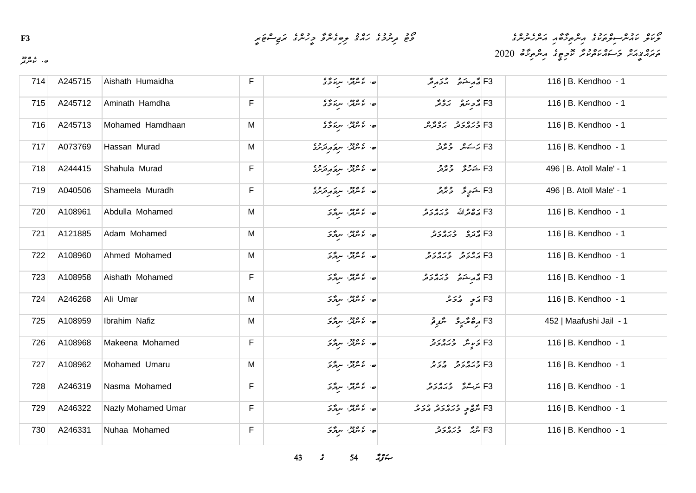*sCw7q7s5w7m< o<n9nOoAw7o< sCq;mAwBoEw7q<m; wBm;vB* م من المرة المرة المرة المرجع المرجع في المركبة 2020<br>مجم*د المريض المربوط المربع المرجع في المراجع المركبة* 

| 714 | A245715 | Aishath Humaidha   | F           | ه . ما مرکز ، مرکز و ی                                                                                                                                                                                                                                                                                                                                                                                                                                          | F3 مَّەمِسْمَعْ بْرَدَوِيْر          | 116   B. Kendhoo - 1     |
|-----|---------|--------------------|-------------|-----------------------------------------------------------------------------------------------------------------------------------------------------------------------------------------------------------------------------------------------------------------------------------------------------------------------------------------------------------------------------------------------------------------------------------------------------------------|--------------------------------------|--------------------------|
| 715 | A245712 | Aminath Hamdha     | F           | ے میں روح                                                                                                                                                                                                                                                                                                                                                                                                                                                       | F3 مُجِسَعَ بَرْدَتَرُ               | 116   B. Kendhoo - 1     |
| 716 | A245713 | Mohamed Hamdhaan   | M           | ם ישיתה ייתול ב                                                                                                                                                                                                                                                                                                                                                                                                                                                 | F3 دره در دره در بروتر               | 116   B. Kendhoo - 1     |
| 717 | A073769 | Hassan Murad       | M           | ے 2000 سرچر کرے۔<br>جس سرچر، سرچ مرجوزی                                                                                                                                                                                                                                                                                                                                                                                                                         | F3   پرسترس تح <i>می تح</i> مد       | 116   B. Kendhoo - 1     |
| 718 | A244415 | Shahula Murad      | F           | ه . ما سرچر، سرچ پر و ،<br>۱۵۰ ما سرچر، سرچ پر ترس                                                                                                                                                                                                                                                                                                                                                                                                              | F3 شر <i>نرڈ ڈی</i> گر               | 496   B. Atoll Male' - 1 |
| 719 | A040506 | Shameela Muradh    | $\mathsf F$ | ه . ما مادود .<br>۱۵ . ما ملولو . معرج مرفوعوی                                                                                                                                                                                                                                                                                                                                                                                                                  | F3  شەر <sub>ى</sub> ۇ كەتگەر        | 496   B. Atoll Male' - 1 |
| 720 | A108961 | Abdulla Mohamed    | M           | ם לאתר מאב                                                                                                                                                                                                                                                                                                                                                                                                                                                      | F3 مَەھْمَراللە <i>مەم</i> ەر        | 116   B. Kendhoo - 1     |
| 721 | A121885 | Adam Mohamed       | M           | $\begin{bmatrix} \mathcal{L}_{\mathcal{P},\mathcal{P}}^{\mathcal{P}} & \mathcal{L}_{\mathcal{P},\mathcal{P}}^{\mathcal{P}} & \mathcal{L}_{\mathcal{P}} \\ \mathcal{L}_{\mathcal{P},\mathcal{P}}^{\mathcal{P}} & \mathcal{L}_{\mathcal{P},\mathcal{P}}^{\mathcal{P}} & \mathcal{L}_{\mathcal{P}}^{\mathcal{P}} \end{bmatrix}$                                                                                                                                    | F3 ړ <i>نوو وره دو</i>               | 116   B. Kendhoo - 1     |
| 722 | A108960 | Ahmed Mohamed      | M           | $\begin{bmatrix} \mathcal{L} & \mathcal{L} & \mathcal{L} & \mathcal{L} & \mathcal{L} & \mathcal{L} & \mathcal{L} & \mathcal{L} & \mathcal{L} & \mathcal{L} & \mathcal{L} & \mathcal{L} & \mathcal{L} & \mathcal{L} & \mathcal{L} & \mathcal{L} & \mathcal{L} & \mathcal{L} & \mathcal{L} & \mathcal{L} & \mathcal{L} & \mathcal{L} & \mathcal{L} & \mathcal{L} & \mathcal{L} & \mathcal{L} & \mathcal{L} & \mathcal{L} & \mathcal{L} & \mathcal{L} & \mathcal{$ | F3 <i>ג' בג' בג' בע</i>              | 116   B. Kendhoo - 1     |
| 723 | A108958 | Aishath Mohamed    | F           | ם י עלק ישו <i>אר</i>                                                                                                                                                                                                                                                                                                                                                                                                                                           | F3 مُدِيسَة وَيَرْدُونَر             | 116   B. Kendhoo - 1     |
| 724 | A246268 | Ali Umar           | M           | $\begin{bmatrix} \mathcal{L}_{\mathcal{P},\mathcal{P}}^{\mathcal{P}} & \mathcal{L}_{\mathcal{P},\mathcal{P}}^{\mathcal{P}} & \mathcal{L}_{\mathcal{P}} \\ \mathcal{L}_{\mathcal{P},\mathcal{P}}^{\mathcal{P}} & \mathcal{L}_{\mathcal{P},\mathcal{P}}^{\mathcal{P}} & \mathcal{L}_{\mathcal{P}}^{\mathcal{P}} \end{bmatrix}$                                                                                                                                    | F3 <sub>حک</sub> م حرکتر             | 116   B. Kendhoo - 1     |
| 725 | A108959 | Ibrahim Nafiz      | M           | ם לאתר מאב                                                                                                                                                                                                                                                                                                                                                                                                                                                      | F3 م <i>ەھترى</i> دۇ س <i>گرى</i> تى | 452   Maafushi Jail - 1  |
| 726 | A108968 | Makeena Mohamed    | F           | ם לאתר מאב                                                                                                                                                                                                                                                                                                                                                                                                                                                      | F3 دَرِيسٌ دِيرُورُدَ                | 116   B. Kendhoo - 1     |
| 727 | A108962 | Mohamed Umaru      | M           | ם ישתל תחיל                                                                                                                                                                                                                                                                                                                                                                                                                                                     | $752 - 7522$ F3                      | 116   B. Kendhoo - 1     |
| 728 | A246319 | Nasma Mohamed      | $\mathsf F$ | $\begin{bmatrix} \mathcal{L}_{\mathcal{P},\mathcal{P}}^{\mathcal{P}} & \mathcal{L}_{\mathcal{P},\mathcal{P}}^{\mathcal{P}} & \mathcal{L}_{\mathcal{P}} \\ \mathcal{L}_{\mathcal{P},\mathcal{P}}^{\mathcal{P}} & \mathcal{L}_{\mathcal{P},\mathcal{P}}^{\mathcal{P}} & \mathcal{L}_{\mathcal{P}}^{\mathcal{P}} \end{bmatrix}$                                                                                                                                    | F3 برگو <i>گر ورودو</i> ر            | 116   B. Kendhoo - 1     |
| 729 | A246322 | Nazly Mohamed Umar | F           | ם ישתבל תחבר                                                                                                                                                                                                                                                                                                                                                                                                                                                    | F3 شجو په <i>دره در د</i>            | 116   B. Kendhoo - 1     |
| 730 | A246331 | Nuhaa Mohamed      | $\mathsf F$ | ھ ئىش سرگە ئى                                                                                                                                                                                                                                                                                                                                                                                                                                                   | F3 برج وبرودتر                       | 116   B. Kendhoo - 1     |

*43 sC 54 nNw?mS*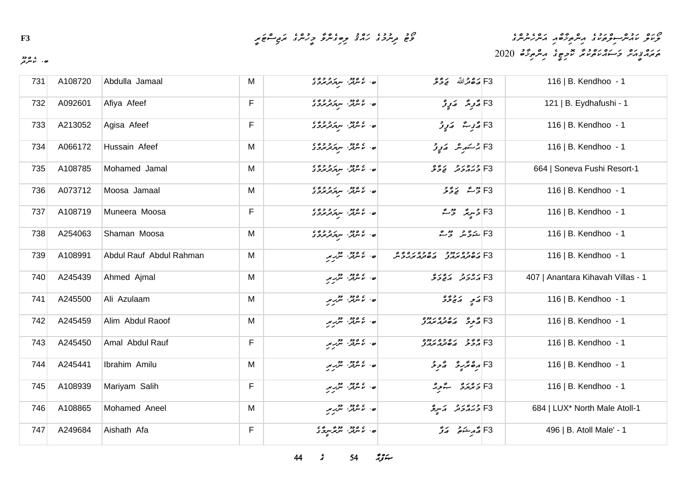*sCw7q7s5w7m< o<n9nOoAw7o< sCq;mAwBoEw7q<m; wBm;vB* م من المرة المرة المرة المرجع المرجع في المركبة 2020<br>مجم*د المريض المربوط المربع المرجع في المراجع المركبة* 

| 731 | A108720 | Abdulla Jamaal          | M            | ے مشرقہ سرگرفر مرد و                         | F3 <i>مَدْهُ مْدْ</i> اللّه مَحْرَمْتْ                            | 116   B. Kendhoo - 1              |
|-----|---------|-------------------------|--------------|----------------------------------------------|-------------------------------------------------------------------|-----------------------------------|
| 732 | A092601 | Afiya Afeef             | F            | ه . ما مرود .<br>ه . ما مرکز . موبرتر برو د  | F3 <i>مُّومَّہ مَرٍوْ</i>                                         | 121   B. Eydhafushi - 1           |
| 733 | A213052 | Agisa Afeef             | $\mathsf{F}$ | ے موثر سرگرمزدی<br>ص کا سرگر، سرگرمزدی       | F3 مُتِ بَمَّة مَر <i>ِينَ</i>                                    | 116   B. Kendhoo - 1              |
| 734 | A066172 | Hussain Afeef           | M            | ے موجود سرگردی دی۔<br>جس مسرگر، سرگرمردی     | F3 پرڪبريش ڪر <i>و</i> ڙ                                          | 116   B. Kendhoo - 1              |
| 735 | A108785 | Mohamed Jamal           | M            | ے موجود سرگردی دی۔<br>جس مسرگر، سرگرمردی     | F3 <i>جەيمۇقى خۇ</i> تۇ                                           | 664   Soneva Fushi Resort-1       |
| 736 | A073712 | Moosa Jamaal            | M            | ے موجود سرگردی دی۔<br>جس مسرگر، سرگرمردی     | $3322$ $23$ F3                                                    | 116   B. Kendhoo - 1              |
| 737 | A108719 | Muneera Moosa           | F            | ے مشترکہ سرگرفتر <i>مرح</i> د کا ا           | F3   جُسِعٌ صحَّ 2 =                                              | 116   B. Kendhoo - 1              |
| 738 | A254063 | Shaman Moosa            | M            | ے 2000 میں 2977ء<br>جا ماسولوں سی گرفتر پر 2 | $23.22$ $F3$                                                      | 116   B. Kendhoo - 1              |
| 739 | A108991 | Abdul Rauf Abdul Rahman | M            | $\overline{\mathcal{L}}$                     | F3 كەندەر دەدە بەرەرە بەرە<br>F3 كەنھەر <i>مەدەنى بەر مەيدى</i> س | 116   B. Kendhoo - 1              |
| 740 | A245439 | Ahmed Ajmal             | M            | ے وجود جو ہے۔<br>جن نوشری سربر پر            | F3 ג׳כנג ג <sup>2</sup> ء د                                       | 407   Anantara Kihavah Villas - 1 |
| 741 | A245500 | Ali Azulaam             | M            | ه ۱۵۹۵ ور<br>د الاسرائيل سربر مو             | F3 <i>جَرْحِي جَہُ وَ وَ</i>                                      | 116   B. Kendhoo - 1              |
| 742 | A245459 | Alim Abdul Raoof        | M            |                                              | F3 مُعْرِدٌ مُصْرِمْ مَرْدِهِ                                     | 116   B. Kendhoo - 1              |
| 743 | A245450 | Amal Abdul Rauf         | $\mathsf{F}$ | ه کاملانی مرد بر                             | F3 كەبىر مەھەرمەدە                                                | 116   B. Kendhoo - 1              |
| 744 | A245441 | Ibrahim Amilu           | M            | ه ۱۵۹۶ وربر<br>مستوفر شرب                    | F3 ب <i>رەنگەي</i> ۇ گەرىگى                                       | 116   B. Kendhoo - 1              |
| 745 | A108939 | Mariyam Salih           | F            | ه کاملانی مرد بر                             | F3 كەنگەنى ئىگەنى <sup>م</sup> ى                                  | 116   B. Kendhoo - 1              |
| 746 | A108865 | Mohamed Aneel           | M            |                                              | F3 <i>32222 كەبىرى</i>                                            | 684   LUX* North Male Atoll-1     |
| 747 | A249684 | Aishath Afa             | F            | ם מי מית ברובי בין<br>סי מיתבני ייתוליתפיב   | F3 م <i>ەم شەق مە</i> ر                                           | 496   B. Atoll Male' - 1          |

*44 sC 54 nNw?mS*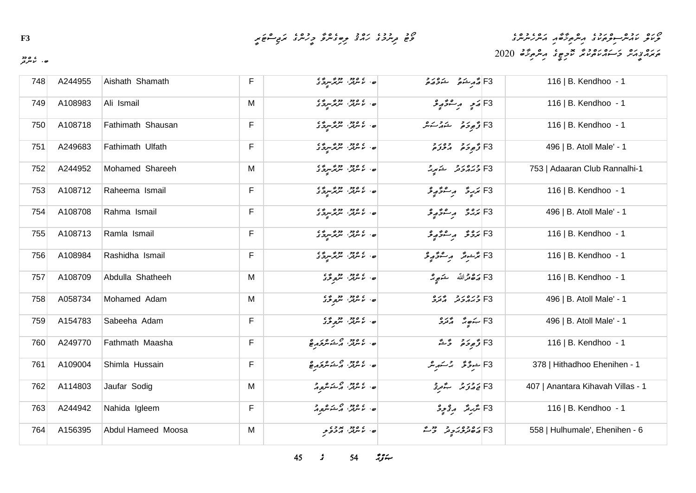*sCw7q7s5w7m< o<n9nOoAw7o< sCq;mAwBoEw7q<m; wBm;vB* م من المرة المرة المرة المرجع المرجع في المركبة 2020<br>مجم*د المريض المربوط المربع المرجع في المراجع المركبة* 

| 748 | A244955 | Aishath Shamath    | F            | ے واقع میں مرکز میں ہے کہ ا                                        | F3 مُدِيسَة مُحَدِّدَة و                | 116   B. Kendhoo - 1              |
|-----|---------|--------------------|--------------|--------------------------------------------------------------------|-----------------------------------------|-----------------------------------|
| 749 | A108983 | Ali Ismail         | M            | ے 200 دورہ دورہ<br>جا کا سربل، سربگرس                              | F3 <i>ڇَجِ پرڪوڻو</i> ءَ                | 116   B. Kendhoo - 1              |
| 750 | A108718 | Fathimath Shausan  | $\mathsf{F}$ | ם מי מיתור ובני המי                                                | F3 <i>وَّەودَە</i> شەرىسىر              | 116   B. Kendhoo - 1              |
| 751 | A249683 | Fathimath Ulfath   | F            | ه . م مرور . دو . د . د .<br>د . م مرور . مر <sub>م</sub> ر مرور . | F3 وُجِعَة معروم                        | 496   B. Atoll Male' - 1          |
| 752 | A244952 | Mohamed Shareeh    | M            | ם מי מית הרוביים בי                                                | F3 <i>وُبَرُوُدُوَ مُدَمِّرِيُّ</i>     | 753   Adaaran Club Rannalhi-1     |
| 753 | A108712 | Raheema Ismail     | $\mathsf{F}$ | ם מי מית ברובי בין<br>סי מיתבני ייתוליתפיב                         | F3 بَرَبِرِيَّ - مِرْ مُرَّمَّةٍ ثَوْرِ | 116   B. Kendhoo - 1              |
| 754 | A108708 | Rahma Ismail       | F            | ے وجود دونوں<br>حاد المالوں الگرمگر س                              |                                         | 496   B. Atoll Male' - 1          |
| 755 | A108713 | Ramla Ismail       | F            | ם מי מית ברובי בין<br>סי מיתבני ייתוליתפיב                         | F3 بَرْدْ دَ مِرْ مُرَّمَّةٍ وَ مِ      | 116   B. Kendhoo - 1              |
| 756 | A108984 | Rashidha Ismail    | F            | ם מי מית מידי מים.<br>כי מייתה ייתולית                             | F3 بُرْجِعِدًا مِرْجَوَّمٍ وُ           | 116   B. Kendhoo - 1              |
| 757 | A108709 | Abdulla Shatheeh   | M            | ه ، روم در در در در در در ایران<br>در استریکر، سرچرنگ              | F3 كَرْصْحْرْاللَّه شَوْجِرْ            | 116   B. Kendhoo - 1              |
| 758 | A058734 | Mohamed Adam       | M            | ه . ما موجود . دو . د .<br>ده . ما موجود . مترجو څري               | F3 ورەرو پەرە                           | 496   B. Atoll Male' - 1          |
| 759 | A154783 | Sabeeha Adam       | $\mathsf{F}$ | ه . ما مرکز، مردم و .<br>ده . ما مرکز، مردم و ی                    | F3 ب <i>نوبڈ م</i> قرقر                 | 496   B. Atoll Male' - 1          |
| 760 | A249770 | Fathmath Maasha    | $\mathsf{F}$ | ە ئاس بىر ئەرەر مەدىر ھ                                            | F3 <i>وَّجِ وَجُوَ</i> وَحَسَّمَ        | 116   B. Kendhoo - 1              |
| 761 | A109004 | Shimla Hussain     | F            | ە بىر بىر بىر مەدرە<br>مەن ئىرلىر، مەشكىرى بىر                     | F3 جوري - جر <i>شمېرىتى</i>             | 378   Hithadhoo Ehenihen - 1      |
| 762 | A114803 | Jaufar Sodig       | M            | ە بىر مەدەبىرى ئەسىر بىر ئىسى بىر                                  | F3 كۆمەتى مەھمەتىقى F3                  | 407   Anantara Kihavah Villas - 1 |
| 763 | A244942 | Nahida Igleem      | F            | ه . ما مريز، ما شومبروم                                            | F3 بَ <i>مَّدِيمٌ وِڏُوچ</i> و          | 116   B. Kendhoo - 1              |
| 764 | A156395 | Abdul Hameed Moosa | M            | ه . ما مرکز . هر د د .<br>ه . ما مرکز . هر د د و                   | F3   مەھىرى بەرگە ئۇڭ                   | 558   Hulhumale', Ehenihen - 6    |

*45 sC 54 nNw?mS*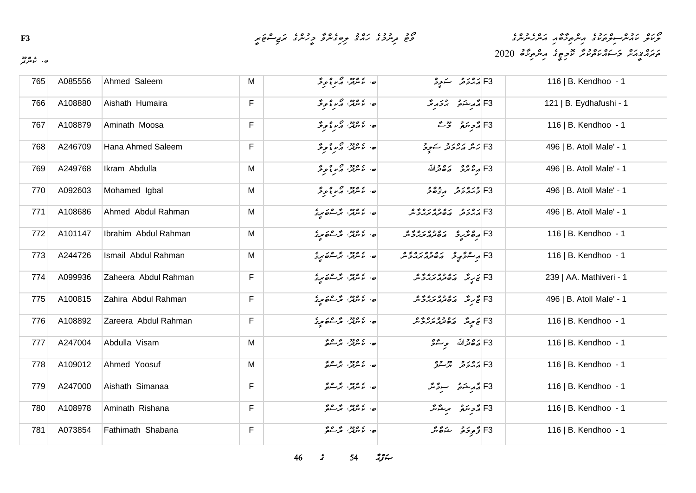*sCw7q7s5w7m< o<n9nOoAw7o< sCq;mAwBoEw7q<m; wBm;vB* م من المرة المرة المرة المرجع المرجع في المركبة 2020<br>مجم*د المريض المربوط المربع المرجع في المراجع المركبة* 

| 765 | A085556 | Ahmed Saleem         | M           | ھ. ئاندلن مربا و گرم قانون م                                                                                                                                                                                                    | F3 <i>ړېږي خپ</i> و                       | 116   B. Kendhoo - 1     |
|-----|---------|----------------------|-------------|---------------------------------------------------------------------------------------------------------------------------------------------------------------------------------------------------------------------------------|-------------------------------------------|--------------------------|
| 766 | A108880 | Aishath Humaira      | F           | ە ، ئاسرىل، كەن يا ئامەتلى                                                                                                                                                                                                      | F3 مۇم شۇم ئىر <i>ۇم ئى</i> ر             | 121   B. Eydhafushi - 1  |
| 767 | A108879 | Aminath Moosa        | F           | ە ، ئاسرىي كەن ئامونى                                                                                                                                                                                                           | F3 أُمُّ مِسَمَّدٍ حَمَّدٌ                | 116   B. Kendhoo - 1     |
| 768 | A246709 | Hana Ahmed Saleem    | $\mathsf F$ | ە ، ئامىرىن كەن ئامۇقى                                                                                                                                                                                                          | F3   زنگ ړ <i>وون</i> گ سکونی             | 496   B. Atoll Male' - 1 |
| 769 | A249768 | Ikram Abdulla        | M           | ە ، ئاسلار، كەن ئامۇنج                                                                                                                                                                                                          | F3 م <i>رع محرّد مَ</i> صَوْرَاللّه       | 496   B. Atoll Male' - 1 |
| 770 | A092603 | Mohamed Igbal        | M           | ە ، ئامىرلىر، كەندە ئوق                                                                                                                                                                                                         | $5.3.2.2.5$ $F3$                          | 496   B. Atoll Male' - 1 |
| 771 | A108686 | Ahmed Abdul Rahman   | M           |                                                                                                                                                                                                                                 | F3 <i>ביכית הפיכיפיפית</i>                | 496   B. Atoll Male' - 1 |
| 772 | A101147 | Ibrahim Abdul Rahman | M           | ه . ما مرکز ، مجر سخت مور .<br>د . ما مرکز ، مجر سخت مورد                                                                                                                                                                       | E3 ROZZO CORRANO                          | 116   B. Kendhoo - 1     |
| 773 | A244726 | Ismail Abdul Rahman  | M           | ه ، ما مرور ، محرسه و ، د ،                                                                                                                                                                                                     | E3 1990 1990 1990                         | 116   B. Kendhoo - 1     |
| 774 | A099936 | Zaheera Abdul Rahman | F           | ه . ما مرور . مجر . ما . ما . ما . ما . ما . محمد . محمد . محمد . محمد . محمد . محمد . محمد . محمد . محمد . مح<br>محمد . محمد . محمد . محمد . محمد . محمد . محمد . محمد . محمد . محمد . محمد . محمد . محمد . محمد . محمد . محمد | F3 يَرِيمُ صَ <i>قْوَمُ بَرَيْدُوْ</i> سُ | 239   AA. Mathiveri - 1  |
| 775 | A100815 | Zahira Abdul Rahman  | $\mathsf F$ | ه ، ما مرور ، محرست به در ،                                                                                                                                                                                                     | F3 ئ <i>ج بەگە مەھەمدە ئەھ</i> ر          | 496   B. Atoll Male' - 1 |
| 776 | A108892 | Zareera Abdul Rahman | F           |                                                                                                                                                                                                                                 | F3 ئىمرىم مەھىرمەمەرە بەھ                 | 116   B. Kendhoo - 1     |
| 777 | A247004 | Abdulla Visam        | M           | ە ، ئامىرتىر، ئۆستوم                                                                                                                                                                                                            | F3 رَحْمَرْاللَّهُ مِسْمَرْ               | 116   B. Kendhoo - 1     |
| 778 | A109012 | Ahmed Yoosuf         | M           |                                                                                                                                                                                                                                 | F3 كەبرىق تەرجۇ                           | 116   B. Kendhoo - 1     |
| 779 | A247000 | Aishath Simanaa      | $\mathsf F$ | ھ ، ما مريز، مرگ ھ                                                                                                                                                                                                              | F3 مۇم شەمۇر سو <i>ڭى</i> گر              | 116   B. Kendhoo - 1     |
| 780 | A108978 | Aminath Rishana      | F           |                                                                                                                                                                                                                                 | F3 أَمُّ حِ سَمَّعَ سَمِّ سَمَّسَّر       | 116   B. Kendhoo - 1     |
| 781 | A073854 | Fathimath Shabana    | F           | ە . ئا يەرد ، ئۇستوم                                                                                                                                                                                                            | F3 <i>وَّجِوَدَة</i> شَقَّعَرَ            | 116   B. Kendhoo - 1     |

*46 sC 54 nNw?mS*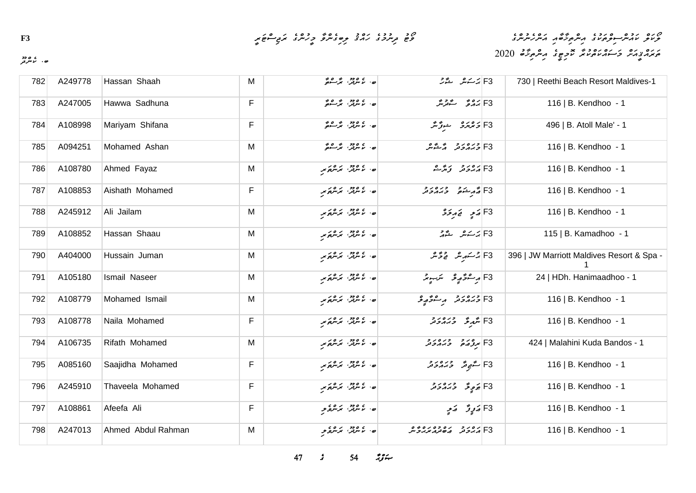*sCw7q7s5w7m< o<n9nOoAw7o< sCq;mAwBoEw7q<m; wBm;vB* م من المرة المرة المرة المرجع المرجع في المركبة 2020<br>مجم*د المريض المربوط المربع المرجع في المراجع المركبة* 

| 782 | A249778 | Hassan Shaah         | M            | ە . با بىرلىر ، بۇ سەھ<br>ھ . با بىرلىر ، بۇ سەھ                                                               | F3  ترسكاند كمانية 2                                 | 730   Reethi Beach Resort Maldives-1      |
|-----|---------|----------------------|--------------|----------------------------------------------------------------------------------------------------------------|------------------------------------------------------|-------------------------------------------|
| 783 | A247005 | Hawwa Sadhuna        | $\mathsf{F}$ | ە ، ئامەدد، ئۇرغۇ                                                                                              | F3 بَرْدِهُ مُسْتَمَرْسَّر                           | 116   B. Kendhoo - 1                      |
| 784 | A108998 | Mariyam Shifana      | $\mathsf F$  | ے میں میں کام کام کام کام کرنے کی ان کام کام کام کرنے کے ان کام کرنے کے لیے ان کے لیے ان کے لیے ان کے لیے ان ک | F3 ك <i>رېزۇ خېۋىگ</i>                               | 496   B. Atoll Male' - 1                  |
| 785 | A094251 | Mohamed Ashan        | M            | ے مترور محرک کا ا                                                                                              | F3 در درو په محمد                                    | 116   B. Kendhoo - 1                      |
| 786 | A108780 | Ahmed Fayaz          | M            | ه . ما سربر . مرسم و مر                                                                                        | F3 كەبردىر زې <u>گرىش</u> ە                          | 116   B. Kendhoo - 1                      |
| 787 | A108853 | Aishath Mohamed      | $\mathsf F$  | ه . ما مرکز، مرسوم مر                                                                                          | F3 مەم ئىق ئەم ئەرەبىر بول                           | 116   B. Kendhoo - 1                      |
| 788 | A245912 | Ali Jailam           | M            | ھ شمېر تر شهر تر                                                                                               | F3   <i>ړې غږڅ</i> و                                 | 116   B. Kendhoo - 1                      |
| 789 | A108852 | Hassan Shaau         | M            | ۰۰٬ مورد رور                                                                                                   | F3 پرسکس کے پر                                       | 115   B. Kamadhoo - 1                     |
| 790 | A404000 | Hussain Juman        | M            | ه . ما مارود . د ه د .                                                                                         | F3   يُرْسَمَ مِنْ مَتَحَمَّدُ                       | 396   JW Marriott Maldives Resort & Spa - |
| 791 | A105180 | <b>Ismail Naseer</b> | M            | ه . ما مرکز، مرسوم مر                                                                                          | F3 <sub>م</sub> رےد <i>و <sub>مو</sub>د مرکب</i> وٹر | 24   HDh. Hanimaadhoo - 1                 |
| 792 | A108779 | Mohamed Ismail       | M            | ه . ما مرکز، مرسوم مر                                                                                          | F3 <i>جەممەتە</i> ر م <i>ېشۇم</i> ۇ                  | 116   B. Kendhoo - 1                      |
| 793 | A108778 | Naila Mohamed        | F            | ه . ما سربر . مرسم . م                                                                                         | F3 سُمبِ قَدَ <i>مُحَمَّدُونَ وَ</i>                 | 116   B. Kendhoo - 1                      |
| 794 | A106735 | Rifath Mohamed       | M            | ه . ما سربر . مرسم و مر                                                                                        | F3 بروج وبرەبرد                                      | 424   Malahini Kuda Bandos - 1            |
| 795 | A085160 | Saajidha Mohamed     | F            | ۰۰ میلاد بره د                                                                                                 | F3 گەم قىر ئەردىتە <mark>F</mark> 3                  | 116   B. Kendhoo - 1                      |
| 796 | A245910 | Thaveela Mohamed     | $\mathsf F$  | ه . ما سربر . مرسم مر                                                                                          | F3 جَمِعٍ مَنْ مَسْرَوْمَر                           | 116   B. Kendhoo - 1                      |
| 797 | A108861 | Afeefa Ali           | $\mathsf F$  | ه ، ما سربل، برسره م                                                                                           | F3 <i>ړُوٍوَ ک</i> ی                                 | 116   B. Kendhoo - 1                      |
| 798 | A247013 | Ahmed Abdul Rahman   | M            | ه . ما مرکز، نما مرکز و                                                                                        | F3 גפני גפיפטנפים                                    | 116   B. Kendhoo - 1                      |

*47 sC 54 nNw?mS*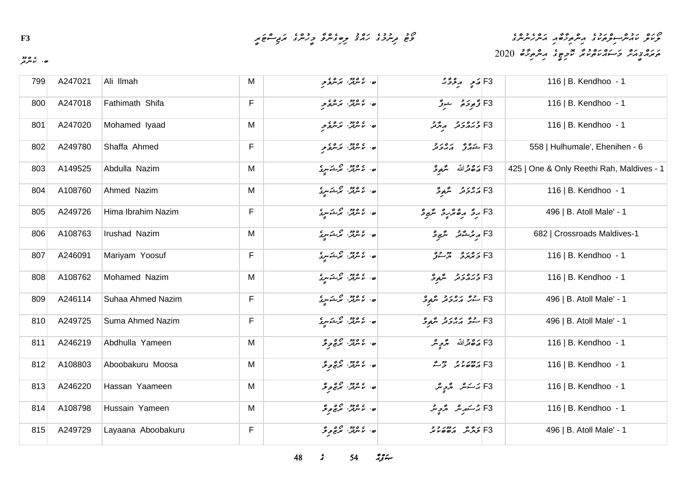*sCw7q7s5w7m< o<n9nOoAw7o< sCq;mAwBoEw7q<m; wBm;vB* م من المرة المرة المرة المرجع المرجع في المركبة 2020<br>مجم*د المريض المربوط المربع المرجع في المراجع المركبة* 

| 799 | A247021 | Ali Ilmah          | M | ھ غىرتر، ئرىرۇم                               | F3   پرم پروگ <sup>م</sup> ه                      | 116   B. Kendhoo - 1                      |
|-----|---------|--------------------|---|-----------------------------------------------|---------------------------------------------------|-------------------------------------------|
| 800 | A247018 | Fathimath Shifa    | F | ه . ما مرکز، برمرونو                          | F3 رُج <i>ودَة</i> مورَّ                          | 116   B. Kendhoo - 1                      |
| 801 | A247020 | Mohamed Iyaad      | M | ه ، ما سربل، برسره م                          | F3 <i>وُبُرُوُدُو وَبُرُّتْرُ</i>                 | 116   B. Kendhoo - 1                      |
| 802 | A249780 | Shaffa Ahmed       | F | ه . ما مادور . د ٥ م                          | F3 شەرق مەردىر                                    | 558   Hulhumale', Ehenihen - 6            |
| 803 | A149525 | Abdulla Nazim      | M | ھ ، ئامروز، برخوس                             | F3 مَەھتراللە س <i>گە</i> ۋ                       | 425   One & Only Reethi Rah, Maldives - 1 |
| 804 | A108760 | Ahmed Nazim        | M | ە بىر مەدد بىر شەكىرى كەن                     | F3 <i>مَدْدَنْد</i> سَّهْءِ مُحَ                  | 116   B. Kendhoo - 1                      |
| 805 | A249726 | Hima Ibrahim Nazim | F | ە با مارلار، كرىشەسى<br>ئ                     | F3 بردً <i>* م</i> ۇم <i>گرى</i> دۇ س <i>گ</i> وڭ | 496   B. Atoll Male' - 1                  |
| 806 | A108763 | Irushad Nazim      | M | ە با مەددا كرىشكەسى<br>ھەركا مەدىرى كىرىشكەسى | F3 م <i>ېر شقور سگې</i> و                         | 682   Crossroads Maldives-1               |
| 807 | A246091 | Mariyam Yoosuf     | F | ھ ، ئا عربي ، مر شوَسري                       | F3   دېمرمرد پر مرد وه                            | 116   B. Kendhoo - 1                      |
| 808 | A108762 | Mohamed Nazim      | M | ە با مەددا كرىشكەسى<br>ھەركىسى كىرىشكەسى      | F3 <i>وَبَدُوْدَوْ</i> سَمْعِ وَ                  | 116   B. Kendhoo - 1                      |
| 809 | A246114 | Suhaa Ahmed Nazim  | F | ە با مەددا كرىشكەسى<br>ھەركا مەدىرى كىرىشكەسى | F3 كەبىر بەردىر ئى <i>گە</i> بى                   | 496   B. Atoll Male' - 1                  |
| 810 | A249725 | Suma Ahmed Nazim   | F | ە با مارلار، كرىشەسى<br>ئ                     | F3 جۇ ئە <i>مەدەت</i> ش <sub>ە</sub> ۋ            | 496   B. Atoll Male' - 1                  |
| 811 | A246219 | Abdhulla Yameen    | M | ه ، ما مردم ، مردم و محر                      | F3 كَەھەراللە م <i>ۇرى</i> ر                      | 116   B. Kendhoo - 1                      |
| 812 | A108803 | Aboobakuru Moosa   | M | ە باشلار 200 كىلى                             | $23 - 2222$ F3                                    | 116   B. Kendhoo - 1                      |
| 813 | A246220 | Hassan Yaameen     | M | ە . ئامەدد 200 كى                             | F3   پرسکس گر <sub>مج</sub> میں                   | 116   B. Kendhoo - 1                      |
| 814 | A108798 | Hussain Yameen     | M | ە . ئامەدد، ئەج ئو ئى                         | F3   يُرْسَمَ مِيرَ مُدَّجِ مِيرَ                 | 116   B. Kendhoo - 1                      |
| 815 | A249729 | Layaana Aboobakuru | F | ھ ، ئامولار، ترج و څ                          | $72222$ $272$ $272$                               | 496   B. Atoll Male' - 1                  |

*48 sC 54 nNw?mS*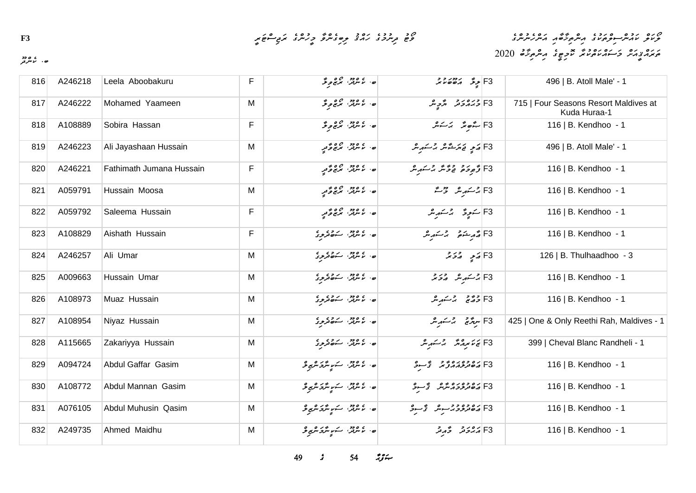*sCw7q7s5w7m< o<n9nOoAw7o< sCq;mAwBoEw7q<m; wBm;vB* م من المرة المرة المرة المرجع المرجع في المركبة 2020<br>مجم*د المريض المربوط المربع المرجع في المراجع المركبة* 

| 816 | A246218 | Leela Aboobakuru         | F           | ە مەس مەھ مۇ                                                                                                                                                                                                                    | $77227$ $772$ F3                            | 496   B. Atoll Male' - 1                              |
|-----|---------|--------------------------|-------------|---------------------------------------------------------------------------------------------------------------------------------------------------------------------------------------------------------------------------------|---------------------------------------------|-------------------------------------------------------|
| 817 | A246222 | Mohamed Yaameen          | M           | ه . ما مرکز، مربع و تحر                                                                                                                                                                                                         | F3 <i>وُبَهُ دَوَ دُ</i> مُرَّحِ مُدَّ      | 715   Four Seasons Resort Maldives at<br>Kuda Huraa-1 |
| 818 | A108889 | Sobira Hassan            | F           | ه ، ما مريد من موځ                                                                                                                                                                                                              | F3 بِيَمُوسَ بَرَسَمْر                      | 116   B. Kendhoo - 1                                  |
| 819 | A246223 | Ali Jayashaan Hussain    | M           | ه . ، ، ، ود من ه ه و .<br>ه . ، ، سربر ، مربع ه و .                                                                                                                                                                            | F3 كەي قەترىشەش برىسكەبەش                   | 496   B. Atoll Male' - 1                              |
| 820 | A246221 | Fathimath Jumana Hussain | $\mathsf F$ | ه . ، ، ، ود من ه ه و .<br>د . ، ، سربر ، مر ج ه و د                                                                                                                                                                            | F3 رُج <i>ودَه</i> ۾ مُشهر پُٽريگريش        | 116   B. Kendhoo - 1                                  |
| 821 | A059791 | Hussain Moosa            | M           | ه . ما ما برج ما ما در ما برج ما بر<br>ه . ما ما ماروز ، ما ما ما ما برج                                                                                                                                                        | F3 برسکه بھر محرم ش                         | 116   B. Kendhoo - 1                                  |
| 822 | A059792 | Saleema Hussain          | F           | ه . ، ، ، ود مره ه و .<br>د . ، ، مربع ، مربع څرمي                                                                                                                                                                              | F3   سَمِوِیَّ   پرکسریٹر                   | 116   B. Kendhoo - 1                                  |
| 823 | A108829 | Aishath Hussain          | $\mathsf F$ | ه ۲۵۵۰ ده وه وروند و با در استفاده و با در استفاده با در استفاده با در استفاده با در استفاده با در استفاده با<br>در استفاده با در استفاده باشده با در استفاده باشده باشده باشده باشده باشده باشده باشده باشده باشده باشده باشده | F3 مۇم شەھ بىر شەمبەشر                      | 116   B. Kendhoo - 1                                  |
| 824 | A246257 | Ali Umar                 | M           | ه ۲۵۵۰ ده وه وروند و با در استفاده و با در استفاده با در استفاده با در استفاده با در استفاده با در استفاده با<br>در استفاده با در استفاده باشده با در استفاده باشده باشده باشده باشده باشده باشده باشده باشده باشده باشده باشده | F3 <i>جَجِهِ جُ</i> حَ <sup>مِر</sup> ُ     | 126   B. Thulhaadhoo - 3                              |
| 825 | A009663 | Hussain Umar             | M           | ه ۲۵۵۰ کروه<br>۰۰ تا نارلز، سنه تاروی                                                                                                                                                                                           | F3 پر <i>شهر ش</i> و ترک                    | 116   B. Kendhoo - 1                                  |
| 826 | A108973 | Muaz Hussain             | M           | ه ۲۵۵۰ کروه<br>۰۰ تا نارلز، سنه تاروی                                                                                                                                                                                           | F3 جۇيج ب <sub>ە</sub> شكىرىش               | 116   B. Kendhoo - 1                                  |
| 827 | A108954 | Niyaz Hussain            | M           | ه ۲۵۵۰ ده وه وروند و با در استفاده و با در استفاده با در استفاده با در استفاده با در استفاده با در استفاده با<br>در استفاده با در استفاده باشده با در استفاده باشده باشده باشده باشده باشده باشده باشده باشده باشده باشده باشده | F3 سرگریج برگستمبریش                        | 425   One & Only Reethi Rah, Maldives - 1             |
| 828 | A115665 | Zakariyya Hussain        | M           | ه ، روده ده ده و ، د<br>ه . را مارتس سوه تروی                                                                                                                                                                                   | F3 ىئ ئىر مەمەش بىر شەمەيىش                 | 399   Cheval Blanc Randheli - 1                       |
| 829 | A094724 | Abdul Gaffar Gasim       | M           | ە ، ئابىرلار، سەيدىكرىكىنى ئى                                                                                                                                                                                                   | F3 رەم دەرە بويە تۆسىۋ                      | 116   B. Kendhoo - 1                                  |
| 830 | A108772 | Abdul Mannan Gasim       | M           |                                                                                                                                                                                                                                 | F3 <sub>مەھ</sub> ورە مۇمەستىر قىسىۋ        | 116   B. Kendhoo - 1                                  |
| 831 | A076105 | Abdul Muhusin Qasim      | M           | ھ ، ئائىرلىر، سىم <sub>ل</sub> ە ئىركە ئىرىم ئى                                                                                                                                                                                 | F3 مەھىر <i>ۋە دېمبور</i> ئ <sup>ې</sup> سو | 116   B. Kendhoo - 1                                  |
| 832 | A249735 | Ahmed Maidhu             | M           | ھ ، ئائىرلىق سىمائىرىكى بىرى ئى                                                                                                                                                                                                 | F3 <i>ډېرې و</i> ُه تر                      | 116   B. Kendhoo - 1                                  |

*49 sC 54 nNw?mS*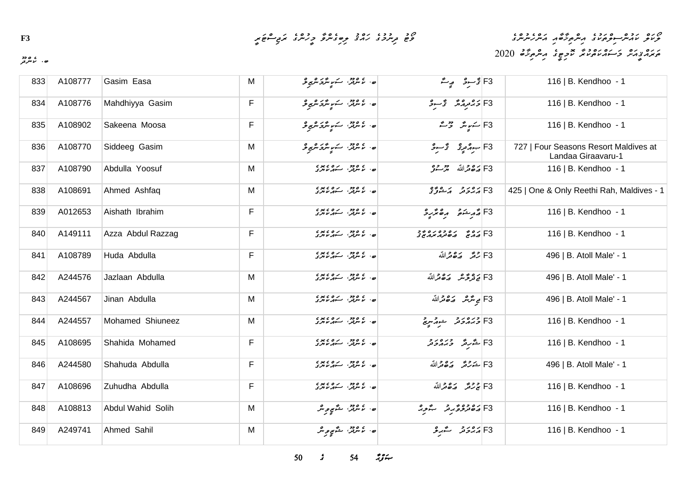*sCw7q7s5w7m< o<n9nOoAw7o< sCq;mAwBoEw7q<m; wBm;vB* م من المرة المرة المرة المرجع المرجع في المركبة 2020<br>مجم*د المريض المربوط المربع المرجع في المراجع المركبة* 

| 833 | A108777 | Gasim Easa               | M           | <sub>ئ</sub> . ئامرىز، س <i>ىر ئىردىكى ۋ</i>             | F3   قُرْسِرْ – مِيسَّرِ                                                                                  | 116   B. Kendhoo - 1                                        |
|-----|---------|--------------------------|-------------|----------------------------------------------------------|-----------------------------------------------------------------------------------------------------------|-------------------------------------------------------------|
| 834 | A108776 | Mahdhiyya Gasim          | F           | ھ. ئائىرلىق سىمائىرىكى ئىسى ئى                           | F3 <i>وَبْرُورِيْرٌ</i> وَّسِوْ                                                                           | 116   B. Kendhoo - 1                                        |
| 835 | A108902 | Sakeena Moosa            | $\mathsf F$ | ھ ، ئائىرلىق سىر ئىرى ئىرى ئى                            | $\left  \begin{array}{cc} \mathcal{L} & \mathcal{L} \\ \mathcal{L} & \mathcal{L} \end{array} \right  = 3$ | 116   B. Kendhoo - 1                                        |
| 836 | A108770 | Siddeeg Gasim            | M           | ە . ئامرىز، سىر ئىرگە ئىرى ئى                            | F3 جوړ <i>و<sub>پرن</sub>و</i> توجو                                                                       | 727   Four Seasons Resort Maldives at<br>Landaa Giraavaru-1 |
| 837 | A108790 | Abdulla Yoosuf           | M           | ه کامود ده ده ده<br>ده کامونس سورگامود                   | F3 كَرْهُ قَرْاللّهُ مَرْتَّقَوْ                                                                          | 116   B. Kendhoo - 1                                        |
| 838 | A108691 | Ahmed Ashfaq             | M           | ه به ۱۶۵ در ده ۲ پره<br>مه کاملانک سوټر <i>کام</i> رو    | F3 كەبروتىر كەش <i>ەۋ</i> تى                                                                              | 425   One & Only Reethi Rah, Maldives - 1                   |
| 839 | A012653 | Aishath Ibrahim          | F           | ه ۲۵۵۰ دره ۲۵۷۰<br>می کوین سورگردارد                     | F3 مُصِنْعَمْ صِ <i>مْحَمْدِ</i> دْ                                                                       | 116   B. Kendhoo - 1                                        |
| 840 | A149111 | Azza Abdul Razzag        | $\mathsf F$ | ه ۲۵۵۰ دره ۲۶۵۶<br>۲۰۰۵ سربر، سور <i>۱۶۶۷</i>            | E3 RAXANDA ES                                                                                             | 116   B. Kendhoo - 1                                        |
| 841 | A108789 | Huda Abdulla             | F           | ه به ۱۶۵ در ده ۲ پره<br>ده کاملانکی مستور <i>۱۳۷ و</i> ر | F3 كِتْرَ صَ5ْعَرْاللّه                                                                                   | 496   B. Atoll Male' - 1                                    |
| 842 | A244576 | Jazlaan Abdulla          | M           | ه به ۱۶۵ در دره ۲۶ در<br>۱۳۰ مارس                        | F3 تح فرقر شركة مركة من الله                                                                              | 496   B. Atoll Male' - 1                                    |
| 843 | A244567 | Jinan Abdulla            | M           | ه به ۱۶۵ در ۲۵۵ برو.<br>مهرس در سور ۱۳۸ برو.             | F3   مع <i>مَّرْ بَشْ مَدَّاهُ مِّ</i> رَّاللَّه                                                          | 496   B. Atoll Male' - 1                                    |
| 844 | A244557 | Mohamed Shiuneez         | M           | ه به دود ده ده ده<br>ده کامرلز، سورگامری                 | F3 <i>وُبَرْهُ وَبَرْ</i> سُورُسٍ صَح                                                                     | 116   B. Kendhoo - 1                                        |
| 845 | A108695 | Shahida Mohamed          | $\mathsf F$ | ے وجود دون دون                                           | F3 حَدَّرِيمٌ وَيَرْدُونَرُ                                                                               | 116   B. Kendhoo - 1                                        |
| 846 | A244580 | Shahuda Abdulla          | F           | ه ۲۰۰۵ در ده ۲۶ وروپا<br>ده کاملانکی مسئولان کامل        | F3 خَدَيْرٌ صَ <del></del> هْرَاللَّه                                                                     | 496   B. Atoll Male' - 1                                    |
| 847 | A108696 | Zuhudha Abdulla          | F           | ه به ۱۶۵ در ۲۵۵ برو.<br>مهرس در سور ۱۳۸ برو.             | F3 يُحْرَقَّهُ      مُهْ قَرْاللَّهُ                                                                      | 116   B. Kendhoo - 1                                        |
| 848 | A108813 | <b>Abdul Wahid Solih</b> | M           | ه ۱۵۰۰ متر میگیم و مگر<br>مسر در مشتری                   | F3 مەھەر ئەرقىر سۇرى <sub>م</sub>                                                                         | 116   B. Kendhoo - 1                                        |
| 849 | A249741 | Ahmed Sahil              | M           | ە ، ئامىرلىر، ئىشمېرمىر                                  | F3 <i>2222 سگې</i> ريئو                                                                                   | 116   B. Kendhoo - 1                                        |

*50 sC 54 nNw?mS*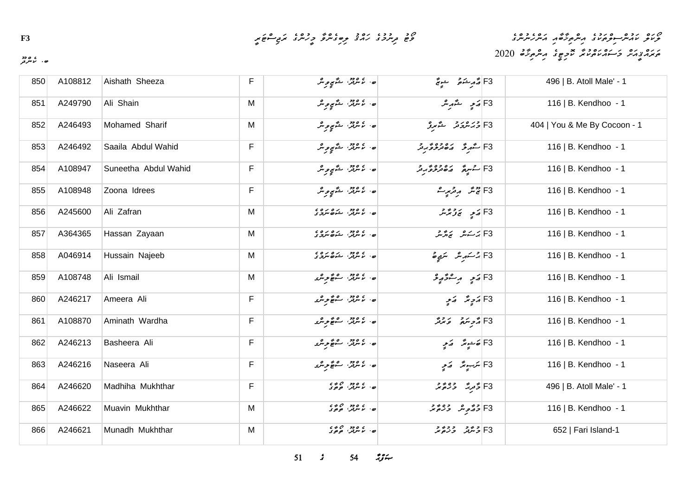*sCw7q7s5w7m< o<n9nOoAw7o< sCq;mAwBoEw7q<m; wBm;vB* م من المرة المرة المرة المرجع المرجع في المركبة 2020<br>مجم*د المريض المربوط المربع المرجع في المراجع المركبة* 

| 850 | A108812 | Aishath Sheeza       | F            | ه ، برمربر، ڪُن <sub>ج مر</sub> مگر                 | F3 م <i>ُ</i> مِشَمُ شِيمٌ                | 496   B. Atoll Male' - 1     |
|-----|---------|----------------------|--------------|-----------------------------------------------------|-------------------------------------------|------------------------------|
| 851 | A249790 | Ali Shain            | M            | ە ، ئامىرلىر، ئىشمېرمەش                             | F3 <i>جَرِجِ</i> گُم <i>رِيْتَر</i>       | 116   B. Kendhoo - 1         |
| 852 | A246493 | Mohamed Sharif       | M            | ە ، ئامىرلىر، ئىشمېرمىر                             | F3 دېم <i>شترونل</i> مگهرو                | 404   You & Me By Cocoon - 1 |
| 853 | A246492 | Saaila Abdul Wahid   | $\mathsf F$  | ه ، با مريز، ڪُمپرمر مگر                            | F3 شەرق مەھىر <i>ۈۋى</i> دىر              | 116   B. Kendhoo - 1         |
| 854 | A108947 | Suneetha Abdul Wahid | $\mathsf{F}$ | ە ، ئامىرلىر، ئىشمېرمىر                             | F3 شېرې <i>ۇ مەھىر دە</i> م بىر           | 116   B. Kendhoo - 1         |
| 855 | A108948 | Zoona Idrees         | $\mathsf{F}$ | ە ، ئامىرلىر، ئىشمېرمىر                             | F3 تج مثر مرت <i>ر ہونے</i>               | 116   B. Kendhoo - 1         |
| 856 | A245600 | Ali Zafran           | M            | ے وجود کے مردے<br>جس کربر، سکھ مرد ی                | F3 <i>ھَيِ پي وُمُ</i> گ                  | 116   B. Kendhoo - 1         |
| 857 | A364365 | Hassan Zayaan        | M            | ه ۲۵۶۴ کروبر ده د<br>ح کامرټر، شوڅ مرح              | F3   يَرْسَدُ مَنْ يَجْرَيْرُ             | 116   B. Kendhoo - 1         |
| 858 | A046914 | Hussain Najeeb       | M            | ه . ع مهور . د ۵ د ۵ د د<br>۰۰ تا مرکز ، شوه مرور د | F3   پر سک <i>ور مربع ھ</i>               | 116   B. Kendhoo - 1         |
| 859 | A108748 | Ali Ismail           | M            | ھ ، ئاسرلار، ساھۇرىش                                | F3 <sub>ھ</sub> ُج مِسْوَّم <i>ِ</i> وُ   | 116   B. Kendhoo - 1         |
| 860 | A246217 | Ameera Ali           | $\mathsf F$  |                                                     | F3   پرچا <i>ڈ پان</i> چ                  | 116   B. Kendhoo - 1         |
| 861 | A108870 | Aminath Wardha       | F            | ە ئامرىز، سوۋېرىدى                                  | F3 مُجِسَع <i>ة وَمُ</i> تَدَّ            | 116   B. Kendhoo - 1         |
| 862 | A246213 | Basheera Ali         | $\mathsf{F}$ |                                                     | F3 ڪشيءَ <i>۾َ ج</i> ِ                    | 116   B. Kendhoo - 1         |
| 863 | A246216 | Naseera Ali          | F            | ە ئامىرلىر، سوغ بولىرى                              | F3 بترسو <i>مبر امک</i> و                 | 116   B. Kendhoo - 1         |
| 864 | A246620 | Madhiha Mukhthar     | F            | ه کرور ه ده د<br>ه کرمون مومون                      | F3 دُّمِيدٌ وَرْجُمْ                      | 496   B. Atoll Male' - 1     |
| 865 | A246622 | Muavin Mukhthar      | M            | ه . ع موجود . ه د د .<br>ه . ما مگرفتر ، هوه ی      | F3 وَرَ <sub>جُم</sub> شَرِ وَرَجْهِ مَنْ | 116   B. Kendhoo - 1         |
| 866 | A246621 | Munadh Mukhthar      | M            | ه . په دوم . ۶ په و.<br>ده . پاسرلگر ، موجو د       | F3 دېمبر ورځې                             | 652   Fari Island-1          |

 $51$  *s*  $54$  *n***<sub>1</sub>** *n***<sub>2</sub>**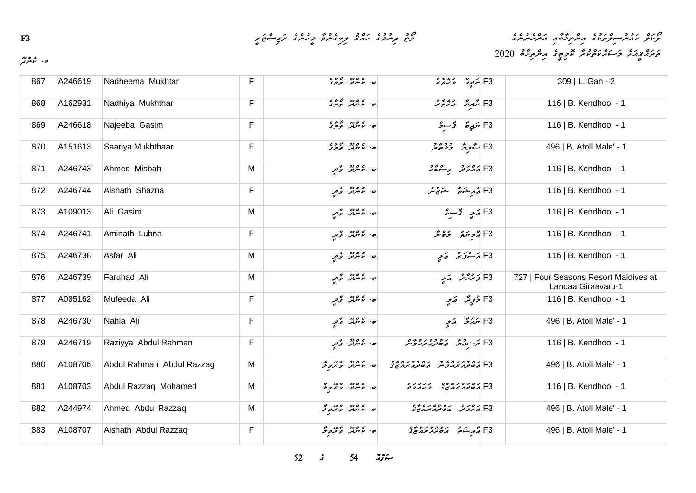*sCw7q7s5w7m< o<n9nOoAw7o< sCq;mAwBoEw7q<m; wBm;vB* م من المرة المرة المرة المرجع المرجع في المركبة 2020<br>مجم*د المريض المربوط المربع المرجع في المراجع المركبة* 

| 867 | A246619 | Nadheema Mukhtar          | F            | ے وجو ہے جا<br>ن کا سربل کونوی                                                                       | F3  سَمَعِرِدَّة - وَرْدَّة مِرْ                      | 309   L. Gan - 2                                            |
|-----|---------|---------------------------|--------------|------------------------------------------------------------------------------------------------------|-------------------------------------------------------|-------------------------------------------------------------|
| 868 | A162931 | Nadhiya Mukhthar          | $\mathsf F$  | ه . ع موجود . ه د ج و<br>ح . ما ملوقتر ، محوم ی                                                      | F3 سُمِيرسُ وَرُحْمَ                                  | 116   B. Kendhoo - 1                                        |
| 869 | A246618 | Najeeba Gasim             | $\mathsf{F}$ | ه عمود ه ده د<br>ه ناس                                                                               | F3 يَرْمِي صَلَّى تَوْسِرْ حَرْبَهِ مِنْ              | 116   B. Kendhoo - 1                                        |
| 870 | A151613 | Saariya Mukhthaar         | $\mathsf F$  | ه کرورو هره و.<br>ه کرمونو هوی                                                                       | F3 سُمبر وَزُوْمَر                                    | 496   B. Atoll Male' - 1                                    |
| 871 | A246743 | Ahmed Misbah              | M            | ە . ئاس بىر .<br>مەس بىر قىلى                                                                        | F3 <i>ג' دو د م</i> شتر                               | 116   B. Kendhoo - 1                                        |
| 872 | A246744 | Aishath Shazna            | $\mathsf{F}$ | ے کی دور محمد<br>صدر محمد اللہ                                                                       | F3 <i>مُقْهِرْ مِشْهُمْ مُشْهَرْ مُ</i> رَّ           | 116   B. Kendhoo - 1                                        |
| 873 | A109013 | Ali Gasim                 | M            | ە ، ئاس قىل ھەمبە                                                                                    | F3 <i>جَمْعٍ</i> گَرْسِرْدُ                           | 116   B. Kendhoo - 1                                        |
| 874 | A246741 | Aminath Lubna             | $\mathsf{F}$ | ے کی دور محمد<br>صدر محمد ک                                                                          | F3 أَمُّ حِسَنَ مِنْ حَقَّةً مِنْ                     | 116   B. Kendhoo - 1                                        |
| 875 | A246738 | Asfar Ali                 | ${\sf M}$    | ە ، ئاس تىرتى ، ئۇ تېر                                                                               | F3 كەشۇرىمى كەمىي                                     | 116   B. Kendhoo - 1                                        |
| 876 | A246739 | Faruhad Ali               | M            | ے ، کا مرکز ، حگ میں                                                                                 | F3 كۆترگەتر كەي                                       | 727   Four Seasons Resort Maldives at<br>Landaa Giraavaru-1 |
| 877 | A085162 | Mufeeda Ali               | F            | ە . ئاس بىر .<br>مەس بىر قىلى                                                                        | F3   وُرٍ مَّذَ سَرَمٍ                                | 116   B. Kendhoo - 1                                        |
| 878 | A246730 | Nahla Ali                 | F            | ه . م مريز ، ع <sub>قر</sub>                                                                         | F3] <i>سَرُجُوَ – مَ</i> حٍ                           | 496   B. Atoll Male' - 1                                    |
| 879 | A246719 | Raziyya Abdul Rahman      | F            | ے ، کا سرچن، حُزمیں                                                                                  | F3 تر شوره در موره بوده<br>F3 تر شورش مره تر بر تر تر | 116   B. Kendhoo - 1                                        |
| 880 | A108706 | Abdul Rahman Abdul Razzag | M            | ە . ئەمەدە . ئەيمى ئەمەدىگە                                                                          | F3 <sub>م</sub> ی <i>وه بره و چر بره وه بره وج</i>    | 496   B. Atoll Male' - 1                                    |
| 881 | A108703 | Abdul Razzaq Mohamed      | M            | ە دەرە ئەسىم ئەسىم ئەسىم ئىسىم ئىسىم ئىسىم ئىسىم ئىسىم ئىسىم ئىسىم ئىسىم ئىسىم ئىسىم ئىسىم ئىسىم ئىس | F3 رەم دەپرە مەدەرد<br>F3 رەمىر مەدىرى                | 116   B. Kendhoo - 1                                        |
| 882 | A244974 | Ahmed Abdul Razzaq        | M            |                                                                                                      | F3 روبر د ووړو ده د                                   | 496   B. Atoll Male' - 1                                    |
| 883 | A108707 | Aishath Abdul Razzaq      | $\mathsf F$  | ە مەسەر ئەسەر ئەسىرى ئە                                                                              | F3 مەم شەھ مەھەرە دە دە                               | 496   B. Atoll Male' - 1                                    |

 $52$  *s*  $54$  *n***<sub>3</sub>** *n***<sub>3</sub>**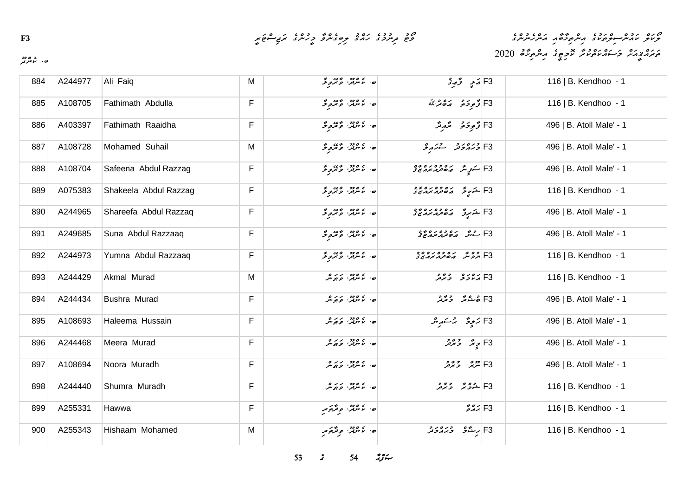*sCw7q7s5w7m< o<n9nOoAw7o< sCq;mAwBoEw7q<m; wBm;vB* م من المرة المرة المرة المرجع المرجع في المركبة 2020<br>مجم*د المريض المربوط المربع المرجع في المراجع المركبة* 

| 884 | A244977 | Ali Faiq              | M            | ە . ما سرچى، ئۇنجومۇ                                                                                                                                                                                                             | F3 <i>ڇُڇِ وُهِ ٿَ</i>                                                                               | 116   B. Kendhoo - 1     |
|-----|---------|-----------------------|--------------|----------------------------------------------------------------------------------------------------------------------------------------------------------------------------------------------------------------------------------|------------------------------------------------------------------------------------------------------|--------------------------|
| 885 | A108705 | Fathimath Abdulla     | F            | ە دە دە دە بەيدە ئە                                                                                                                                                                                                              | F3 <i>وَّجِوَدَة مَنْ هُدَ</i> اللّه                                                                 | 116   B. Kendhoo - 1     |
| 886 | A403397 | Fathimath Raaidha     | F            | ە ئامىرى ئەسىم ئەسىم ئىسىم ئى                                                                                                                                                                                                    | F3 <i>وَّجِ دَمَّةَ</i> مُحْمَدِيَّةَ                                                                | 496   B. Atoll Male' - 1 |
| 887 | A108728 | Mohamed Suhail        | M            |                                                                                                                                                                                                                                  | F3 ديرورو سن در د                                                                                    | 496   B. Atoll Male' - 1 |
| 888 | A108704 | Safeena Abdul Razzag  | F            | ە ئامىرى ئەسىم ئەسىم ئىسىم ئى                                                                                                                                                                                                    | F3 سَرِ پُرَ   رَەدە بەھ ي                                                                           | 496   B. Atoll Male' - 1 |
| 889 | A075383 | Shakeela Abdul Razzag | F            | ه ، را مبرد الجمهور                                                                                                                                                                                                              | F3 خىرى ھەممەدە دە                                                                                   | 116   B. Kendhoo - 1     |
| 890 | A244965 | Shareefa Abdul Razzaq | F            | ە ئامىرلار ئەسىم ئەسىم ئىسىم ئىسىم ئىسىم ئىسىم ئىسىم ئىسىم ئىسىم ئىسىم ئىسىم ئىسىم ئىسىم ئىسىم ئىسىم ئىسىم ئىس                                                                                                                   | F3 شەمرۇ ھەھىر <i>ە مەدە</i>                                                                         | 496   B. Atoll Male' - 1 |
| 891 | A249685 | Suna Abdul Razzaaq    | $\mathsf F$  | ے میں میں میں محمد اللہ میں اللہ میں اللہ میں اللہ میں اللہ میں اللہ میں اللہ میں اللہ میں اللہ میں اللہ میں ا<br>میں اللہ میں اللہ میں اللہ میں اللہ میں اللہ میں اللہ میں اللہ میں اللہ میں اللہ میں اللہ میں اللہ میں اللہ می | F3 شهر بره وه بره و و                                                                                | 496   B. Atoll Male' - 1 |
| 892 | A244973 | Yumna Abdul Razzaaq   | $\mathsf F$  | ە بەرەدە ئەيرە ئەسىم                                                                                                                                                                                                             | 02 הפיט הספסת הפיט<br>13 הכיל הסנקה המה                                                              | 116   B. Kendhoo - 1     |
| 893 | A244429 | Akmal Murad           | M            | ە بەرەدە بەر بولس                                                                                                                                                                                                                | F3 كەندى ئەتەرىپىتىر                                                                                 | 116   B. Kendhoo - 1     |
| 894 | A244434 | Bushra Murad          | F            | ه ۱۵ مرد در و.<br>مسرور کوچینل                                                                                                                                                                                                   | F3 صْفْرْعُمْ وْعُمْلَا                                                                              | 496   B. Atoll Male' - 1 |
| 895 | A108693 | Haleema Hussain       | F            | ە بەردە بەرەپ                                                                                                                                                                                                                    | F3  يَرْمٍ حُسَبِ مِسْتَمْدِ مِسْرِ مِسْرِ مِسْرِ مِسْرِ مِسْرِ مِسْرِ مِسْرِ مِسْرِ مِسْرِ مِسْرِ م | 496   B. Atoll Male' - 1 |
| 896 | A244468 | Meera Murad           | $\mathsf{F}$ | ه ، ما مرده . در ه                                                                                                                                                                                                               | F3 حِ مَدَّ مَدَّمَّةِ الْمَدَّوَّةِ بِهِ مَسْتَقَدِّرِ الْمُسَابِقِينِ بِهِ الْمُسَابِقِينِ بِهِ ا  | 496   B. Atoll Male' - 1 |
| 897 | A108694 | Noora Muradh          | F            | ه ، ما مرود الرامور                                                                                                                                                                                                              | F3 بَشِهْرٌ وَيُمْتِرُ                                                                               | 496   B. Atoll Male' - 1 |
| 898 | A244440 | Shumra Muradh         | F            | ە بەرەدە بەرە<br>ھەرىمىرى بوكبەر                                                                                                                                                                                                 | F3 شەۋىگە كەنگەر                                                                                     | 116   B. Kendhoo - 1     |
| 899 | A255331 | Hawwa                 | $\mathsf F$  |                                                                                                                                                                                                                                  | $592$ F3                                                                                             | 116   B. Kendhoo - 1     |
| 900 | A255343 | Hishaam Mohamed       | M            | ه ، ۱۶۵۲ و ترویر                                                                                                                                                                                                                 | F3 رِحْوَّوْ وَبَرُودُونَ                                                                            | 116   B. Kendhoo - 1     |

 $53$   $5$   $54$   $5\%$